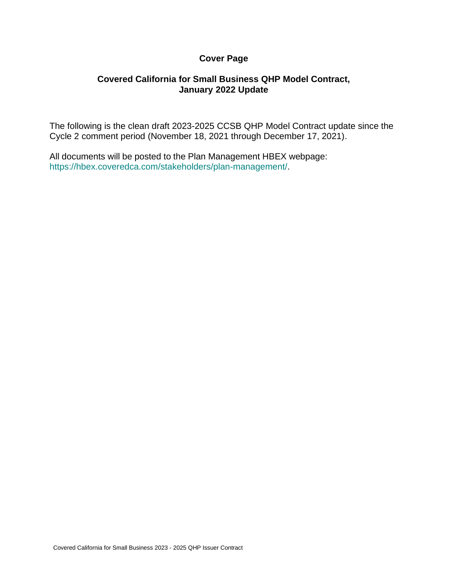#### **Cover Page**

#### **Covered California for Small Business QHP Model Contract, January 2022 Update**

The following is the clean draft 2023-2025 CCSB QHP Model Contract update since the Cycle 2 comment period (November 18, 2021 through December 17, 2021).

All documents will be posted to the Plan Management HBEX webpage: https://hbex.coveredca.com/stakeholders/plan-management/.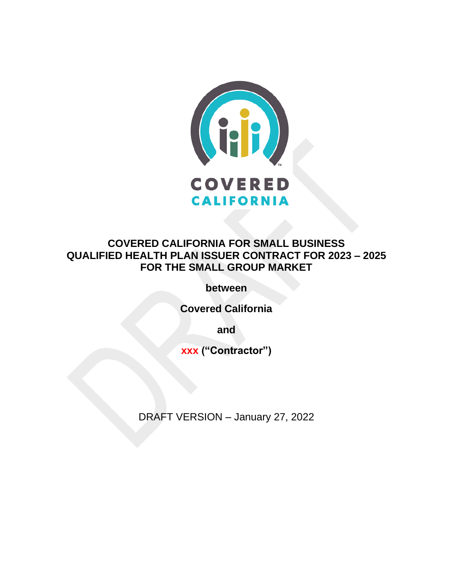

# **COVERED CALIFORNIA FOR SMALL BUSINESS QUALIFIED HEALTH PLAN ISSUER CONTRACT FOR 2023 – 2025 FOR THE SMALL GROUP MARKET**

**between**

**Covered California**

**and**

**xxx ("Contractor")**

DRAFT VERSION – January 27, 2022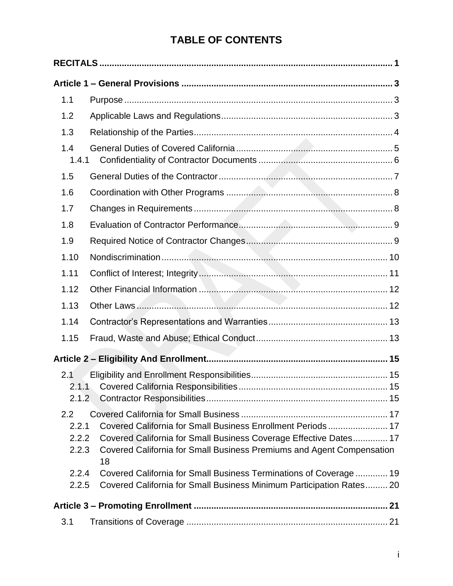# **TABLE OF CONTENTS**

| 1.1                                |                                                                                                                                           |  |
|------------------------------------|-------------------------------------------------------------------------------------------------------------------------------------------|--|
| 1.2                                |                                                                                                                                           |  |
| 1.3                                |                                                                                                                                           |  |
| 1.4<br>1.4.1                       |                                                                                                                                           |  |
| 1.5                                |                                                                                                                                           |  |
| 1.6                                |                                                                                                                                           |  |
| 1.7                                |                                                                                                                                           |  |
| 1.8                                |                                                                                                                                           |  |
| 1.9                                |                                                                                                                                           |  |
| 1.10                               |                                                                                                                                           |  |
| 1.11                               |                                                                                                                                           |  |
| 1.12                               |                                                                                                                                           |  |
| 1.13                               |                                                                                                                                           |  |
| 1.14                               |                                                                                                                                           |  |
| 1.15                               |                                                                                                                                           |  |
|                                    |                                                                                                                                           |  |
| 2.1                                |                                                                                                                                           |  |
| 2.1.2                              |                                                                                                                                           |  |
| $2.2\phantom{0}$<br>2.2.1<br>2.2.2 | Covered California for Small Business Enrollment Periods 17<br>Covered California for Small Business Coverage Effective Dates 17          |  |
| 2.2.3                              | Covered California for Small Business Premiums and Agent Compensation<br>18                                                               |  |
| 2.2.4<br>2.2.5                     | Covered California for Small Business Terminations of Coverage  19<br>Covered California for Small Business Minimum Participation Rates20 |  |
|                                    |                                                                                                                                           |  |
| 3.1                                |                                                                                                                                           |  |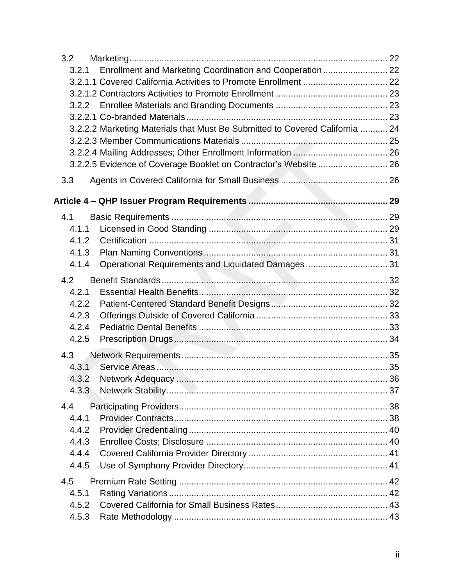| 3.2          |                                                                              |  |
|--------------|------------------------------------------------------------------------------|--|
| 3.2.1        | Enrollment and Marketing Coordination and Cooperation  22                    |  |
|              |                                                                              |  |
|              |                                                                              |  |
|              |                                                                              |  |
|              |                                                                              |  |
|              | 3.2.2.2 Marketing Materials that Must Be Submitted to Covered California  24 |  |
|              |                                                                              |  |
|              |                                                                              |  |
|              | 3.2.2.5 Evidence of Coverage Booklet on Contractor's Website  26             |  |
| 3.3          |                                                                              |  |
|              |                                                                              |  |
| 4.1          |                                                                              |  |
| 4.1.1        |                                                                              |  |
| 4.1.2        |                                                                              |  |
| 4.1.3        |                                                                              |  |
| 4.1.4        | Operational Requirements and Liquidated Damages 31                           |  |
| 4.2          |                                                                              |  |
| 4.2.1        |                                                                              |  |
| 4.2.2        |                                                                              |  |
| 4.2.3        |                                                                              |  |
| 4.2.4        |                                                                              |  |
| 4.2.5        |                                                                              |  |
| 4.3          |                                                                              |  |
| 4.3.1        |                                                                              |  |
| 4.3.2        |                                                                              |  |
| 4.3.3        |                                                                              |  |
|              |                                                                              |  |
| 4.4<br>4.4.1 |                                                                              |  |
| 4.4.2        |                                                                              |  |
| 4.4.3        |                                                                              |  |
| 4.4.4        |                                                                              |  |
| 4.4.5        |                                                                              |  |
|              |                                                                              |  |
| 4.5          |                                                                              |  |
| 4.5.1        |                                                                              |  |
| 4.5.2        |                                                                              |  |
| 4.5.3        |                                                                              |  |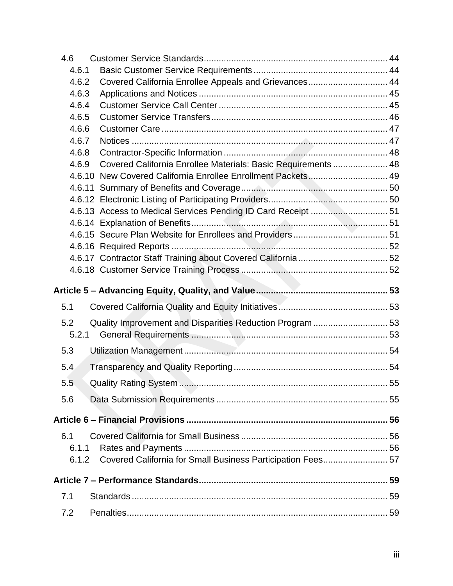| 4.6              |                                                               |    |
|------------------|---------------------------------------------------------------|----|
| 4.6.1            |                                                               |    |
| 4.6.2            | Covered California Enrollee Appeals and Grievances 44         |    |
| 4.6.3            |                                                               |    |
| 4.6.4            |                                                               |    |
| 4.6.5            |                                                               |    |
| 4.6.6            |                                                               |    |
| 4.6.7            |                                                               |    |
| 4.6.8            |                                                               |    |
| 4.6.9            | Covered California Enrollee Materials: Basic Requirements  48 |    |
|                  | 4.6.10 New Covered California Enrollee Enrollment Packets 49  |    |
|                  |                                                               |    |
|                  |                                                               |    |
|                  |                                                               |    |
|                  |                                                               |    |
|                  |                                                               |    |
|                  |                                                               |    |
|                  |                                                               |    |
|                  |                                                               |    |
|                  |                                                               |    |
|                  |                                                               |    |
| 5.1              |                                                               |    |
| 5.2              |                                                               |    |
| 5.2.1            | Quality Improvement and Disparities Reduction Program  53     |    |
| 5.3              |                                                               |    |
| 5.4              |                                                               |    |
| $5.\overline{5}$ | <b>Quality Rating System</b>                                  | 55 |
| 5.6              |                                                               |    |
|                  |                                                               |    |
|                  |                                                               |    |
| 6.1              |                                                               |    |
| 6.1.1<br>6.1.2   | Covered California for Small Business Participation Fees 57   |    |
|                  |                                                               |    |
| 7.1              |                                                               |    |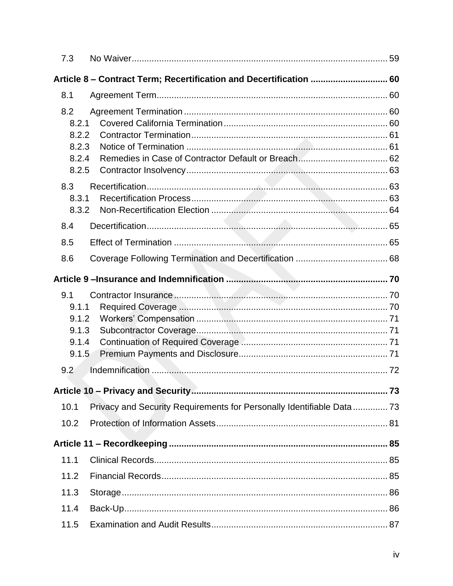| 7.3                                                                |                                                                        |  |
|--------------------------------------------------------------------|------------------------------------------------------------------------|--|
| Article 8 – Contract Term; Recertification and Decertification  60 |                                                                        |  |
| 8.1                                                                |                                                                        |  |
| 8.2<br>8.2.1<br>8.2.2<br>8.2.3<br>8.2.4<br>8.2.5                   |                                                                        |  |
| 8.3<br>8.3.1<br>8.3.2                                              |                                                                        |  |
| 8.4                                                                |                                                                        |  |
| 8.5                                                                |                                                                        |  |
| 8.6                                                                |                                                                        |  |
|                                                                    |                                                                        |  |
| 9.1<br>9.1.1<br>9.1.2<br>9.1.3<br>9.1.4<br>9.1.5                   |                                                                        |  |
| 9.2                                                                |                                                                        |  |
|                                                                    |                                                                        |  |
| 10.1                                                               | Privacy and Security Requirements for Personally Identifiable Data  73 |  |
| 10.2                                                               |                                                                        |  |
|                                                                    |                                                                        |  |
| 11.1                                                               |                                                                        |  |
| 11.2                                                               |                                                                        |  |
| 11.3                                                               |                                                                        |  |
| 11.4                                                               |                                                                        |  |
| 11.5                                                               |                                                                        |  |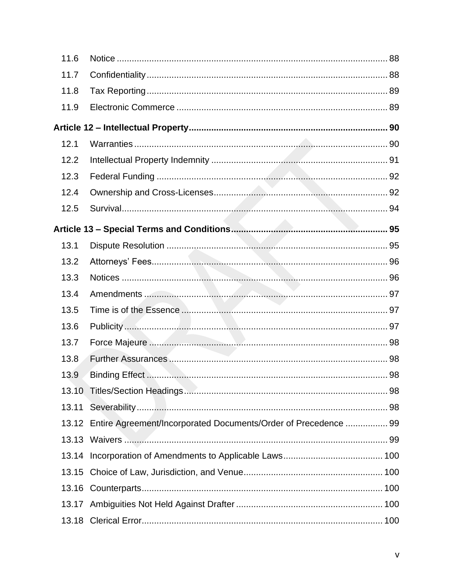| 11.6  |                                                                       |  |
|-------|-----------------------------------------------------------------------|--|
| 11.7  |                                                                       |  |
| 11.8  |                                                                       |  |
| 11.9  |                                                                       |  |
|       |                                                                       |  |
| 12.1  |                                                                       |  |
| 12.2  |                                                                       |  |
| 12.3  |                                                                       |  |
| 12.4  |                                                                       |  |
| 12.5  |                                                                       |  |
|       |                                                                       |  |
| 13.1  |                                                                       |  |
| 13.2  |                                                                       |  |
| 13.3  |                                                                       |  |
| 13.4  |                                                                       |  |
| 13.5  |                                                                       |  |
| 13.6  |                                                                       |  |
| 13.7  |                                                                       |  |
| 13.8  |                                                                       |  |
| 13.9  |                                                                       |  |
| 13.10 |                                                                       |  |
| 13.11 |                                                                       |  |
|       | 13.12 Entire Agreement/Incorporated Documents/Order of Precedence  99 |  |
|       |                                                                       |  |
| 13.14 |                                                                       |  |
| 13.15 |                                                                       |  |
| 13.16 |                                                                       |  |
|       |                                                                       |  |
| 13.18 |                                                                       |  |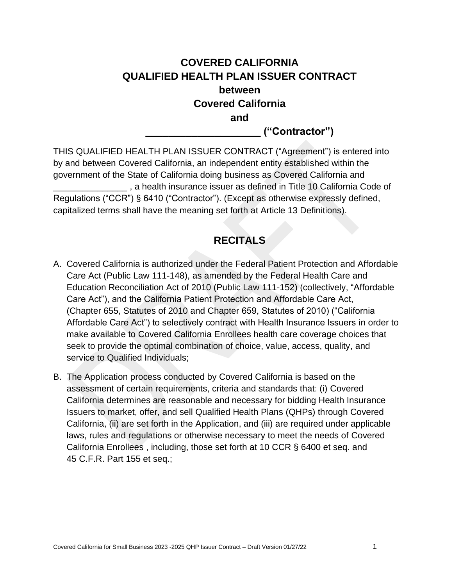# **COVERED CALIFORNIA QUALIFIED HEALTH PLAN ISSUER CONTRACT between Covered California and**

**\_\_\_\_\_\_\_\_\_\_\_\_\_\_\_\_\_\_\_\_ ("Contractor")**

THIS QUALIFIED HEALTH PLAN ISSUER CONTRACT ("Agreement") is entered into by and between Covered California, an independent entity established within the government of the State of California doing business as Covered California and \_\_\_\_\_\_\_\_\_\_\_\_\_\_\_ , a health insurance issuer as defined in Title 10 California Code of Regulations ("CCR") § 6410 ("Contractor"). (Except as otherwise expressly defined, capitalized terms shall have the meaning set forth at Article 13 Definitions).

# **RECITALS**

- <span id="page-9-0"></span>A. Covered California is authorized under the Federal Patient Protection and Affordable Care Act (Public Law 111-148), as amended by the Federal Health Care and Education Reconciliation Act of 2010 (Public Law 111-152) (collectively, "Affordable Care Act"), and the California Patient Protection and Affordable Care Act, (Chapter 655, Statutes of 2010 and Chapter 659, Statutes of 2010) ("California Affordable Care Act") to selectively contract with Health Insurance Issuers in order to make available to Covered California Enrollees health care coverage choices that seek to provide the optimal combination of choice, value, access, quality, and service to Qualified Individuals;
- B. The Application process conducted by Covered California is based on the assessment of certain requirements, criteria and standards that: (i) Covered California determines are reasonable and necessary for bidding Health Insurance Issuers to market, offer, and sell Qualified Health Plans (QHPs) through Covered California, (ii) are set forth in the Application, and (iii) are required under applicable laws, rules and regulations or otherwise necessary to meet the needs of Covered California Enrollees , including, those set forth at 10 CCR § 6400 et seq. and 45 C.F.R. Part 155 et seq.;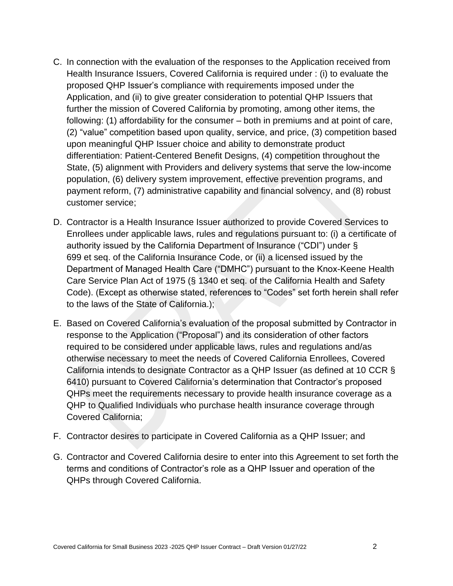- C. In connection with the evaluation of the responses to the Application received from Health Insurance Issuers, Covered California is required under : (i) to evaluate the proposed QHP Issuer's compliance with requirements imposed under the Application, and (ii) to give greater consideration to potential QHP Issuers that further the mission of Covered California by promoting, among other items, the following: (1) affordability for the consumer – both in premiums and at point of care, (2) "value" competition based upon quality, service, and price, (3) competition based upon meaningful QHP Issuer choice and ability to demonstrate product differentiation: Patient-Centered Benefit Designs, (4) competition throughout the State, (5) alignment with Providers and delivery systems that serve the low-income population, (6) delivery system improvement, effective prevention programs, and payment reform, (7) administrative capability and financial solvency, and (8) robust customer service;
- D. Contractor is a Health Insurance Issuer authorized to provide Covered Services to Enrollees under applicable laws, rules and regulations pursuant to: (i) a certificate of authority issued by the California Department of Insurance ("CDI") under § 699 et seq. of the California Insurance Code, or (ii) a licensed issued by the Department of Managed Health Care ("DMHC") pursuant to the Knox-Keene Health Care Service Plan Act of 1975 (§ 1340 et seq. of the California Health and Safety Code). (Except as otherwise stated, references to "Codes" set forth herein shall refer to the laws of the State of California.);
- E. Based on Covered California's evaluation of the proposal submitted by Contractor in response to the Application ("Proposal") and its consideration of other factors required to be considered under applicable laws, rules and regulations and/as otherwise necessary to meet the needs of Covered California Enrollees, Covered California intends to designate Contractor as a QHP Issuer (as defined at 10 CCR § 6410) pursuant to Covered California's determination that Contractor's proposed QHPs meet the requirements necessary to provide health insurance coverage as a QHP to Qualified Individuals who purchase health insurance coverage through Covered California;
- F. Contractor desires to participate in Covered California as a QHP Issuer; and
- G. Contractor and Covered California desire to enter into this Agreement to set forth the terms and conditions of Contractor's role as a QHP Issuer and operation of the QHPs through Covered California.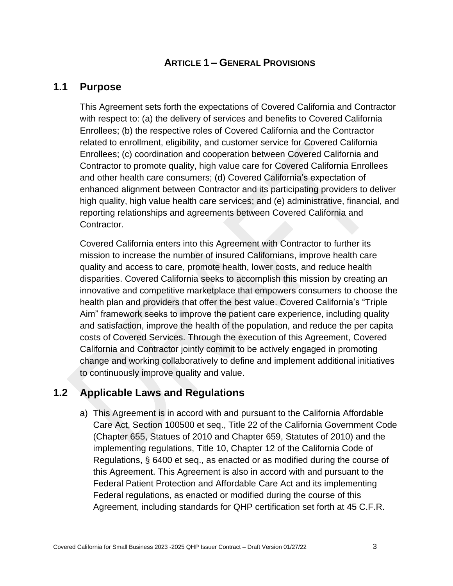### **ARTICLE 1 – GENERAL PROVISIONS**

### <span id="page-11-1"></span><span id="page-11-0"></span>**1.1 Purpose**

This Agreement sets forth the expectations of Covered California and Contractor with respect to: (a) the delivery of services and benefits to Covered California Enrollees; (b) the respective roles of Covered California and the Contractor related to enrollment, eligibility, and customer service for Covered California Enrollees; (c) coordination and cooperation between Covered California and Contractor to promote quality, high value care for Covered California Enrollees and other health care consumers; (d) Covered California's expectation of enhanced alignment between Contractor and its participating providers to deliver high quality, high value health care services; and (e) administrative, financial, and reporting relationships and agreements between Covered California and Contractor.

Covered California enters into this Agreement with Contractor to further its mission to increase the number of insured Californians, improve health care quality and access to care, promote health, lower costs, and reduce health disparities. Covered California seeks to accomplish this mission by creating an innovative and competitive marketplace that empowers consumers to choose the health plan and providers that offer the best value. Covered California's "Triple Aim" framework seeks to improve the patient care experience, including quality and satisfaction, improve the health of the population, and reduce the per capita costs of Covered Services. Through the execution of this Agreement, Covered California and Contractor jointly commit to be actively engaged in promoting change and working collaboratively to define and implement additional initiatives to continuously improve quality and value.

### <span id="page-11-2"></span>**1.2 Applicable Laws and Regulations**

a) This Agreement is in accord with and pursuant to the California Affordable Care Act, Section 100500 et seq., Title 22 of the California Government Code (Chapter 655, Statues of 2010 and Chapter 659, Statutes of 2010) and the implementing regulations, Title 10, Chapter 12 of the California Code of Regulations, § 6400 et seq., as enacted or as modified during the course of this Agreement. This Agreement is also in accord with and pursuant to the Federal Patient Protection and Affordable Care Act and its implementing Federal regulations, as enacted or modified during the course of this Agreement, including standards for QHP certification set forth at 45 C.F.R.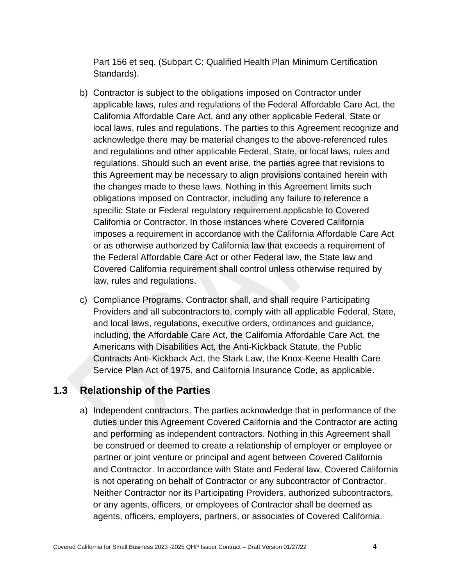Part 156 et seq. (Subpart C: Qualified Health Plan Minimum Certification Standards).

- b) Contractor is subject to the obligations imposed on Contractor under applicable laws, rules and regulations of the Federal Affordable Care Act, the California Affordable Care Act, and any other applicable Federal, State or local laws, rules and regulations. The parties to this Agreement recognize and acknowledge there may be material changes to the above-referenced rules and regulations and other applicable Federal, State, or local laws, rules and regulations. Should such an event arise, the parties agree that revisions to this Agreement may be necessary to align provisions contained herein with the changes made to these laws. Nothing in this Agreement limits such obligations imposed on Contractor, including any failure to reference a specific State or Federal regulatory requirement applicable to Covered California or Contractor. In those instances where Covered California imposes a requirement in accordance with the California Affordable Care Act or as otherwise authorized by California law that exceeds a requirement of the Federal Affordable Care Act or other Federal law, the State law and Covered California requirement shall control unless otherwise required by law, rules and regulations.
- c) Compliance Programs. Contractor shall, and shall require Participating Providers and all subcontractors to, comply with all applicable Federal, State, and local laws, regulations, executive orders, ordinances and guidance, including, the Affordable Care Act, the California Affordable Care Act, the Americans with Disabilities Act, the Anti-Kickback Statute, the Public Contracts Anti-Kickback Act, the Stark Law, the Knox-Keene Health Care Service Plan Act of 1975, and California Insurance Code, as applicable.

### <span id="page-12-0"></span>**1.3 Relationship of the Parties**

a) Independent contractors. The parties acknowledge that in performance of the duties under this Agreement Covered California and the Contractor are acting and performing as independent contractors. Nothing in this Agreement shall be construed or deemed to create a relationship of employer or employee or partner or joint venture or principal and agent between Covered California and Contractor. In accordance with State and Federal law, Covered California is not operating on behalf of Contractor or any subcontractor of Contractor. Neither Contractor nor its Participating Providers, authorized subcontractors, or any agents, officers, or employees of Contractor shall be deemed as agents, officers, employers, partners, or associates of Covered California.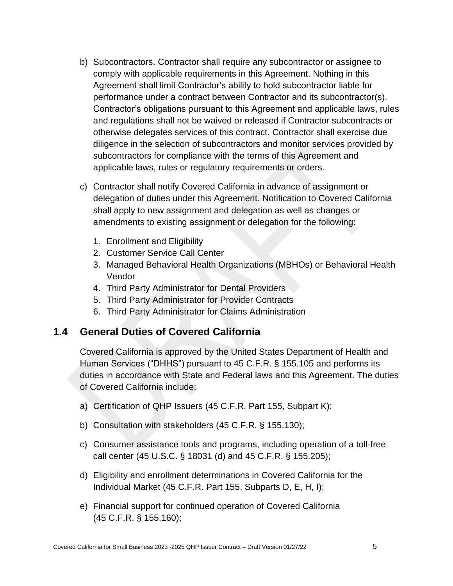- b) Subcontractors. Contractor shall require any subcontractor or assignee to comply with applicable requirements in this Agreement. Nothing in this Agreement shall limit Contractor's ability to hold subcontractor liable for performance under a contract between Contractor and its subcontractor(s). Contractor's obligations pursuant to this Agreement and applicable laws, rules and regulations shall not be waived or released if Contractor subcontracts or otherwise delegates services of this contract. Contractor shall exercise due diligence in the selection of subcontractors and monitor services provided by subcontractors for compliance with the terms of this Agreement and applicable laws, rules or regulatory requirements or orders.
- c) Contractor shall notify Covered California in advance of assignment or delegation of duties under this Agreement. Notification to Covered California shall apply to new assignment and delegation as well as changes or amendments to existing assignment or delegation for the following:
	- 1. Enrollment and Eligibility
	- 2. Customer Service Call Center
	- 3. Managed Behavioral Health Organizations (MBHOs) or Behavioral Health Vendor
	- 4. Third Party Administrator for Dental Providers
	- 5. Third Party Administrator for Provider Contracts
	- 6. Third Party Administrator for Claims Administration

### <span id="page-13-0"></span>**1.4 General Duties of Covered California**

Covered California is approved by the United States Department of Health and Human Services ("DHHS") pursuant to 45 C.F.R. § 155.105 and performs its duties in accordance with State and Federal laws and this Agreement. The duties of Covered California include:

- a) Certification of QHP Issuers (45 C.F.R. Part 155, Subpart K);
- b) Consultation with stakeholders (45 C.F.R. § 155.130);
- c) Consumer assistance tools and programs, including operation of a toll-free call center (45 U.S.C. § 18031 (d) and 45 C.F.R. § 155.205);
- d) Eligibility and enrollment determinations in Covered California for the Individual Market (45 C.F.R. Part 155, Subparts D, E, H, I);
- e) Financial support for continued operation of Covered California (45 C.F.R. § 155.160);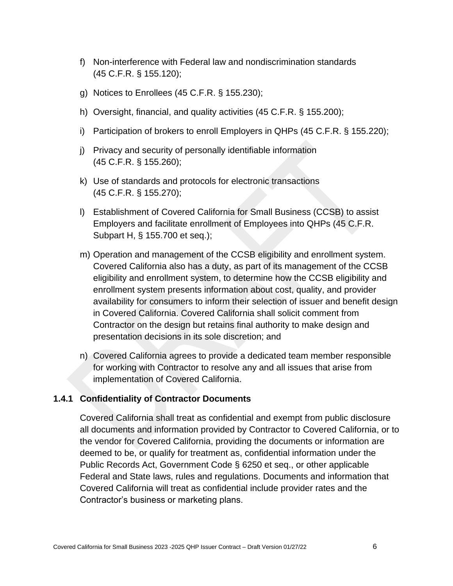- f) Non-interference with Federal law and nondiscrimination standards (45 C.F.R. § 155.120);
- g) Notices to Enrollees (45 C.F.R. § 155.230);
- h) Oversight, financial, and quality activities (45 C.F.R. § 155.200);
- i) Participation of brokers to enroll Employers in QHPs (45 C.F.R. § 155.220);
- j) Privacy and security of personally identifiable information (45 C.F.R. § 155.260);
- k) Use of standards and protocols for electronic transactions (45 C.F.R. § 155.270);
- l) Establishment of Covered California for Small Business (CCSB) to assist Employers and facilitate enrollment of Employees into QHPs (45 C.F.R. Subpart H, § 155.700 et seq.);
- m) Operation and management of the CCSB eligibility and enrollment system. Covered California also has a duty, as part of its management of the CCSB eligibility and enrollment system, to determine how the CCSB eligibility and enrollment system presents information about cost, quality, and provider availability for consumers to inform their selection of issuer and benefit design in Covered California. Covered California shall solicit comment from Contractor on the design but retains final authority to make design and presentation decisions in its sole discretion; and
- n) Covered California agrees to provide a dedicated team member responsible for working with Contractor to resolve any and all issues that arise from implementation of Covered California.

#### <span id="page-14-0"></span>**1.4.1 Confidentiality of Contractor Documents**

Covered California shall treat as confidential and exempt from public disclosure all documents and information provided by Contractor to Covered California, or to the vendor for Covered California, providing the documents or information are deemed to be, or qualify for treatment as, confidential information under the Public Records Act, Government Code § 6250 et seq., or other applicable Federal and State laws, rules and regulations. Documents and information that Covered California will treat as confidential include provider rates and the Contractor's business or marketing plans.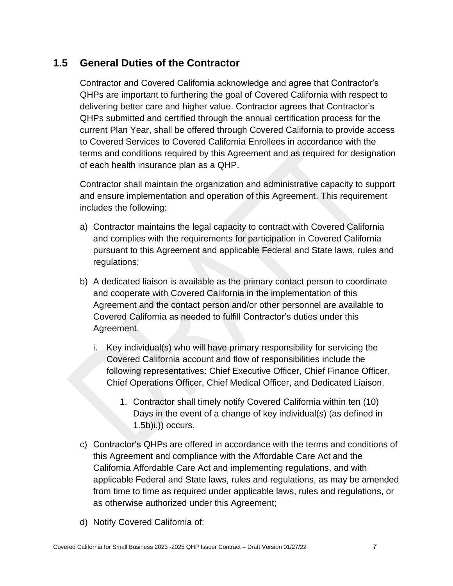# <span id="page-15-0"></span>**1.5 General Duties of the Contractor**

Contractor and Covered California acknowledge and agree that Contractor's QHPs are important to furthering the goal of Covered California with respect to delivering better care and higher value. Contractor agrees that Contractor's QHPs submitted and certified through the annual certification process for the current Plan Year, shall be offered through Covered California to provide access to Covered Services to Covered California Enrollees in accordance with the terms and conditions required by this Agreement and as required for designation of each health insurance plan as a QHP.

Contractor shall maintain the organization and administrative capacity to support and ensure implementation and operation of this Agreement. This requirement includes the following:

- a) Contractor maintains the legal capacity to contract with Covered California and complies with the requirements for participation in Covered California pursuant to this Agreement and applicable Federal and State laws, rules and regulations;
- b) A dedicated liaison is available as the primary contact person to coordinate and cooperate with Covered California in the implementation of this Agreement and the contact person and/or other personnel are available to Covered California as needed to fulfill Contractor's duties under this Agreement.
	- i. Key individual(s) who will have primary responsibility for servicing the Covered California account and flow of responsibilities include the following representatives: Chief Executive Officer, Chief Finance Officer, Chief Operations Officer, Chief Medical Officer, and Dedicated Liaison.
		- 1. Contractor shall timely notify Covered California within ten (10) Days in the event of a change of key individual(s) (as defined in  $(1.5b)i$ .)) occurs.
- c) Contractor's QHPs are offered in accordance with the terms and conditions of this Agreement and compliance with the Affordable Care Act and the California Affordable Care Act and implementing regulations, and with applicable Federal and State laws, rules and regulations, as may be amended from time to time as required under applicable laws, rules and regulations, or as otherwise authorized under this Agreement;
- d) Notify Covered California of: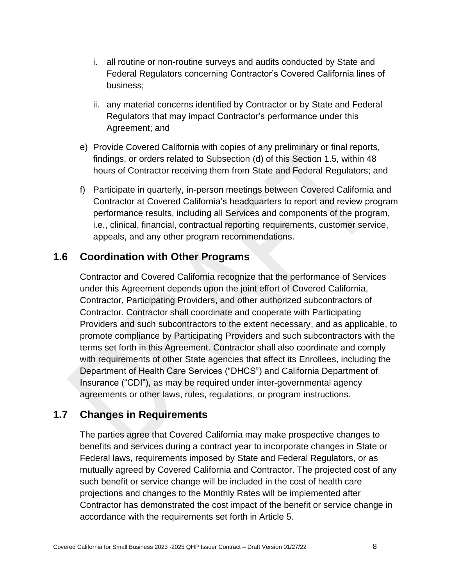- i. all routine or non-routine surveys and audits conducted by State and Federal Regulators concerning Contractor's Covered California lines of business;
- ii. any material concerns identified by Contractor or by State and Federal Regulators that may impact Contractor's performance under this Agreement; and
- e) Provide Covered California with copies of any preliminary or final reports, findings, or orders related to Subsection (d) of this Section 1.5, within 48 hours of Contractor receiving them from State and Federal Regulators; and
- f) Participate in quarterly, in-person meetings between Covered California and Contractor at Covered California's headquarters to report and review program performance results, including all Services and components of the program, i.e., clinical, financial, contractual reporting requirements, customer service, appeals, and any other program recommendations.

# <span id="page-16-0"></span>**1.6 Coordination with Other Programs**

Contractor and Covered California recognize that the performance of Services under this Agreement depends upon the joint effort of Covered California, Contractor, Participating Providers, and other authorized subcontractors of Contractor. Contractor shall coordinate and cooperate with Participating Providers and such subcontractors to the extent necessary, and as applicable, to promote compliance by Participating Providers and such subcontractors with the terms set forth in this Agreement. Contractor shall also coordinate and comply with requirements of other State agencies that affect its Enrollees, including the Department of Health Care Services ("DHCS") and California Department of Insurance ("CDI"), as may be required under inter-governmental agency agreements or other laws, rules, regulations, or program instructions.

# <span id="page-16-1"></span>**1.7 Changes in Requirements**

The parties agree that Covered California may make prospective changes to benefits and services during a contract year to incorporate changes in State or Federal laws, requirements imposed by State and Federal Regulators, or as mutually agreed by Covered California and Contractor. The projected cost of any such benefit or service change will be included in the cost of health care projections and changes to the Monthly Rates will be implemented after Contractor has demonstrated the cost impact of the benefit or service change in accordance with the requirements set forth in Article 5.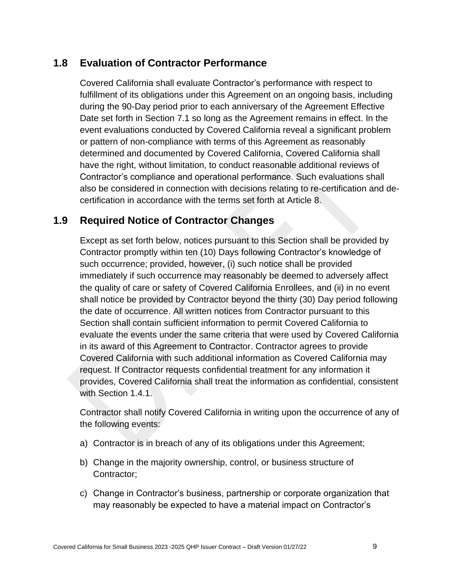# <span id="page-17-0"></span>**1.8 Evaluation of Contractor Performance**

Covered California shall evaluate Contractor's performance with respect to fulfillment of its obligations under this Agreement on an ongoing basis, including during the 90-Day period prior to each anniversary of the Agreement Effective Date set forth in Section 7.1 so long as the Agreement remains in effect. In the event evaluations conducted by Covered California reveal a significant problem or pattern of non-compliance with terms of this Agreement as reasonably determined and documented by Covered California, Covered California shall have the right, without limitation, to conduct reasonable additional reviews of Contractor's compliance and operational performance. Such evaluations shall also be considered in connection with decisions relating to re-certification and decertification in accordance with the terms set forth at Article 8.

# <span id="page-17-1"></span>**1.9 Required Notice of Contractor Changes**

Except as set forth below, notices pursuant to this Section shall be provided by Contractor promptly within ten (10) Days following Contractor's knowledge of such occurrence; provided, however, (i) such notice shall be provided immediately if such occurrence may reasonably be deemed to adversely affect the quality of care or safety of Covered California Enrollees, and (ii) in no event shall notice be provided by Contractor beyond the thirty (30) Day period following the date of occurrence. All written notices from Contractor pursuant to this Section shall contain sufficient information to permit Covered California to evaluate the events under the same criteria that were used by Covered California in its award of this Agreement to Contractor. Contractor agrees to provide Covered California with such additional information as Covered California may request. If Contractor requests confidential treatment for any information it provides, Covered California shall treat the information as confidential, consistent with Section 1.4.1.

Contractor shall notify Covered California in writing upon the occurrence of any of the following events:

- a) Contractor is in breach of any of its obligations under this Agreement;
- b) Change in the majority ownership, control, or business structure of Contractor;
- c) Change in Contractor's business, partnership or corporate organization that may reasonably be expected to have a material impact on Contractor's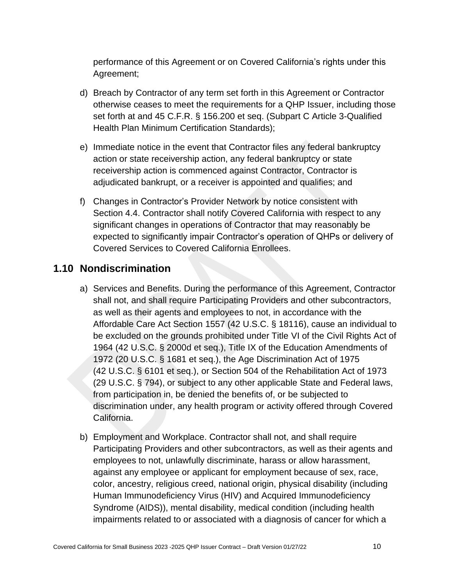performance of this Agreement or on Covered California's rights under this Agreement;

- d) Breach by Contractor of any term set forth in this Agreement or Contractor otherwise ceases to meet the requirements for a QHP Issuer, including those set forth at and 45 C.F.R. § 156.200 et seq. (Subpart C Article 3-Qualified Health Plan Minimum Certification Standards);
- e) Immediate notice in the event that Contractor files any federal bankruptcy action or state receivership action, any federal bankruptcy or state receivership action is commenced against Contractor, Contractor is adjudicated bankrupt, or a receiver is appointed and qualifies; and
- f) Changes in Contractor's Provider Network by notice consistent with Section 4.4. Contractor shall notify Covered California with respect to any significant changes in operations of Contractor that may reasonably be expected to significantly impair Contractor's operation of QHPs or delivery of Covered Services to Covered California Enrollees.

# <span id="page-18-0"></span>**1.10 Nondiscrimination**

- a) Services and Benefits. During the performance of this Agreement, Contractor shall not, and shall require Participating Providers and other subcontractors, as well as their agents and employees to not, in accordance with the Affordable Care Act Section 1557 (42 U.S.C. § 18116), cause an individual to be excluded on the grounds prohibited under Title VI of the Civil Rights Act of 1964 (42 U.S.C. § 2000d et seq.), Title IX of the Education Amendments of 1972 (20 U.S.C. § 1681 et seq.), the Age Discrimination Act of 1975 (42 U.S.C. § 6101 et seq.), or Section 504 of the Rehabilitation Act of 1973 (29 U.S.C. § 794), or subject to any other applicable State and Federal laws, from participation in, be denied the benefits of, or be subjected to discrimination under, any health program or activity offered through Covered California.
- b) Employment and Workplace. Contractor shall not, and shall require Participating Providers and other subcontractors, as well as their agents and employees to not, unlawfully discriminate, harass or allow harassment, against any employee or applicant for employment because of sex, race, color, ancestry, religious creed, national origin, physical disability (including Human Immunodeficiency Virus (HIV) and Acquired Immunodeficiency Syndrome (AIDS)), mental disability, medical condition (including health impairments related to or associated with a diagnosis of cancer for which a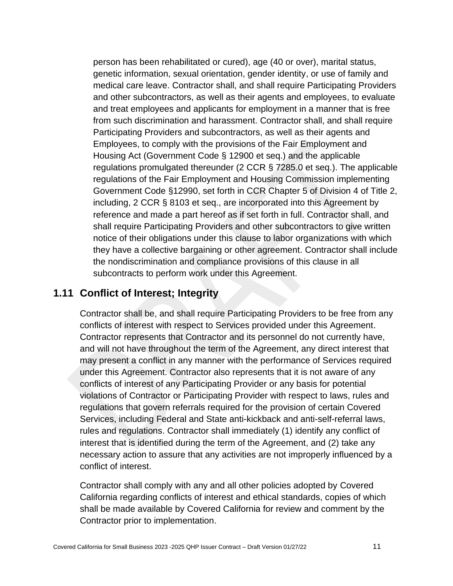person has been rehabilitated or cured), age (40 or over), marital status, genetic information, sexual orientation, gender identity, or use of family and medical care leave. Contractor shall, and shall require Participating Providers and other subcontractors, as well as their agents and employees, to evaluate and treat employees and applicants for employment in a manner that is free from such discrimination and harassment. Contractor shall, and shall require Participating Providers and subcontractors, as well as their agents and Employees, to comply with the provisions of the Fair Employment and Housing Act (Government Code § 12900 et seq.) and the applicable regulations promulgated thereunder (2 CCR § 7285.0 et seq.). The applicable regulations of the Fair Employment and Housing Commission implementing Government Code §12990, set forth in CCR Chapter 5 of Division 4 of Title 2, including, 2 CCR § 8103 et seq., are incorporated into this Agreement by reference and made a part hereof as if set forth in full. Contractor shall, and shall require Participating Providers and other subcontractors to give written notice of their obligations under this clause to labor organizations with which they have a collective bargaining or other agreement. Contractor shall include the nondiscrimination and compliance provisions of this clause in all subcontracts to perform work under this Agreement.

## <span id="page-19-0"></span>**1.11 Conflict of Interest; Integrity**

Contractor shall be, and shall require Participating Providers to be free from any conflicts of interest with respect to Services provided under this Agreement. Contractor represents that Contractor and its personnel do not currently have, and will not have throughout the term of the Agreement, any direct interest that may present a conflict in any manner with the performance of Services required under this Agreement. Contractor also represents that it is not aware of any conflicts of interest of any Participating Provider or any basis for potential violations of Contractor or Participating Provider with respect to laws, rules and regulations that govern referrals required for the provision of certain Covered Services, including Federal and State anti-kickback and anti-self-referral laws, rules and regulations. Contractor shall immediately (1) identify any conflict of interest that is identified during the term of the Agreement, and (2) take any necessary action to assure that any activities are not improperly influenced by a conflict of interest.

Contractor shall comply with any and all other policies adopted by Covered California regarding conflicts of interest and ethical standards, copies of which shall be made available by Covered California for review and comment by the Contractor prior to implementation.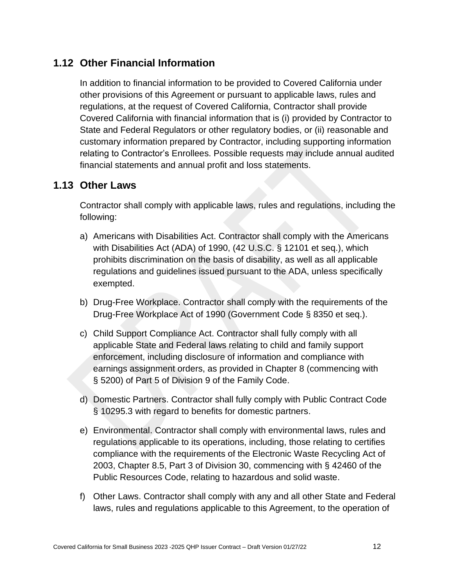# <span id="page-20-0"></span>**1.12 Other Financial Information**

In addition to financial information to be provided to Covered California under other provisions of this Agreement or pursuant to applicable laws, rules and regulations, at the request of Covered California, Contractor shall provide Covered California with financial information that is (i) provided by Contractor to State and Federal Regulators or other regulatory bodies, or (ii) reasonable and customary information prepared by Contractor, including supporting information relating to Contractor's Enrollees. Possible requests may include annual audited financial statements and annual profit and loss statements.

### <span id="page-20-1"></span>**1.13 Other Laws**

Contractor shall comply with applicable laws, rules and regulations, including the following:

- a) Americans with Disabilities Act. Contractor shall comply with the Americans with Disabilities Act (ADA) of 1990, (42 U.S.C. § 12101 et seq.), which prohibits discrimination on the basis of disability, as well as all applicable regulations and guidelines issued pursuant to the ADA, unless specifically exempted.
- b) Drug-Free Workplace. Contractor shall comply with the requirements of the Drug-Free Workplace Act of 1990 (Government Code § 8350 et seq.).
- c) Child Support Compliance Act. Contractor shall fully comply with all applicable State and Federal laws relating to child and family support enforcement, including disclosure of information and compliance with earnings assignment orders, as provided in Chapter 8 (commencing with § 5200) of Part 5 of Division 9 of the Family Code.
- d) Domestic Partners. Contractor shall fully comply with Public Contract Code § 10295.3 with regard to benefits for domestic partners.
- e) Environmental. Contractor shall comply with environmental laws, rules and regulations applicable to its operations, including, those relating to certifies compliance with the requirements of the Electronic Waste Recycling Act of 2003, Chapter 8.5, Part 3 of Division 30, commencing with § 42460 of the Public Resources Code, relating to hazardous and solid waste.
- f) Other Laws. Contractor shall comply with any and all other State and Federal laws, rules and regulations applicable to this Agreement, to the operation of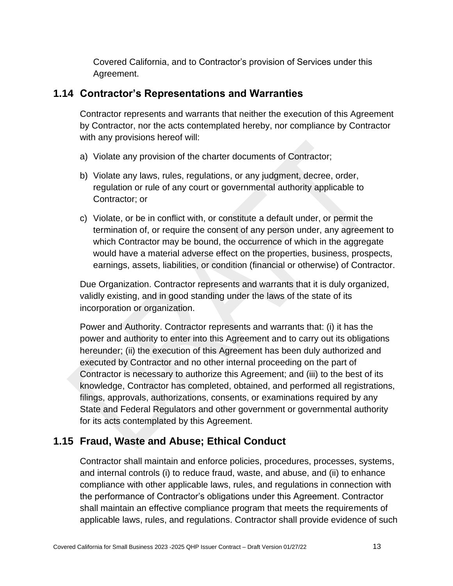Covered California, and to Contractor's provision of Services under this Agreement.

### <span id="page-21-0"></span>**1.14 Contractor's Representations and Warranties**

Contractor represents and warrants that neither the execution of this Agreement by Contractor, nor the acts contemplated hereby, nor compliance by Contractor with any provisions hereof will:

- a) Violate any provision of the charter documents of Contractor;
- b) Violate any laws, rules, regulations, or any judgment, decree, order, regulation or rule of any court or governmental authority applicable to Contractor; or
- c) Violate, or be in conflict with, or constitute a default under, or permit the termination of, or require the consent of any person under, any agreement to which Contractor may be bound, the occurrence of which in the aggregate would have a material adverse effect on the properties, business, prospects, earnings, assets, liabilities, or condition (financial or otherwise) of Contractor.

Due Organization. Contractor represents and warrants that it is duly organized, validly existing, and in good standing under the laws of the state of its incorporation or organization.

Power and Authority. Contractor represents and warrants that: (i) it has the power and authority to enter into this Agreement and to carry out its obligations hereunder; (ii) the execution of this Agreement has been duly authorized and executed by Contractor and no other internal proceeding on the part of Contractor is necessary to authorize this Agreement; and (iii) to the best of its knowledge, Contractor has completed, obtained, and performed all registrations, filings, approvals, authorizations, consents, or examinations required by any State and Federal Regulators and other government or governmental authority for its acts contemplated by this Agreement.

# <span id="page-21-1"></span>**1.15 Fraud, Waste and Abuse; Ethical Conduct**

Contractor shall maintain and enforce policies, procedures, processes, systems, and internal controls (i) to reduce fraud, waste, and abuse, and (ii) to enhance compliance with other applicable laws, rules, and regulations in connection with the performance of Contractor's obligations under this Agreement. Contractor shall maintain an effective compliance program that meets the requirements of applicable laws, rules, and regulations. Contractor shall provide evidence of such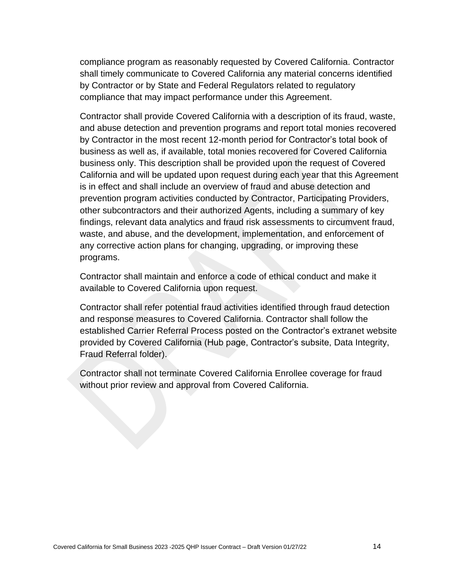compliance program as reasonably requested by Covered California. Contractor shall timely communicate to Covered California any material concerns identified by Contractor or by State and Federal Regulators related to regulatory compliance that may impact performance under this Agreement.

Contractor shall provide Covered California with a description of its fraud, waste, and abuse detection and prevention programs and report total monies recovered by Contractor in the most recent 12-month period for Contractor's total book of business as well as, if available, total monies recovered for Covered California business only. This description shall be provided upon the request of Covered California and will be updated upon request during each year that this Agreement is in effect and shall include an overview of fraud and abuse detection and prevention program activities conducted by Contractor, Participating Providers, other subcontractors and their authorized Agents, including a summary of key findings, relevant data analytics and fraud risk assessments to circumvent fraud, waste, and abuse, and the development, implementation, and enforcement of any corrective action plans for changing, upgrading, or improving these programs.

Contractor shall maintain and enforce a code of ethical conduct and make it available to Covered California upon request.

Contractor shall refer potential fraud activities identified through fraud detection and response measures to Covered California. Contractor shall follow the established Carrier Referral Process posted on the Contractor's extranet website provided by Covered California (Hub page, Contractor's subsite, Data Integrity, Fraud Referral folder).

Contractor shall not terminate Covered California Enrollee coverage for fraud without prior review and approval from Covered California.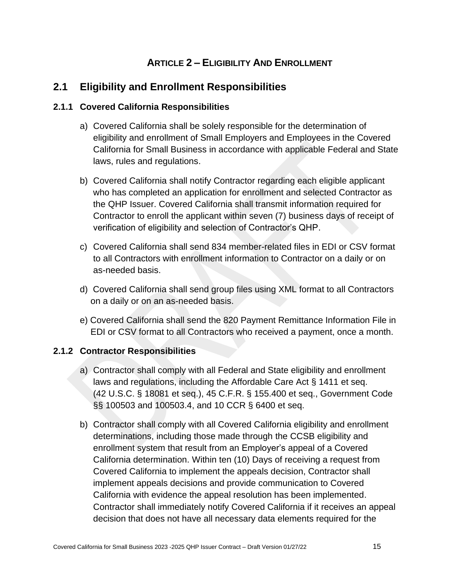# **ARTICLE 2 – ELIGIBILITY AND ENROLLMENT**

# <span id="page-23-1"></span><span id="page-23-0"></span>**2.1 Eligibility and Enrollment Responsibilities**

#### <span id="page-23-2"></span>**2.1.1 Covered California Responsibilities**

- a) Covered California shall be solely responsible for the determination of eligibility and enrollment of Small Employers and Employees in the Covered California for Small Business in accordance with applicable Federal and State laws, rules and regulations.
- b) Covered California shall notify Contractor regarding each eligible applicant who has completed an application for enrollment and selected Contractor as the QHP Issuer. Covered California shall transmit information required for Contractor to enroll the applicant within seven (7) business days of receipt of verification of eligibility and selection of Contractor's QHP.
- c) Covered California shall send 834 member-related files in EDI or CSV format to all Contractors with enrollment information to Contractor on a daily or on as-needed basis.
- d) Covered California shall send group files using XML format to all Contractors on a daily or on an as-needed basis.
- e) Covered California shall send the 820 Payment Remittance Information File in EDI or CSV format to all Contractors who received a payment, once a month.

#### <span id="page-23-3"></span>**2.1.2 Contractor Responsibilities**

- a) Contractor shall comply with all Federal and State eligibility and enrollment laws and regulations, including the Affordable Care Act § 1411 et seq. (42 U.S.C. § 18081 et seq.), 45 C.F.R. § 155.400 et seq., Government Code §§ 100503 and 100503.4, and 10 CCR § 6400 et seq.
- b) Contractor shall comply with all Covered California eligibility and enrollment determinations, including those made through the CCSB eligibility and enrollment system that result from an Employer's appeal of a Covered California determination. Within ten (10) Days of receiving a request from Covered California to implement the appeals decision, Contractor shall implement appeals decisions and provide communication to Covered California with evidence the appeal resolution has been implemented. Contractor shall immediately notify Covered California if it receives an appeal decision that does not have all necessary data elements required for the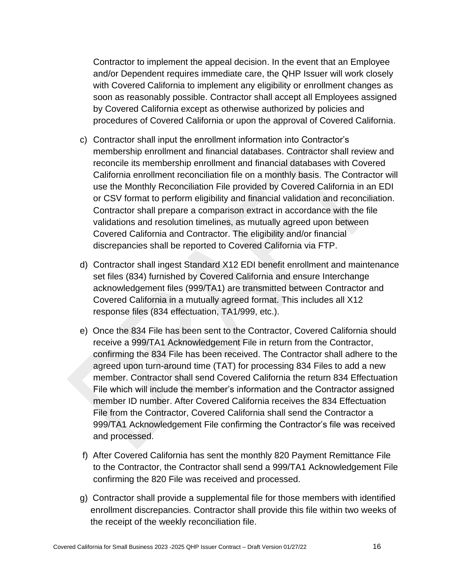Contractor to implement the appeal decision. In the event that an Employee and/or Dependent requires immediate care, the QHP Issuer will work closely with Covered California to implement any eligibility or enrollment changes as soon as reasonably possible. Contractor shall accept all Employees assigned by Covered California except as otherwise authorized by policies and procedures of Covered California or upon the approval of Covered California.

- c) Contractor shall input the enrollment information into Contractor's membership enrollment and financial databases. Contractor shall review and reconcile its membership enrollment and financial databases with Covered California enrollment reconciliation file on a monthly basis. The Contractor will use the Monthly Reconciliation File provided by Covered California in an EDI or CSV format to perform eligibility and financial validation and reconciliation. Contractor shall prepare a comparison extract in accordance with the file validations and resolution timelines, as mutually agreed upon between Covered California and Contractor. The eligibility and/or financial discrepancies shall be reported to Covered California via FTP.
- d) Contractor shall ingest Standard X12 EDI benefit enrollment and maintenance set files (834) furnished by Covered California and ensure Interchange acknowledgement files (999/TA1) are transmitted between Contractor and Covered California in a mutually agreed format. This includes all X12 response files (834 effectuation, TA1/999, etc.).
- e) Once the 834 File has been sent to the Contractor, Covered California should receive a 999/TA1 Acknowledgement File in return from the Contractor, confirming the 834 File has been received. The Contractor shall adhere to the agreed upon turn-around time (TAT) for processing 834 Files to add a new member. Contractor shall send Covered California the return 834 Effectuation File which will include the member's information and the Contractor assigned member ID number. After Covered California receives the 834 Effectuation File from the Contractor, Covered California shall send the Contractor a 999/TA1 Acknowledgement File confirming the Contractor's file was received and processed.
- f) After Covered California has sent the monthly 820 Payment Remittance File to the Contractor, the Contractor shall send a 999/TA1 Acknowledgement File confirming the 820 File was received and processed.
- g) Contractor shall provide a supplemental file for those members with identified enrollment discrepancies. Contractor shall provide this file within two weeks of the receipt of the weekly reconciliation file.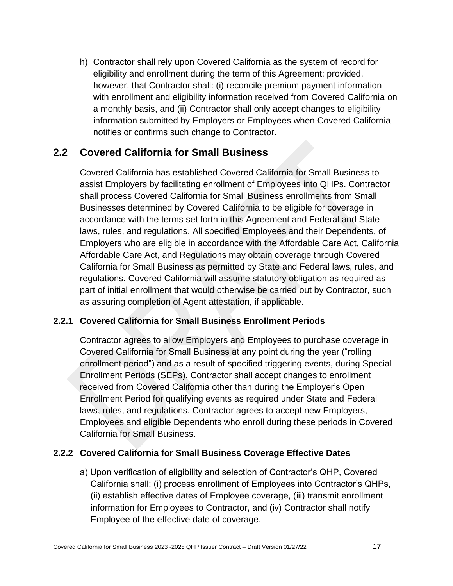h) Contractor shall rely upon Covered California as the system of record for eligibility and enrollment during the term of this Agreement; provided, however, that Contractor shall: (i) reconcile premium payment information with enrollment and eligibility information received from Covered California on a monthly basis, and (ii) Contractor shall only accept changes to eligibility information submitted by Employers or Employees when Covered California notifies or confirms such change to Contractor.

# <span id="page-25-0"></span>**2.2 Covered California for Small Business**

Covered California has established Covered California for Small Business to assist Employers by facilitating enrollment of Employees into QHPs. Contractor shall process Covered California for Small Business enrollments from Small Businesses determined by Covered California to be eligible for coverage in accordance with the terms set forth in this Agreement and Federal and State laws, rules, and regulations. All specified Employees and their Dependents, of Employers who are eligible in accordance with the Affordable Care Act, California Affordable Care Act, and Regulations may obtain coverage through Covered California for Small Business as permitted by State and Federal laws, rules, and regulations. Covered California will assume statutory obligation as required as part of initial enrollment that would otherwise be carried out by Contractor, such as assuring completion of Agent attestation, if applicable.

#### <span id="page-25-1"></span>**2.2.1 Covered California for Small Business Enrollment Periods**

Contractor agrees to allow Employers and Employees to purchase coverage in Covered California for Small Business at any point during the year ("rolling enrollment period") and as a result of specified triggering events, during Special Enrollment Periods (SEPs). Contractor shall accept changes to enrollment received from Covered California other than during the Employer's Open Enrollment Period for qualifying events as required under State and Federal laws, rules, and regulations. Contractor agrees to accept new Employers, Employees and eligible Dependents who enroll during these periods in Covered California for Small Business.

#### <span id="page-25-2"></span>**2.2.2 Covered California for Small Business Coverage Effective Dates**

a) Upon verification of eligibility and selection of Contractor's QHP, Covered California shall: (i) process enrollment of Employees into Contractor's QHPs, (ii) establish effective dates of Employee coverage, (iii) transmit enrollment information for Employees to Contractor, and (iv) Contractor shall notify Employee of the effective date of coverage.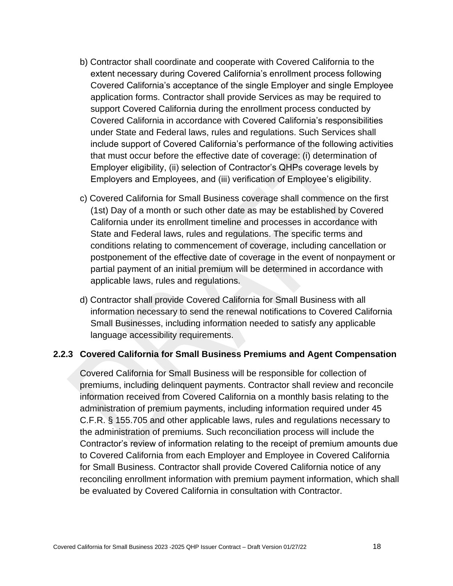- b) Contractor shall coordinate and cooperate with Covered California to the extent necessary during Covered California's enrollment process following Covered California's acceptance of the single Employer and single Employee application forms. Contractor shall provide Services as may be required to support Covered California during the enrollment process conducted by Covered California in accordance with Covered California's responsibilities under State and Federal laws, rules and regulations. Such Services shall include support of Covered California's performance of the following activities that must occur before the effective date of coverage: (i) determination of Employer eligibility, (ii) selection of Contractor's QHPs coverage levels by Employers and Employees, and (iii) verification of Employee's eligibility.
- c) Covered California for Small Business coverage shall commence on the first (1st) Day of a month or such other date as may be established by Covered California under its enrollment timeline and processes in accordance with State and Federal laws, rules and regulations. The specific terms and conditions relating to commencement of coverage, including cancellation or postponement of the effective date of coverage in the event of nonpayment or partial payment of an initial premium will be determined in accordance with applicable laws, rules and regulations.
- d) Contractor shall provide Covered California for Small Business with all information necessary to send the renewal notifications to Covered California Small Businesses, including information needed to satisfy any applicable language accessibility requirements.

#### <span id="page-26-0"></span>**2.2.3 Covered California for Small Business Premiums and Agent Compensation**

Covered California for Small Business will be responsible for collection of premiums, including delinquent payments. Contractor shall review and reconcile information received from Covered California on a monthly basis relating to the administration of premium payments, including information required under 45 C.F.R. § 155.705 and other applicable laws, rules and regulations necessary to the administration of premiums. Such reconciliation process will include the Contractor's review of information relating to the receipt of premium amounts due to Covered California from each Employer and Employee in Covered California for Small Business. Contractor shall provide Covered California notice of any reconciling enrollment information with premium payment information, which shall be evaluated by Covered California in consultation with Contractor.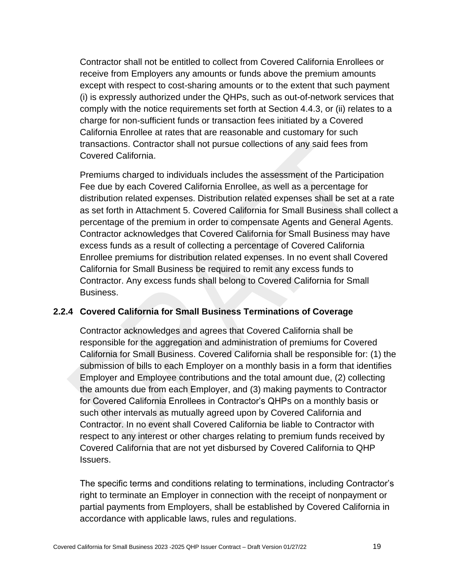Contractor shall not be entitled to collect from Covered California Enrollees or receive from Employers any amounts or funds above the premium amounts except with respect to cost-sharing amounts or to the extent that such payment (i) is expressly authorized under the QHPs, such as out-of-network services that comply with the notice requirements set forth at Section 4.4.3, or (ii) relates to a charge for non-sufficient funds or transaction fees initiated by a Covered California Enrollee at rates that are reasonable and customary for such transactions. Contractor shall not pursue collections of any said fees from Covered California.

Premiums charged to individuals includes the assessment of the Participation Fee due by each Covered California Enrollee, as well as a percentage for distribution related expenses. Distribution related expenses shall be set at a rate as set forth in Attachment 5. Covered California for Small Business shall collect a percentage of the premium in order to compensate Agents and General Agents. Contractor acknowledges that Covered California for Small Business may have excess funds as a result of collecting a percentage of Covered California Enrollee premiums for distribution related expenses. In no event shall Covered California for Small Business be required to remit any excess funds to Contractor. Any excess funds shall belong to Covered California for Small Business.

#### <span id="page-27-0"></span>**2.2.4 Covered California for Small Business Terminations of Coverage**

Contractor acknowledges and agrees that Covered California shall be responsible for the aggregation and administration of premiums for Covered California for Small Business. Covered California shall be responsible for: (1) the submission of bills to each Employer on a monthly basis in a form that identifies Employer and Employee contributions and the total amount due, (2) collecting the amounts due from each Employer, and (3) making payments to Contractor for Covered California Enrollees in Contractor's QHPs on a monthly basis or such other intervals as mutually agreed upon by Covered California and Contractor. In no event shall Covered California be liable to Contractor with respect to any interest or other charges relating to premium funds received by Covered California that are not yet disbursed by Covered California to QHP Issuers.

The specific terms and conditions relating to terminations, including Contractor's right to terminate an Employer in connection with the receipt of nonpayment or partial payments from Employers, shall be established by Covered California in accordance with applicable laws, rules and regulations.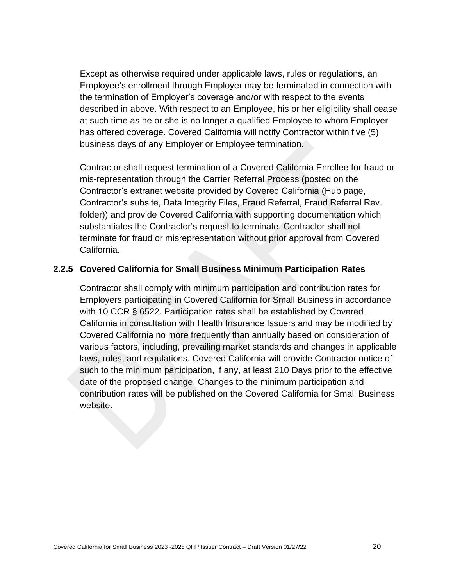Except as otherwise required under applicable laws, rules or regulations, an Employee's enrollment through Employer may be terminated in connection with the termination of Employer's coverage and/or with respect to the events described in above. With respect to an Employee, his or her eligibility shall cease at such time as he or she is no longer a qualified Employee to whom Employer has offered coverage. Covered California will notify Contractor within five (5) business days of any Employer or Employee termination.

Contractor shall request termination of a Covered California Enrollee for fraud or mis-representation through the Carrier Referral Process (posted on the Contractor's extranet website provided by Covered California (Hub page, Contractor's subsite, Data Integrity Files, Fraud Referral, Fraud Referral Rev. folder)) and provide Covered California with supporting documentation which substantiates the Contractor's request to terminate. Contractor shall not terminate for fraud or misrepresentation without prior approval from Covered California.

#### <span id="page-28-0"></span>**2.2.5 Covered California for Small Business Minimum Participation Rates**

Contractor shall comply with minimum participation and contribution rates for Employers participating in Covered California for Small Business in accordance with 10 CCR § 6522. Participation rates shall be established by Covered California in consultation with Health Insurance Issuers and may be modified by Covered California no more frequently than annually based on consideration of various factors, including, prevailing market standards and changes in applicable laws, rules, and regulations. Covered California will provide Contractor notice of such to the minimum participation, if any, at least 210 Days prior to the effective date of the proposed change. Changes to the minimum participation and contribution rates will be published on the Covered California for Small Business website.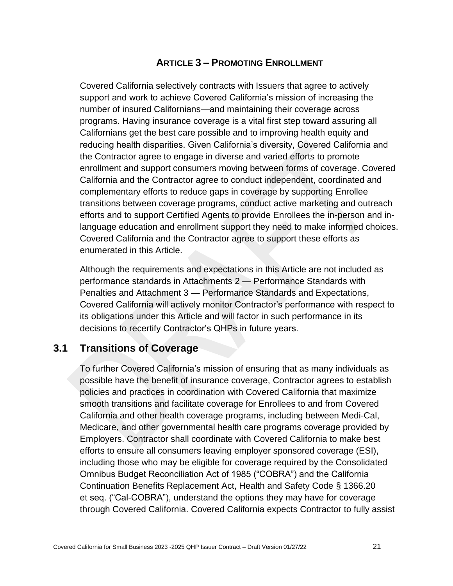### **ARTICLE 3 – PROMOTING ENROLLMENT**

<span id="page-29-0"></span>Covered California selectively contracts with Issuers that agree to actively support and work to achieve Covered California's mission of increasing the number of insured Californians—and maintaining their coverage across programs. Having insurance coverage is a vital first step toward assuring all Californians get the best care possible and to improving health equity and reducing health disparities. Given California's diversity, Covered California and the Contractor agree to engage in diverse and varied efforts to promote enrollment and support consumers moving between forms of coverage. Covered California and the Contractor agree to conduct independent, coordinated and complementary efforts to reduce gaps in coverage by supporting Enrollee transitions between coverage programs, conduct active marketing and outreach efforts and to support Certified Agents to provide Enrollees the in-person and inlanguage education and enrollment support they need to make informed choices. Covered California and the Contractor agree to support these efforts as enumerated in this Article.

Although the requirements and expectations in this Article are not included as performance standards in Attachments 2 — Performance Standards with Penalties and Attachment 3 — Performance Standards and Expectations, Covered California will actively monitor Contractor's performance with respect to its obligations under this Article and will factor in such performance in its decisions to recertify Contractor's QHPs in future years.

### <span id="page-29-1"></span>**3.1 Transitions of Coverage**

To further Covered California's mission of ensuring that as many individuals as possible have the benefit of insurance coverage, Contractor agrees to establish policies and practices in coordination with Covered California that maximize smooth transitions and facilitate coverage for Enrollees to and from Covered California and other health coverage programs, including between Medi-Cal, Medicare, and other governmental health care programs coverage provided by Employers. Contractor shall coordinate with Covered California to make best efforts to ensure all consumers leaving employer sponsored coverage (ESI), including those who may be eligible for coverage required by the Consolidated Omnibus Budget Reconciliation Act of 1985 ("COBRA") and the California Continuation Benefits Replacement Act, Health and Safety Code § 1366.20 et seq. ("Cal-COBRA"), understand the options they may have for coverage through Covered California. Covered California expects Contractor to fully assist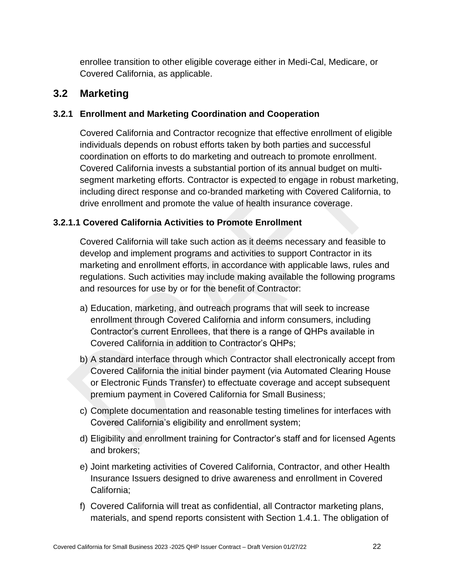enrollee transition to other eligible coverage either in Medi-Cal, Medicare, or Covered California, as applicable.

## <span id="page-30-0"></span>**3.2 Marketing**

#### <span id="page-30-1"></span>**3.2.1 Enrollment and Marketing Coordination and Cooperation**

Covered California and Contractor recognize that effective enrollment of eligible individuals depends on robust efforts taken by both parties and successful coordination on efforts to do marketing and outreach to promote enrollment. Covered California invests a substantial portion of its annual budget on multisegment marketing efforts. Contractor is expected to engage in robust marketing, including direct response and co-branded marketing with Covered California, to drive enrollment and promote the value of health insurance coverage.

#### <span id="page-30-2"></span>**3.2.1.1 Covered California Activities to Promote Enrollment**

Covered California will take such action as it deems necessary and feasible to develop and implement programs and activities to support Contractor in its marketing and enrollment efforts, in accordance with applicable laws, rules and regulations. Such activities may include making available the following programs and resources for use by or for the benefit of Contractor:

- a) Education, marketing, and outreach programs that will seek to increase enrollment through Covered California and inform consumers, including Contractor's current Enrollees, that there is a range of QHPs available in Covered California in addition to Contractor's QHPs;
- b) A standard interface through which Contractor shall electronically accept from Covered California the initial binder payment (via Automated Clearing House or Electronic Funds Transfer) to effectuate coverage and accept subsequent premium payment in Covered California for Small Business;
- c) Complete documentation and reasonable testing timelines for interfaces with Covered California's eligibility and enrollment system;
- d) Eligibility and enrollment training for Contractor's staff and for licensed Agents and brokers;
- e) Joint marketing activities of Covered California, Contractor, and other Health Insurance Issuers designed to drive awareness and enrollment in Covered California;
- f) Covered California will treat as confidential, all Contractor marketing plans, materials, and spend reports consistent with Section 1.4.1. The obligation of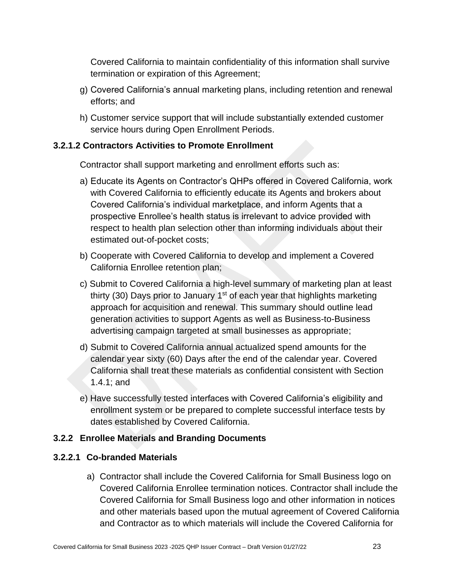Covered California to maintain confidentiality of this information shall survive termination or expiration of this Agreement;

- g) Covered California's annual marketing plans, including retention and renewal efforts; and
- h) Customer service support that will include substantially extended customer service hours during Open Enrollment Periods.

#### <span id="page-31-0"></span>**3.2.1.2 Contractors Activities to Promote Enrollment**

Contractor shall support marketing and enrollment efforts such as:

- a) Educate its Agents on Contractor's QHPs offered in Covered California, work with Covered California to efficiently educate its Agents and brokers about Covered California's individual marketplace, and inform Agents that a prospective Enrollee's health status is irrelevant to advice provided with respect to health plan selection other than informing individuals about their estimated out-of-pocket costs;
- b) Cooperate with Covered California to develop and implement a Covered California Enrollee retention plan;
- c) Submit to Covered California a high-level summary of marketing plan at least thirty (30) Days prior to January  $1<sup>st</sup>$  of each year that highlights marketing approach for acquisition and renewal. This summary should outline lead generation activities to support Agents as well as Business-to-Business advertising campaign targeted at small businesses as appropriate;
- d) Submit to Covered California annual actualized spend amounts for the calendar year sixty (60) Days after the end of the calendar year. Covered California shall treat these materials as confidential consistent with Section 1.4.1; and
- e) Have successfully tested interfaces with Covered California's eligibility and enrollment system or be prepared to complete successful interface tests by dates established by Covered California.

#### <span id="page-31-1"></span>**3.2.2 Enrollee Materials and Branding Documents**

#### <span id="page-31-2"></span>**3.2.2.1 Co-branded Materials**

a) Contractor shall include the Covered California for Small Business logo on Covered California Enrollee termination notices. Contractor shall include the Covered California for Small Business logo and other information in notices and other materials based upon the mutual agreement of Covered California and Contractor as to which materials will include the Covered California for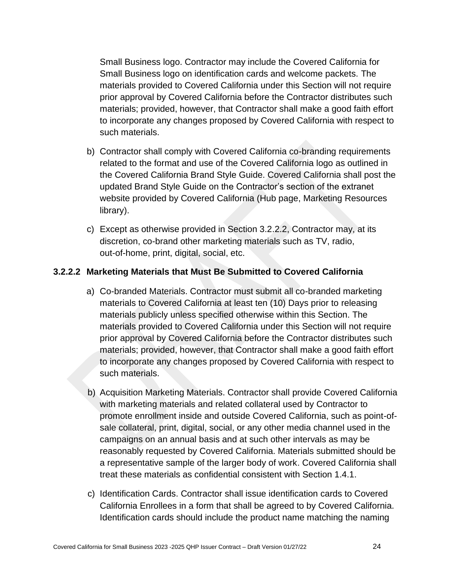Small Business logo. Contractor may include the Covered California for Small Business logo on identification cards and welcome packets. The materials provided to Covered California under this Section will not require prior approval by Covered California before the Contractor distributes such materials; provided, however, that Contractor shall make a good faith effort to incorporate any changes proposed by Covered California with respect to such materials.

- b) Contractor shall comply with Covered California co-branding requirements related to the format and use of the Covered California logo as outlined in the Covered California Brand Style Guide. Covered California shall post the updated Brand Style Guide on the Contractor's section of the extranet website provided by Covered California (Hub page, Marketing Resources library).
- c) Except as otherwise provided in Section 3.2.2.2, Contractor may, at its discretion, co-brand other marketing materials such as TV, radio, out-of-home, print, digital, social, etc.

#### <span id="page-32-0"></span>**3.2.2.2 Marketing Materials that Must Be Submitted to Covered California**

- a) Co-branded Materials. Contractor must submit all co-branded marketing materials to Covered California at least ten (10) Days prior to releasing materials publicly unless specified otherwise within this Section. The materials provided to Covered California under this Section will not require prior approval by Covered California before the Contractor distributes such materials; provided, however, that Contractor shall make a good faith effort to incorporate any changes proposed by Covered California with respect to such materials.
- b) Acquisition Marketing Materials. Contractor shall provide Covered California with marketing materials and related collateral used by Contractor to promote enrollment inside and outside Covered California, such as point-ofsale collateral, print, digital, social, or any other media channel used in the campaigns on an annual basis and at such other intervals as may be reasonably requested by Covered California. Materials submitted should be a representative sample of the larger body of work. Covered California shall treat these materials as confidential consistent with Section 1.4.1.
- c) Identification Cards. Contractor shall issue identification cards to Covered California Enrollees in a form that shall be agreed to by Covered California. Identification cards should include the product name matching the naming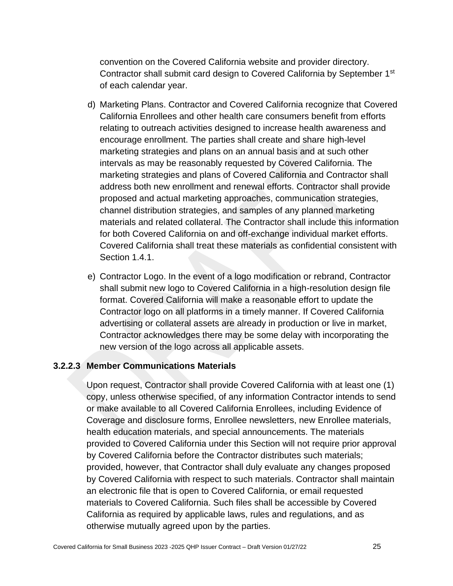convention on the Covered California website and provider directory. Contractor shall submit card design to Covered California by September 1st of each calendar year.

- d) Marketing Plans. Contractor and Covered California recognize that Covered California Enrollees and other health care consumers benefit from efforts relating to outreach activities designed to increase health awareness and encourage enrollment. The parties shall create and share high-level marketing strategies and plans on an annual basis and at such other intervals as may be reasonably requested by Covered California. The marketing strategies and plans of Covered California and Contractor shall address both new enrollment and renewal efforts. Contractor shall provide proposed and actual marketing approaches, communication strategies, channel distribution strategies, and samples of any planned marketing materials and related collateral. The Contractor shall include this information for both Covered California on and off-exchange individual market efforts. Covered California shall treat these materials as confidential consistent with Section 1.4.1.
- e) Contractor Logo. In the event of a logo modification or rebrand, Contractor shall submit new logo to Covered California in a high-resolution design file format. Covered California will make a reasonable effort to update the Contractor logo on all platforms in a timely manner. If Covered California advertising or collateral assets are already in production or live in market, Contractor acknowledges there may be some delay with incorporating the new version of the logo across all applicable assets.

#### <span id="page-33-0"></span>**3.2.2.3 Member Communications Materials**

Upon request, Contractor shall provide Covered California with at least one (1) copy, unless otherwise specified, of any information Contractor intends to send or make available to all Covered California Enrollees, including Evidence of Coverage and disclosure forms, Enrollee newsletters, new Enrollee materials, health education materials, and special announcements. The materials provided to Covered California under this Section will not require prior approval by Covered California before the Contractor distributes such materials; provided, however, that Contractor shall duly evaluate any changes proposed by Covered California with respect to such materials. Contractor shall maintain an electronic file that is open to Covered California, or email requested materials to Covered California. Such files shall be accessible by Covered California as required by applicable laws, rules and regulations, and as otherwise mutually agreed upon by the parties.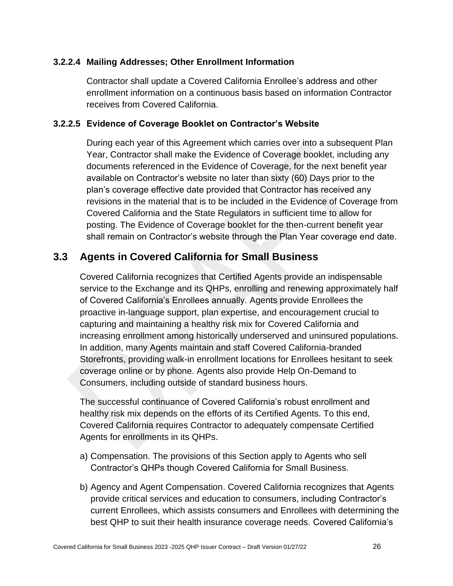#### <span id="page-34-0"></span>**3.2.2.4 Mailing Addresses; Other Enrollment Information**

Contractor shall update a Covered California Enrollee's address and other enrollment information on a continuous basis based on information Contractor receives from Covered California.

#### <span id="page-34-1"></span>**3.2.2.5 Evidence of Coverage Booklet on Contractor's Website**

During each year of this Agreement which carries over into a subsequent Plan Year, Contractor shall make the Evidence of Coverage booklet, including any documents referenced in the Evidence of Coverage, for the next benefit year available on Contractor's website no later than sixty (60) Days prior to the plan's coverage effective date provided that Contractor has received any revisions in the material that is to be included in the Evidence of Coverage from Covered California and the State Regulators in sufficient time to allow for posting. The Evidence of Coverage booklet for the then-current benefit year shall remain on Contractor's website through the Plan Year coverage end date.

# <span id="page-34-2"></span>**3.3 Agents in Covered California for Small Business**

Covered California recognizes that Certified Agents provide an indispensable service to the Exchange and its QHPs, enrolling and renewing approximately half of Covered California's Enrollees annually. Agents provide Enrollees the proactive in-language support, plan expertise, and encouragement crucial to capturing and maintaining a healthy risk mix for Covered California and increasing enrollment among historically underserved and uninsured populations. In addition, many Agents maintain and staff Covered California-branded Storefronts, providing walk-in enrollment locations for Enrollees hesitant to seek coverage online or by phone. Agents also provide Help On-Demand to Consumers, including outside of standard business hours.

The successful continuance of Covered California's robust enrollment and healthy risk mix depends on the efforts of its Certified Agents. To this end, Covered California requires Contractor to adequately compensate Certified Agents for enrollments in its QHPs.

- a) Compensation. The provisions of this Section apply to Agents who sell Contractor's QHPs though Covered California for Small Business.
- b) Agency and Agent Compensation. Covered California recognizes that Agents provide critical services and education to consumers, including Contractor's current Enrollees, which assists consumers and Enrollees with determining the best QHP to suit their health insurance coverage needs. Covered California's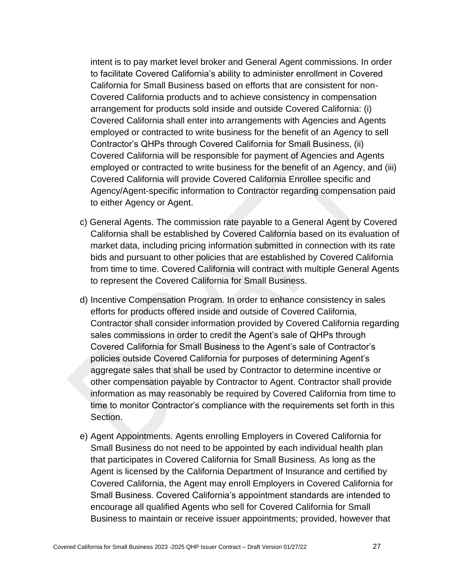intent is to pay market level broker and General Agent commissions. In order to facilitate Covered California's ability to administer enrollment in Covered California for Small Business based on efforts that are consistent for non-Covered California products and to achieve consistency in compensation arrangement for products sold inside and outside Covered California: (i) Covered California shall enter into arrangements with Agencies and Agents employed or contracted to write business for the benefit of an Agency to sell Contractor's QHPs through Covered California for Small Business, (ii) Covered California will be responsible for payment of Agencies and Agents employed or contracted to write business for the benefit of an Agency, and (iii) Covered California will provide Covered California Enrollee specific and Agency/Agent-specific information to Contractor regarding compensation paid to either Agency or Agent.

- c) General Agents. The commission rate payable to a General Agent by Covered California shall be established by Covered California based on its evaluation of market data, including pricing information submitted in connection with its rate bids and pursuant to other policies that are established by Covered California from time to time. Covered California will contract with multiple General Agents to represent the Covered California for Small Business.
- d) Incentive Compensation Program. In order to enhance consistency in sales efforts for products offered inside and outside of Covered California, Contractor shall consider information provided by Covered California regarding sales commissions in order to credit the Agent's sale of QHPs through Covered California for Small Business to the Agent's sale of Contractor's policies outside Covered California for purposes of determining Agent's aggregate sales that shall be used by Contractor to determine incentive or other compensation payable by Contractor to Agent. Contractor shall provide information as may reasonably be required by Covered California from time to time to monitor Contractor's compliance with the requirements set forth in this Section.
- e) Agent Appointments. Agents enrolling Employers in Covered California for Small Business do not need to be appointed by each individual health plan that participates in Covered California for Small Business. As long as the Agent is licensed by the California Department of Insurance and certified by Covered California, the Agent may enroll Employers in Covered California for Small Business. Covered California's appointment standards are intended to encourage all qualified Agents who sell for Covered California for Small Business to maintain or receive issuer appointments; provided, however that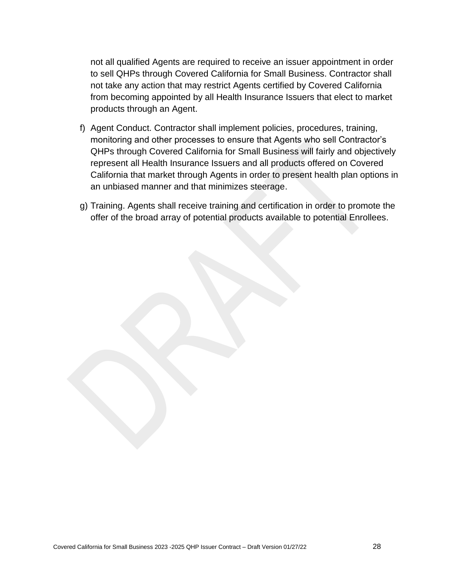not all qualified Agents are required to receive an issuer appointment in order to sell QHPs through Covered California for Small Business. Contractor shall not take any action that may restrict Agents certified by Covered California from becoming appointed by all Health Insurance Issuers that elect to market products through an Agent.

- f) Agent Conduct. Contractor shall implement policies, procedures, training, monitoring and other processes to ensure that Agents who sell Contractor's QHPs through Covered California for Small Business will fairly and objectively represent all Health Insurance Issuers and all products offered on Covered California that market through Agents in order to present health plan options in an unbiased manner and that minimizes steerage.
- g) Training. Agents shall receive training and certification in order to promote the offer of the broad array of potential products available to potential Enrollees.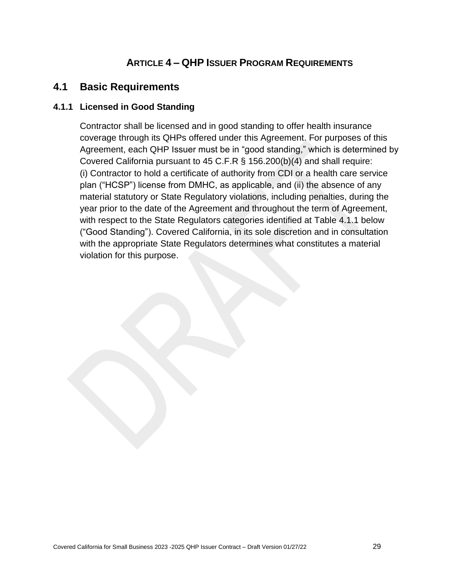# **ARTICLE 4 – QHP ISSUER PROGRAM REQUIREMENTS**

## **4.1 Basic Requirements**

### **4.1.1 Licensed in Good Standing**

Contractor shall be licensed and in good standing to offer health insurance coverage through its QHPs offered under this Agreement. For purposes of this Agreement, each QHP Issuer must be in "good standing," which is determined by Covered California pursuant to 45 C.F.R § 156.200(b)(4) and shall require: (i) Contractor to hold a certificate of authority from CDI or a health care service plan ("HCSP") license from DMHC, as applicable, and (ii) the absence of any material statutory or State Regulatory violations, including penalties, during the year prior to the date of the Agreement and throughout the term of Agreement, with respect to the State Regulators categories identified at Table 4.1.1 below ("Good Standing"). Covered California, in its sole discretion and in consultation with the appropriate State Regulators determines what constitutes a material violation for this purpose.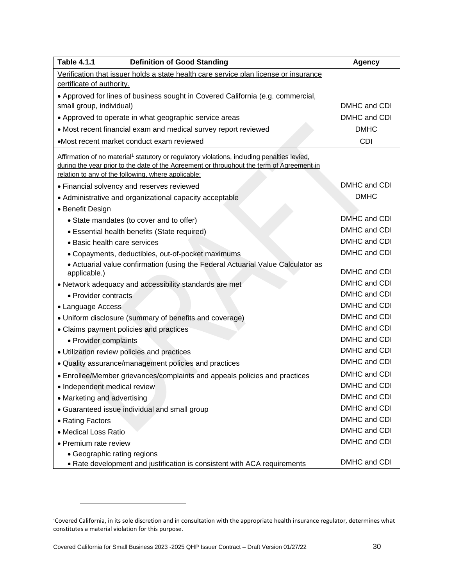| <b>Table 4.1.1</b><br><b>Definition of Good Standing</b>                                                | <b>Agency</b> |
|---------------------------------------------------------------------------------------------------------|---------------|
| Verification that issuer holds a state health care service plan license or insurance                    |               |
| certificate of authority.                                                                               |               |
| • Approved for lines of business sought in Covered California (e.g. commercial,                         |               |
| small group, individual)                                                                                | DMHC and CDI  |
| • Approved to operate in what geographic service areas                                                  | DMHC and CDI  |
| • Most recent financial exam and medical survey report reviewed                                         | <b>DMHC</b>   |
| •Most recent market conduct exam reviewed                                                               | <b>CDI</b>    |
| Affirmation of no material <sup>1</sup> statutory or regulatory violations, including penalties levied, |               |
| during the year prior to the date of the Agreement or throughout the term of Agreement in               |               |
| relation to any of the following, where applicable:                                                     |               |
| • Financial solvency and reserves reviewed                                                              | DMHC and CDI  |
| • Administrative and organizational capacity acceptable                                                 | <b>DMHC</b>   |
| • Benefit Design                                                                                        |               |
| • State mandates (to cover and to offer)                                                                | DMHC and CDI  |
| • Essential health benefits (State required)                                                            | DMHC and CDI  |
| • Basic health care services                                                                            | DMHC and CDI  |
| • Copayments, deductibles, out-of-pocket maximums                                                       | DMHC and CDI  |
| • Actuarial value confirmation (using the Federal Actuarial Value Calculator as<br>applicable.)         | DMHC and CDI  |
| • Network adequacy and accessibility standards are met                                                  | DMHC and CDI  |
| • Provider contracts                                                                                    | DMHC and CDI  |
| • Language Access                                                                                       | DMHC and CDI  |
| • Uniform disclosure (summary of benefits and coverage)                                                 | DMHC and CDI  |
| • Claims payment policies and practices                                                                 | DMHC and CDI  |
| • Provider complaints                                                                                   | DMHC and CDI  |
| • Utilization review policies and practices                                                             | DMHC and CDI  |
| • Quality assurance/management policies and practices                                                   | DMHC and CDI  |
| • Enrollee/Member grievances/complaints and appeals policies and practices                              | DMHC and CDI  |
| · Independent medical review                                                                            | DMHC and CDI  |
| • Marketing and advertising                                                                             | DMHC and CDI  |
| • Guaranteed issue individual and small group                                                           | DMHC and CDI  |
| • Rating Factors                                                                                        | DMHC and CDI  |
| • Medical Loss Ratio                                                                                    | DMHC and CDI  |
| • Premium rate review                                                                                   | DMHC and CDI  |
| • Geographic rating regions                                                                             |               |
| • Rate development and justification is consistent with ACA requirements                                | DMHC and CDI  |

<sup>1</sup>Covered California, in its sole discretion and in consultation with the appropriate health insurance regulator, determines what constitutes a material violation for this purpose.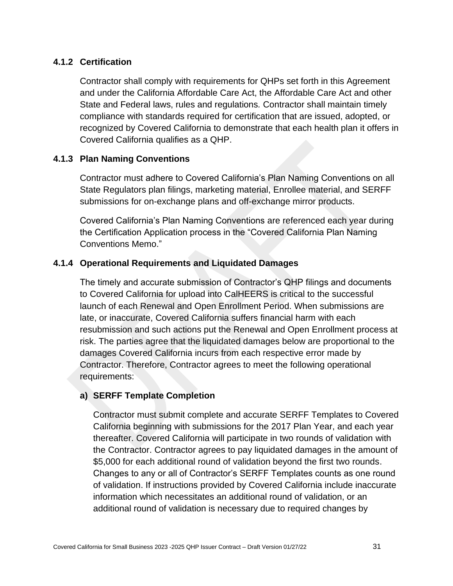## **4.1.2 Certification**

Contractor shall comply with requirements for QHPs set forth in this Agreement and under the California Affordable Care Act, the Affordable Care Act and other State and Federal laws, rules and regulations*.* Contractor shall maintain timely compliance with standards required for certification that are issued, adopted, or recognized by Covered California to demonstrate that each health plan it offers in Covered California qualifies as a QHP.

### **4.1.3 Plan Naming Conventions**

Contractor must adhere to Covered California's Plan Naming Conventions on all State Regulators plan filings, marketing material, Enrollee material, and SERFF submissions for on-exchange plans and off-exchange mirror products.

Covered California's Plan Naming Conventions are referenced each year during the Certification Application process in the "Covered California Plan Naming Conventions Memo."

#### **4.1.4 Operational Requirements and Liquidated Damages**

The timely and accurate submission of Contractor's QHP filings and documents to Covered California for upload into CalHEERS is critical to the successful launch of each Renewal and Open Enrollment Period. When submissions are late, or inaccurate, Covered California suffers financial harm with each resubmission and such actions put the Renewal and Open Enrollment process at risk. The parties agree that the liquidated damages below are proportional to the damages Covered California incurs from each respective error made by Contractor. Therefore, Contractor agrees to meet the following operational requirements:

#### **a) SERFF Template Completion**

Contractor must submit complete and accurate SERFF Templates to Covered California beginning with submissions for the 2017 Plan Year, and each year thereafter. Covered California will participate in two rounds of validation with the Contractor. Contractor agrees to pay liquidated damages in the amount of \$5,000 for each additional round of validation beyond the first two rounds. Changes to any or all of Contractor's SERFF Templates counts as one round of validation. If instructions provided by Covered California include inaccurate information which necessitates an additional round of validation, or an additional round of validation is necessary due to required changes by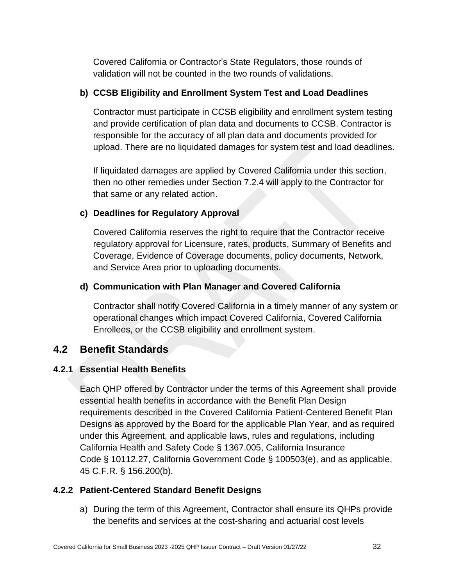Covered California or Contractor's State Regulators, those rounds of validation will not be counted in the two rounds of validations.

## **b) CCSB Eligibility and Enrollment System Test and Load Deadlines**

Contractor must participate in CCSB eligibility and enrollment system testing and provide certification of plan data and documents to CCSB. Contractor is responsible for the accuracy of all plan data and documents provided for upload. There are no liquidated damages for system test and load deadlines.

If liquidated damages are applied by Covered California under this section, then no other remedies under Section 7.2.4 will apply to the Contractor for that same or any related action.

## **c) Deadlines for Regulatory Approval**

Covered California reserves the right to require that the Contractor receive regulatory approval for Licensure, rates, products, Summary of Benefits and Coverage, Evidence of Coverage documents, policy documents, Network, and Service Area prior to uploading documents.

## **d) Communication with Plan Manager and Covered California**

Contractor shall notify Covered California in a timely manner of any system or operational changes which impact Covered California, Covered California Enrollees, or the CCSB eligibility and enrollment system.

## **4.2 Benefit Standards**

## **4.2.1 Essential Health Benefits**

Each QHP offered by Contractor under the terms of this Agreement shall provide essential health benefits in accordance with the Benefit Plan Design requirements described in the Covered California Patient-Centered Benefit Plan Designs as approved by the Board for the applicable Plan Year, and as required under this Agreement, and applicable laws, rules and regulations, including California Health and Safety Code § 1367.005, California Insurance Code § 10112.27, California Government Code § 100503(e), and as applicable, 45 C.F.R. § 156.200(b).

### **4.2.2 Patient-Centered Standard Benefit Designs**

a) During the term of this Agreement, Contractor shall ensure its QHPs provide the benefits and services at the cost-sharing and actuarial cost levels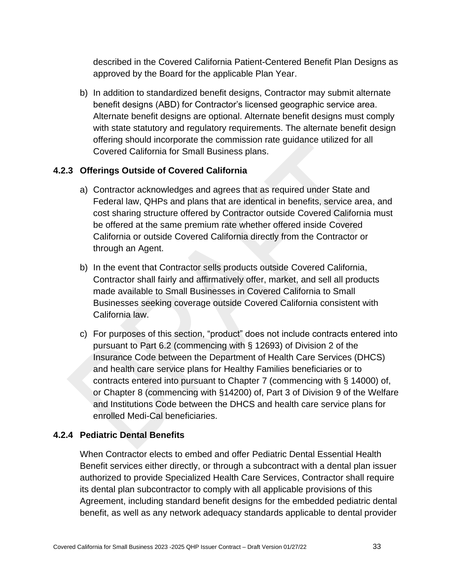described in the Covered California Patient-Centered Benefit Plan Designs as approved by the Board for the applicable Plan Year.

b) In addition to standardized benefit designs, Contractor may submit alternate benefit designs (ABD) for Contractor's licensed geographic service area. Alternate benefit designs are optional. Alternate benefit designs must comply with state statutory and regulatory requirements. The alternate benefit design offering should incorporate the commission rate guidance utilized for all Covered California for Small Business plans.

## **4.2.3 Offerings Outside of Covered California**

- a) Contractor acknowledges and agrees that as required under State and Federal law, QHPs and plans that are identical in benefits, service area, and cost sharing structure offered by Contractor outside Covered California must be offered at the same premium rate whether offered inside Covered California or outside Covered California directly from the Contractor or through an Agent.
- b) In the event that Contractor sells products outside Covered California, Contractor shall fairly and affirmatively offer, market, and sell all products made available to Small Businesses in Covered California to Small Businesses seeking coverage outside Covered California consistent with California law.
- c) For purposes of this section, "product" does not include contracts entered into pursuant to Part 6.2 (commencing with § 12693) of Division 2 of the Insurance Code between the Department of Health Care Services (DHCS) and health care service plans for Healthy Families beneficiaries or to contracts entered into pursuant to Chapter 7 (commencing with § 14000) of, or Chapter 8 (commencing with §14200) of, Part 3 of Division 9 of the Welfare and Institutions Code between the DHCS and health care service plans for enrolled Medi-Cal beneficiaries.

### **4.2.4 Pediatric Dental Benefits**

When Contractor elects to embed and offer Pediatric Dental Essential Health Benefit services either directly, or through a subcontract with a dental plan issuer authorized to provide Specialized Health Care Services, Contractor shall require its dental plan subcontractor to comply with all applicable provisions of this Agreement, including standard benefit designs for the embedded pediatric dental benefit, as well as any network adequacy standards applicable to dental provider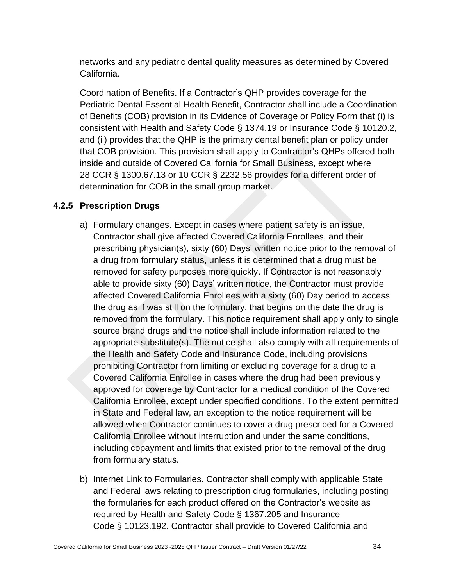networks and any pediatric dental quality measures as determined by Covered California.

Coordination of Benefits. If a Contractor's QHP provides coverage for the Pediatric Dental Essential Health Benefit, Contractor shall include a Coordination of Benefits (COB) provision in its Evidence of Coverage or Policy Form that (i) is consistent with Health and Safety Code § 1374.19 or Insurance Code § 10120.2, and (ii) provides that the QHP is the primary dental benefit plan or policy under that COB provision. This provision shall apply to Contractor's QHPs offered both inside and outside of Covered California for Small Business, except where 28 CCR § 1300.67.13 or 10 CCR § 2232.56 provides for a different order of determination for COB in the small group market.

## **4.2.5 Prescription Drugs**

- a) Formulary changes. Except in cases where patient safety is an issue, Contractor shall give affected Covered California Enrollees, and their prescribing physician(s), sixty (60) Days' written notice prior to the removal of a drug from formulary status, unless it is determined that a drug must be removed for safety purposes more quickly. If Contractor is not reasonably able to provide sixty (60) Days' written notice, the Contractor must provide affected Covered California Enrollees with a sixty (60) Day period to access the drug as if was still on the formulary, that begins on the date the drug is removed from the formulary. This notice requirement shall apply only to single source brand drugs and the notice shall include information related to the appropriate substitute(s). The notice shall also comply with all requirements of the Health and Safety Code and Insurance Code, including provisions prohibiting Contractor from limiting or excluding coverage for a drug to a Covered California Enrollee in cases where the drug had been previously approved for coverage by Contractor for a medical condition of the Covered California Enrollee, except under specified conditions. To the extent permitted in State and Federal law, an exception to the notice requirement will be allowed when Contractor continues to cover a drug prescribed for a Covered California Enrollee without interruption and under the same conditions, including copayment and limits that existed prior to the removal of the drug from formulary status.
- b) Internet Link to Formularies. Contractor shall comply with applicable State and Federal laws relating to prescription drug formularies, including posting the formularies for each product offered on the Contractor's website as required by Health and Safety Code § 1367.205 and Insurance Code § 10123.192. Contractor shall provide to Covered California and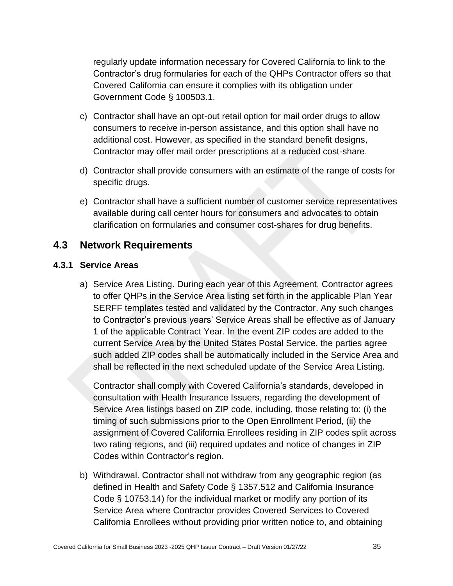regularly update information necessary for Covered California to link to the Contractor's drug formularies for each of the QHPs Contractor offers so that Covered California can ensure it complies with its obligation under Government Code § 100503.1.

- c) Contractor shall have an opt-out retail option for mail order drugs to allow consumers to receive in-person assistance, and this option shall have no additional cost. However, as specified in the standard benefit designs, Contractor may offer mail order prescriptions at a reduced cost-share.
- d) Contractor shall provide consumers with an estimate of the range of costs for specific drugs.
- e) Contractor shall have a sufficient number of customer service representatives available during call center hours for consumers and advocates to obtain clarification on formularies and consumer cost-shares for drug benefits.

## **4.3 Network Requirements**

#### **4.3.1 Service Areas**

a) Service Area Listing. During each year of this Agreement, Contractor agrees to offer QHPs in the Service Area listing set forth in the applicable Plan Year SERFF templates tested and validated by the Contractor. Any such changes to Contractor's previous years' Service Areas shall be effective as of January 1 of the applicable Contract Year. In the event ZIP codes are added to the current Service Area by the United States Postal Service, the parties agree such added ZIP codes shall be automatically included in the Service Area and shall be reflected in the next scheduled update of the Service Area Listing.

Contractor shall comply with Covered California's standards, developed in consultation with Health Insurance Issuers, regarding the development of Service Area listings based on ZIP code, including, those relating to: (i) the timing of such submissions prior to the Open Enrollment Period, (ii) the assignment of Covered California Enrollees residing in ZIP codes split across two rating regions, and (iii) required updates and notice of changes in ZIP Codes within Contractor's region.

b) Withdrawal. Contractor shall not withdraw from any geographic region (as defined in Health and Safety Code § 1357.512 and California Insurance Code § 10753.14) for the individual market or modify any portion of its Service Area where Contractor provides Covered Services to Covered California Enrollees without providing prior written notice to, and obtaining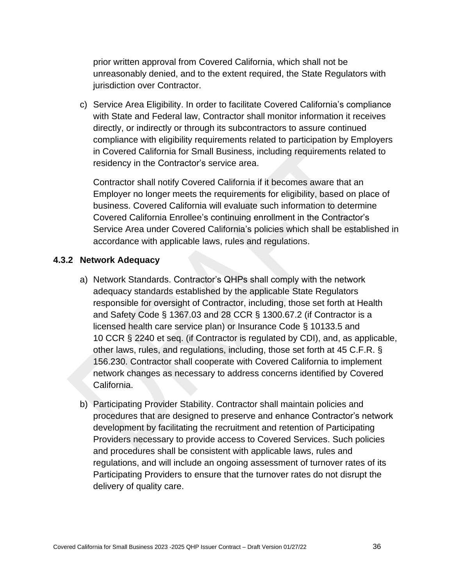prior written approval from Covered California, which shall not be unreasonably denied, and to the extent required, the State Regulators with jurisdiction over Contractor.

c) Service Area Eligibility. In order to facilitate Covered California's compliance with State and Federal law, Contractor shall monitor information it receives directly, or indirectly or through its subcontractors to assure continued compliance with eligibility requirements related to participation by Employers in Covered California for Small Business, including requirements related to residency in the Contractor's service area.

Contractor shall notify Covered California if it becomes aware that an Employer no longer meets the requirements for eligibility, based on place of business. Covered California will evaluate such information to determine Covered California Enrollee's continuing enrollment in the Contractor's Service Area under Covered California's policies which shall be established in accordance with applicable laws, rules and regulations.

#### **4.3.2 Network Adequacy**

- a) Network Standards. Contractor's QHPs shall comply with the network adequacy standards established by the applicable State Regulators responsible for oversight of Contractor, including, those set forth at Health and Safety Code § 1367.03 and 28 CCR § 1300.67.2 (if Contractor is a licensed health care service plan) or Insurance Code § 10133.5 and 10 CCR § 2240 et seq. (if Contractor is regulated by CDI), and, as applicable, other laws, rules, and regulations, including, those set forth at 45 C.F.R. § 156.230. Contractor shall cooperate with Covered California to implement network changes as necessary to address concerns identified by Covered California.
- b) Participating Provider Stability. Contractor shall maintain policies and procedures that are designed to preserve and enhance Contractor's network development by facilitating the recruitment and retention of Participating Providers necessary to provide access to Covered Services. Such policies and procedures shall be consistent with applicable laws, rules and regulations, and will include an ongoing assessment of turnover rates of its Participating Providers to ensure that the turnover rates do not disrupt the delivery of quality care.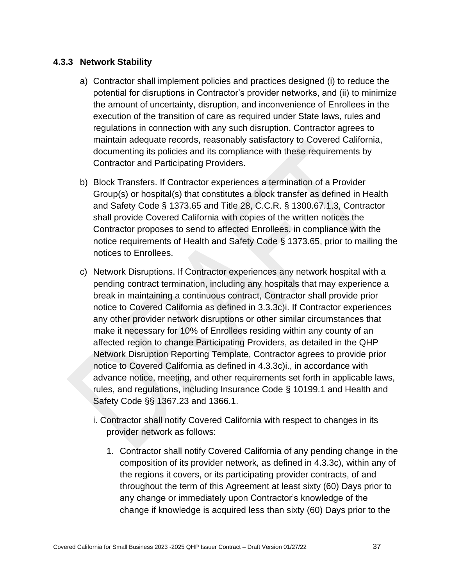### **4.3.3 Network Stability**

- a) Contractor shall implement policies and practices designed (i) to reduce the potential for disruptions in Contractor's provider networks, and (ii) to minimize the amount of uncertainty, disruption, and inconvenience of Enrollees in the execution of the transition of care as required under State laws, rules and regulations in connection with any such disruption. Contractor agrees to maintain adequate records, reasonably satisfactory to Covered California, documenting its policies and its compliance with these requirements by Contractor and Participating Providers.
- b) Block Transfers. If Contractor experiences a termination of a Provider Group(s) or hospital(s) that constitutes a block transfer as defined in Health and Safety Code § 1373.65 and Title 28, C.C.R. § 1300.67.1.3, Contractor shall provide Covered California with copies of the written notices the Contractor proposes to send to affected Enrollees, in compliance with the notice requirements of Health and Safety Code § 1373.65, prior to mailing the notices to Enrollees.
- c) Network Disruptions. If Contractor experiences any network hospital with a pending contract termination, including any hospitals that may experience a break in maintaining a continuous contract, Contractor shall provide prior notice to Covered California as defined in 3.3.3c)i. If Contractor experiences any other provider network disruptions or other similar circumstances that make it necessary for 10% of Enrollees residing within any county of an affected region to change Participating Providers, as detailed in the QHP Network Disruption Reporting Template, Contractor agrees to provide prior notice to Covered California as defined in 4.3.3c)i., in accordance with advance notice, meeting, and other requirements set forth in applicable laws, rules, and regulations, including Insurance Code § 10199.1 and Health and Safety Code §§ 1367.23 and 1366.1.
	- i. Contractor shall notify Covered California with respect to changes in its provider network as follows:
		- 1. Contractor shall notify Covered California of any pending change in the composition of its provider network, as defined in 4.3.3c), within any of the regions it covers, or its participating provider contracts, of and throughout the term of this Agreement at least sixty (60) Days prior to any change or immediately upon Contractor's knowledge of the change if knowledge is acquired less than sixty (60) Days prior to the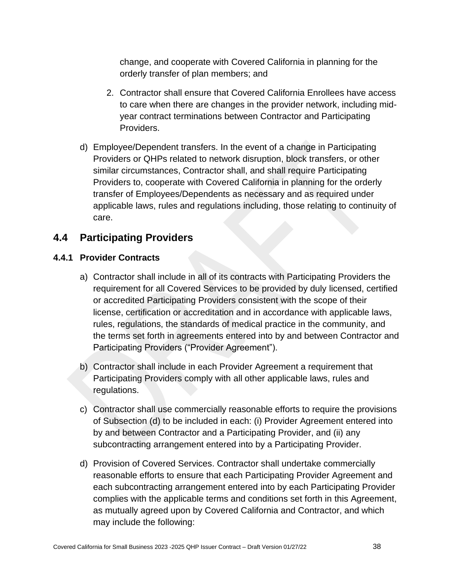change, and cooperate with Covered California in planning for the orderly transfer of plan members; and

- 2. Contractor shall ensure that Covered California Enrollees have access to care when there are changes in the provider network, including midyear contract terminations between Contractor and Participating Providers.
- d) Employee/Dependent transfers. In the event of a change in Participating Providers or QHPs related to network disruption, block transfers, or other similar circumstances, Contractor shall, and shall require Participating Providers to, cooperate with Covered California in planning for the orderly transfer of Employees/Dependents as necessary and as required under applicable laws, rules and regulations including, those relating to continuity of care.

# **4.4 Participating Providers**

## **4.4.1 Provider Contracts**

- a) Contractor shall include in all of its contracts with Participating Providers the requirement for all Covered Services to be provided by duly licensed, certified or accredited Participating Providers consistent with the scope of their license, certification or accreditation and in accordance with applicable laws, rules, regulations, the standards of medical practice in the community, and the terms set forth in agreements entered into by and between Contractor and Participating Providers ("Provider Agreement").
- b) Contractor shall include in each Provider Agreement a requirement that Participating Providers comply with all other applicable laws, rules and regulations.
- c) Contractor shall use commercially reasonable efforts to require the provisions of Subsection (d) to be included in each: (i) Provider Agreement entered into by and between Contractor and a Participating Provider, and (ii) any subcontracting arrangement entered into by a Participating Provider.
- d) Provision of Covered Services. Contractor shall undertake commercially reasonable efforts to ensure that each Participating Provider Agreement and each subcontracting arrangement entered into by each Participating Provider complies with the applicable terms and conditions set forth in this Agreement, as mutually agreed upon by Covered California and Contractor, and which may include the following: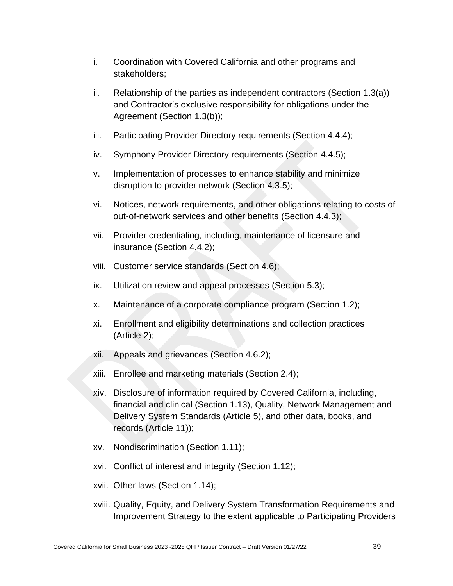- i. Coordination with Covered California and other programs and stakeholders;
- ii. Relationship of the parties as independent contractors (Section 1.3(a)) and Contractor's exclusive responsibility for obligations under the Agreement (Section 1.3(b));
- iii. Participating Provider Directory requirements (Section 4.4.4);
- iv. Symphony Provider Directory requirements (Section 4.4.5);
- v. Implementation of processes to enhance stability and minimize disruption to provider network (Section 4.3.5);
- vi. Notices, network requirements, and other obligations relating to costs of out-of-network services and other benefits (Section 4.4.3);
- vii. Provider credentialing, including, maintenance of licensure and insurance (Section 4.4.2);
- viii. Customer service standards (Section 4.6);
- ix. Utilization review and appeal processes (Section 5.3);
- x. Maintenance of a corporate compliance program (Section 1.2);
- xi. Enrollment and eligibility determinations and collection practices (Article 2);
- xii. Appeals and grievances (Section 4.6.2);
- xiii. Enrollee and marketing materials (Section 2.4);
- xiv. Disclosure of information required by Covered California, including, financial and clinical (Section 1.13), Quality, Network Management and Delivery System Standards (Article 5), and other data, books, and records (Article 11));
- xv. Nondiscrimination (Section 1.11);
- xvi. Conflict of interest and integrity (Section 1.12);
- xvii. Other laws (Section 1.14);
- xviii. Quality, Equity, and Delivery System Transformation Requirements and Improvement Strategy to the extent applicable to Participating Providers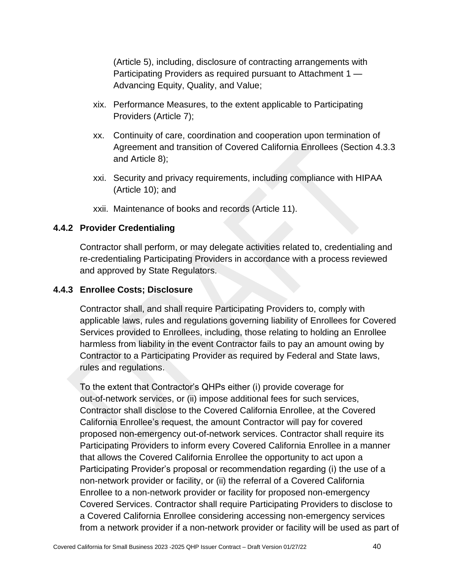(Article 5), including, disclosure of contracting arrangements with Participating Providers as required pursuant to Attachment 1 — Advancing Equity, Quality, and Value;

- xix. Performance Measures, to the extent applicable to Participating Providers (Article 7);
- xx. Continuity of care, coordination and cooperation upon termination of Agreement and transition of Covered California Enrollees (Section 4.3.3 and Article 8);
- xxi. Security and privacy requirements, including compliance with HIPAA (Article 10); and
- xxii. Maintenance of books and records (Article 11).

## **4.4.2 Provider Credentialing**

Contractor shall perform, or may delegate activities related to, credentialing and re-credentialing Participating Providers in accordance with a process reviewed and approved by State Regulators.

## **4.4.3 Enrollee Costs; Disclosure**

Contractor shall, and shall require Participating Providers to, comply with applicable laws, rules and regulations governing liability of Enrollees for Covered Services provided to Enrollees, including, those relating to holding an Enrollee harmless from liability in the event Contractor fails to pay an amount owing by Contractor to a Participating Provider as required by Federal and State laws, rules and regulations.

To the extent that Contractor's QHPs either (i) provide coverage for out-of-network services, or (ii) impose additional fees for such services, Contractor shall disclose to the Covered California Enrollee, at the Covered California Enrollee's request, the amount Contractor will pay for covered proposed non-emergency out-of-network services. Contractor shall require its Participating Providers to inform every Covered California Enrollee in a manner that allows the Covered California Enrollee the opportunity to act upon a Participating Provider's proposal or recommendation regarding (i) the use of a non-network provider or facility, or (ii) the referral of a Covered California Enrollee to a non-network provider or facility for proposed non-emergency Covered Services. Contractor shall require Participating Providers to disclose to a Covered California Enrollee considering accessing non-emergency services from a network provider if a non-network provider or facility will be used as part of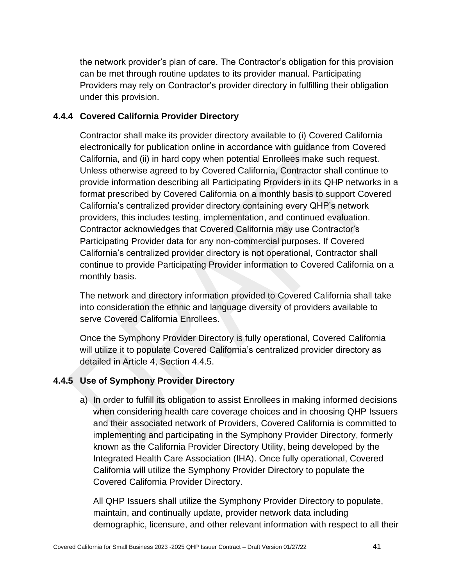the network provider's plan of care. The Contractor's obligation for this provision can be met through routine updates to its provider manual. Participating Providers may rely on Contractor's provider directory in fulfilling their obligation under this provision.

### **4.4.4 Covered California Provider Directory**

Contractor shall make its provider directory available to (i) Covered California electronically for publication online in accordance with guidance from Covered California, and (ii) in hard copy when potential Enrollees make such request. Unless otherwise agreed to by Covered California, Contractor shall continue to provide information describing all Participating Providers in its QHP networks in a format prescribed by Covered California on a monthly basis to support Covered California's centralized provider directory containing every QHP's network providers, this includes testing, implementation, and continued evaluation. Contractor acknowledges that Covered California may use Contractor's Participating Provider data for any non-commercial purposes. If Covered California's centralized provider directory is not operational, Contractor shall continue to provide Participating Provider information to Covered California on a monthly basis.

The network and directory information provided to Covered California shall take into consideration the ethnic and language diversity of providers available to serve Covered California Enrollees.

Once the Symphony Provider Directory is fully operational, Covered California will utilize it to populate Covered California's centralized provider directory as detailed in Article 4, Section 4.4.5.

## **4.4.5 Use of Symphony Provider Directory**

a) In order to fulfill its obligation to assist Enrollees in making informed decisions when considering health care coverage choices and in choosing QHP Issuers and their associated network of Providers, Covered California is committed to implementing and participating in the Symphony Provider Directory, formerly known as the California Provider Directory Utility, being developed by the Integrated Health Care Association (IHA). Once fully operational, Covered California will utilize the Symphony Provider Directory to populate the Covered California Provider Directory.

All QHP Issuers shall utilize the Symphony Provider Directory to populate, maintain, and continually update, provider network data including demographic, licensure, and other relevant information with respect to all their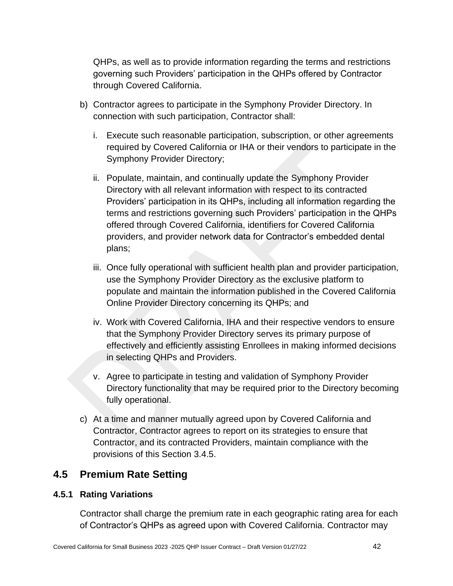QHPs, as well as to provide information regarding the terms and restrictions governing such Providers' participation in the QHPs offered by Contractor through Covered California.

- b) Contractor agrees to participate in the Symphony Provider Directory. In connection with such participation, Contractor shall:
	- i. Execute such reasonable participation, subscription, or other agreements required by Covered California or IHA or their vendors to participate in the Symphony Provider Directory;
	- ii. Populate, maintain, and continually update the Symphony Provider Directory with all relevant information with respect to its contracted Providers' participation in its QHPs, including all information regarding the terms and restrictions governing such Providers' participation in the QHPs offered through Covered California, identifiers for Covered California providers, and provider network data for Contractor's embedded dental plans;
	- iii. Once fully operational with sufficient health plan and provider participation, use the Symphony Provider Directory as the exclusive platform to populate and maintain the information published in the Covered California Online Provider Directory concerning its QHPs; and
	- iv. Work with Covered California, IHA and their respective vendors to ensure that the Symphony Provider Directory serves its primary purpose of effectively and efficiently assisting Enrollees in making informed decisions in selecting QHPs and Providers.
	- v. Agree to participate in testing and validation of Symphony Provider Directory functionality that may be required prior to the Directory becoming fully operational.
- c) At a time and manner mutually agreed upon by Covered California and Contractor, Contractor agrees to report on its strategies to ensure that Contractor, and its contracted Providers, maintain compliance with the provisions of this Section 3.4.5.

# **4.5 Premium Rate Setting**

## **4.5.1 Rating Variations**

Contractor shall charge the premium rate in each geographic rating area for each of Contractor's QHPs as agreed upon with Covered California. Contractor may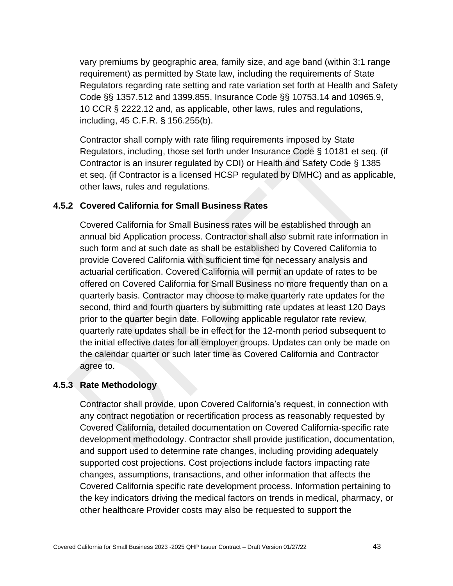vary premiums by geographic area, family size, and age band (within 3:1 range requirement) as permitted by State law, including the requirements of State Regulators regarding rate setting and rate variation set forth at Health and Safety Code §§ 1357.512 and 1399.855, Insurance Code §§ 10753.14 and 10965.9, 10 CCR § 2222.12 and, as applicable, other laws, rules and regulations, including, 45 C.F.R. § 156.255(b).

Contractor shall comply with rate filing requirements imposed by State Regulators, including, those set forth under Insurance Code § 10181 et seq. (if Contractor is an insurer regulated by CDI) or Health and Safety Code § 1385 et seq. (if Contractor is a licensed HCSP regulated by DMHC) and as applicable, other laws, rules and regulations.

### **4.5.2 Covered California for Small Business Rates**

Covered California for Small Business rates will be established through an annual bid Application process. Contractor shall also submit rate information in such form and at such date as shall be established by Covered California to provide Covered California with sufficient time for necessary analysis and actuarial certification. Covered California will permit an update of rates to be offered on Covered California for Small Business no more frequently than on a quarterly basis. Contractor may choose to make quarterly rate updates for the second, third and fourth quarters by submitting rate updates at least 120 Days prior to the quarter begin date. Following applicable regulator rate review, quarterly rate updates shall be in effect for the 12-month period subsequent to the initial effective dates for all employer groups. Updates can only be made on the calendar quarter or such later time as Covered California and Contractor agree to.

#### **4.5.3 Rate Methodology**

Contractor shall provide, upon Covered California's request, in connection with any contract negotiation or recertification process as reasonably requested by Covered California, detailed documentation on Covered California-specific rate development methodology. Contractor shall provide justification, documentation, and support used to determine rate changes, including providing adequately supported cost projections. Cost projections include factors impacting rate changes, assumptions, transactions, and other information that affects the Covered California specific rate development process. Information pertaining to the key indicators driving the medical factors on trends in medical, pharmacy, or other healthcare Provider costs may also be requested to support the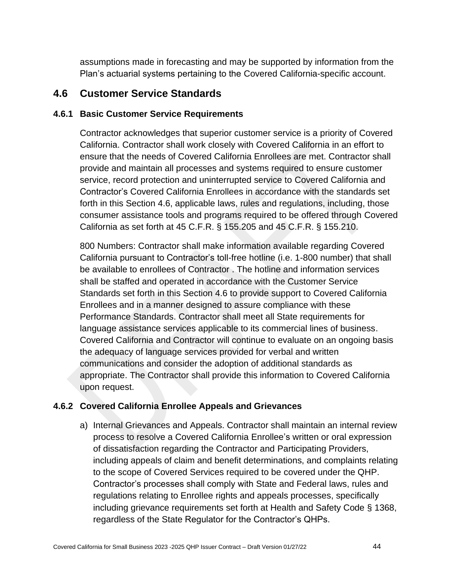assumptions made in forecasting and may be supported by information from the Plan's actuarial systems pertaining to the Covered California-specific account.

## **4.6 Customer Service Standards**

### **4.6.1 Basic Customer Service Requirements**

Contractor acknowledges that superior customer service is a priority of Covered California. Contractor shall work closely with Covered California in an effort to ensure that the needs of Covered California Enrollees are met. Contractor shall provide and maintain all processes and systems required to ensure customer service, record protection and uninterrupted service to Covered California and Contractor's Covered California Enrollees in accordance with the standards set forth in this Section 4.6, applicable laws, rules and regulations, including, those consumer assistance tools and programs required to be offered through Covered California as set forth at 45 C.F.R. § 155.205 and 45 C.F.R. § 155.210.

800 Numbers: Contractor shall make information available regarding Covered California pursuant to Contractor's toll-free hotline (i.e. 1-800 number) that shall be available to enrollees of Contractor . The hotline and information services shall be staffed and operated in accordance with the Customer Service Standards set forth in this Section 4.6 to provide support to Covered California Enrollees and in a manner designed to assure compliance with these Performance Standards. Contractor shall meet all State requirements for language assistance services applicable to its commercial lines of business. Covered California and Contractor will continue to evaluate on an ongoing basis the adequacy of language services provided for verbal and written communications and consider the adoption of additional standards as appropriate. The Contractor shall provide this information to Covered California upon request.

## **4.6.2 Covered California Enrollee Appeals and Grievances**

a) Internal Grievances and Appeals. Contractor shall maintain an internal review process to resolve a Covered California Enrollee's written or oral expression of dissatisfaction regarding the Contractor and Participating Providers, including appeals of claim and benefit determinations, and complaints relating to the scope of Covered Services required to be covered under the QHP. Contractor's processes shall comply with State and Federal laws, rules and regulations relating to Enrollee rights and appeals processes, specifically including grievance requirements set forth at Health and Safety Code § 1368, regardless of the State Regulator for the Contractor's QHPs.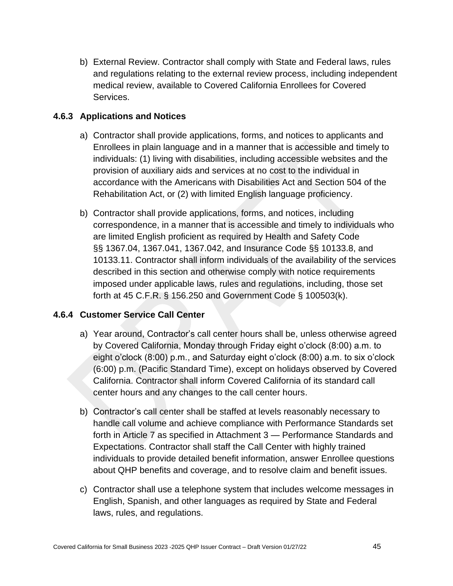b) External Review. Contractor shall comply with State and Federal laws, rules and regulations relating to the external review process, including independent medical review, available to Covered California Enrollees for Covered Services.

## **4.6.3 Applications and Notices**

- a) Contractor shall provide applications, forms, and notices to applicants and Enrollees in plain language and in a manner that is accessible and timely to individuals: (1) living with disabilities, including accessible websites and the provision of auxiliary aids and services at no cost to the individual in accordance with the Americans with Disabilities Act and Section 504 of the Rehabilitation Act, or (2) with limited English language proficiency.
- b) Contractor shall provide applications, forms, and notices, including correspondence, in a manner that is accessible and timely to individuals who are limited English proficient as required by Health and Safety Code §§ 1367.04, 1367.041, 1367.042, and Insurance Code §§ 10133.8, and 10133.11. Contractor shall inform individuals of the availability of the services described in this section and otherwise comply with notice requirements imposed under applicable laws, rules and regulations, including, those set forth at 45 C.F.R. § 156.250 and Government Code § 100503(k).

### **4.6.4 Customer Service Call Center**

- a) Year around, Contractor's call center hours shall be, unless otherwise agreed by Covered California, Monday through Friday eight o'clock (8:00) a.m. to eight o'clock (8:00) p.m., and Saturday eight o'clock (8:00) a.m. to six o'clock (6:00) p.m. (Pacific Standard Time), except on holidays observed by Covered California. Contractor shall inform Covered California of its standard call center hours and any changes to the call center hours.
- b) Contractor's call center shall be staffed at levels reasonably necessary to handle call volume and achieve compliance with Performance Standards set forth in Article 7 as specified in Attachment 3 — Performance Standards and Expectations. Contractor shall staff the Call Center with highly trained individuals to provide detailed benefit information, answer Enrollee questions about QHP benefits and coverage, and to resolve claim and benefit issues.
- c) Contractor shall use a telephone system that includes welcome messages in English, Spanish, and other languages as required by State and Federal laws, rules, and regulations.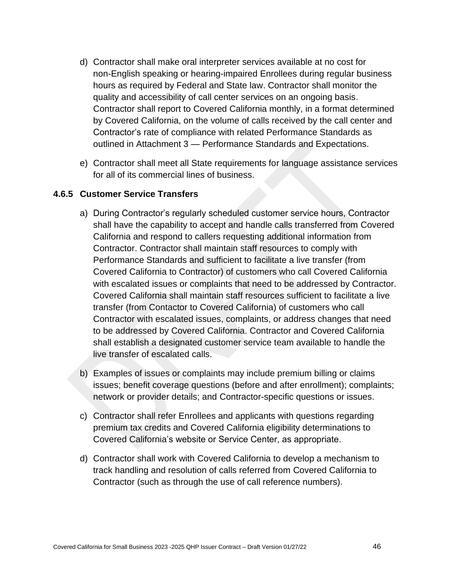- d) Contractor shall make oral interpreter services available at no cost for non-English speaking or hearing-impaired Enrollees during regular business hours as required by Federal and State law. Contractor shall monitor the quality and accessibility of call center services on an ongoing basis. Contractor shall report to Covered California monthly, in a format determined by Covered California, on the volume of calls received by the call center and Contractor's rate of compliance with related Performance Standards as outlined in Attachment 3 — Performance Standards and Expectations.
- e) Contractor shall meet all State requirements for language assistance services for all of its commercial lines of business.

#### **4.6.5 Customer Service Transfers**

- a) During Contractor's regularly scheduled customer service hours, Contractor shall have the capability to accept and handle calls transferred from Covered California and respond to callers requesting additional information from Contractor. Contractor shall maintain staff resources to comply with Performance Standards and sufficient to facilitate a live transfer (from Covered California to Contractor) of customers who call Covered California with escalated issues or complaints that need to be addressed by Contractor. Covered California shall maintain staff resources sufficient to facilitate a live transfer (from Contactor to Covered California) of customers who call Contractor with escalated issues, complaints, or address changes that need to be addressed by Covered California. Contractor and Covered California shall establish a designated customer service team available to handle the live transfer of escalated calls.
- b) Examples of issues or complaints may include premium billing or claims issues; benefit coverage questions (before and after enrollment); complaints; network or provider details; and Contractor-specific questions or issues.
- c) Contractor shall refer Enrollees and applicants with questions regarding premium tax credits and Covered California eligibility determinations to Covered California's website or Service Center, as appropriate.
- d) Contractor shall work with Covered California to develop a mechanism to track handling and resolution of calls referred from Covered California to Contractor (such as through the use of call reference numbers).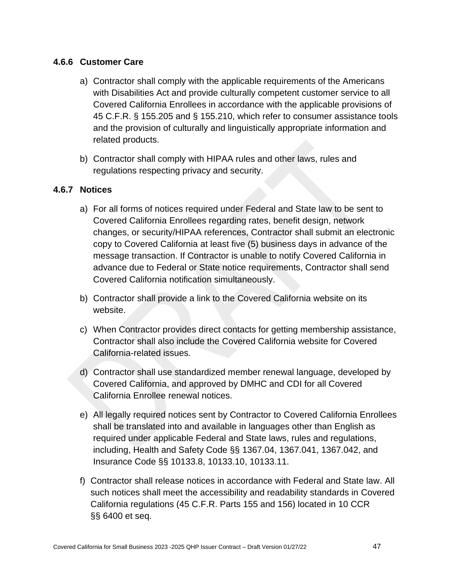## **4.6.6 Customer Care**

- a) Contractor shall comply with the applicable requirements of the Americans with Disabilities Act and provide culturally competent customer service to all Covered California Enrollees in accordance with the applicable provisions of 45 C.F.R. § 155.205 and § 155.210, which refer to consumer assistance tools and the provision of culturally and linguistically appropriate information and related products.
- b) Contractor shall comply with HIPAA rules and other laws, rules and regulations respecting privacy and security.

## **4.6.7 Notices**

- a) For all forms of notices required under Federal and State law to be sent to Covered California Enrollees regarding rates, benefit design, network changes, or security/HIPAA references, Contractor shall submit an electronic copy to Covered California at least five (5) business days in advance of the message transaction. If Contractor is unable to notify Covered California in advance due to Federal or State notice requirements, Contractor shall send Covered California notification simultaneously.
- b) Contractor shall provide a link to the Covered California website on its website.
- c) When Contractor provides direct contacts for getting membership assistance, Contractor shall also include the Covered California website for Covered California-related issues.
- d) Contractor shall use standardized member renewal language, developed by Covered California, and approved by DMHC and CDI for all Covered California Enrollee renewal notices.
- e) All legally required notices sent by Contractor to Covered California Enrollees shall be translated into and available in languages other than English as required under applicable Federal and State laws, rules and regulations, including, Health and Safety Code §§ 1367.04, 1367.041, 1367.042, and Insurance Code §§ 10133.8, 10133.10, 10133.11.
- f) Contractor shall release notices in accordance with Federal and State law. All such notices shall meet the accessibility and readability standards in Covered California regulations (45 C.F.R. Parts 155 and 156) located in 10 CCR §§ 6400 et seq.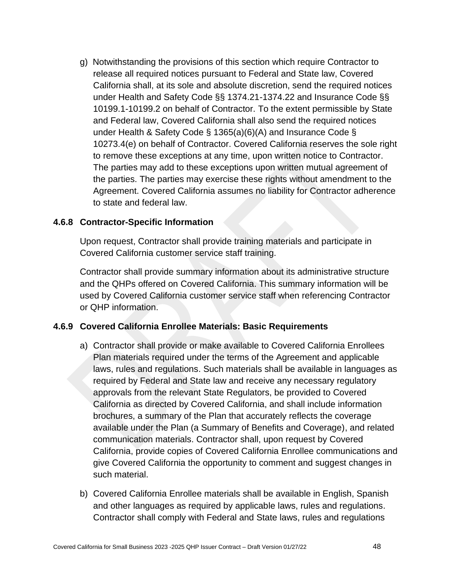g) Notwithstanding the provisions of this section which require Contractor to release all required notices pursuant to Federal and State law, Covered California shall, at its sole and absolute discretion, send the required notices under Health and Safety Code §§ 1374.21-1374.22 and Insurance Code §§ 10199.1-10199.2 on behalf of Contractor. To the extent permissible by State and Federal law, Covered California shall also send the required notices under Health & Safety Code § 1365(a)(6)(A) and Insurance Code § 10273.4(e) on behalf of Contractor. Covered California reserves the sole right to remove these exceptions at any time, upon written notice to Contractor. The parties may add to these exceptions upon written mutual agreement of the parties. The parties may exercise these rights without amendment to the Agreement. Covered California assumes no liability for Contractor adherence to state and federal law.

#### **4.6.8 Contractor-Specific Information**

Upon request, Contractor shall provide training materials and participate in Covered California customer service staff training.

Contractor shall provide summary information about its administrative structure and the QHPs offered on Covered California. This summary information will be used by Covered California customer service staff when referencing Contractor or QHP information.

#### **4.6.9 Covered California Enrollee Materials: Basic Requirements**

- a) Contractor shall provide or make available to Covered California Enrollees Plan materials required under the terms of the Agreement and applicable laws, rules and regulations. Such materials shall be available in languages as required by Federal and State law and receive any necessary regulatory approvals from the relevant State Regulators, be provided to Covered California as directed by Covered California, and shall include information brochures, a summary of the Plan that accurately reflects the coverage available under the Plan (a Summary of Benefits and Coverage), and related communication materials. Contractor shall, upon request by Covered California, provide copies of Covered California Enrollee communications and give Covered California the opportunity to comment and suggest changes in such material.
- b) Covered California Enrollee materials shall be available in English, Spanish and other languages as required by applicable laws, rules and regulations. Contractor shall comply with Federal and State laws, rules and regulations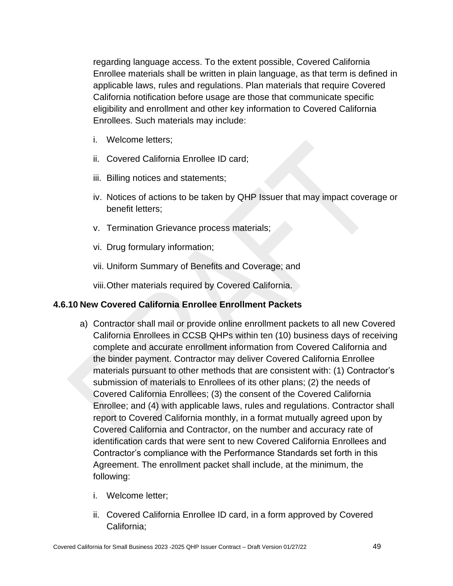regarding language access. To the extent possible, Covered California Enrollee materials shall be written in plain language, as that term is defined in applicable laws, rules and regulations. Plan materials that require Covered California notification before usage are those that communicate specific eligibility and enrollment and other key information to Covered California Enrollees. Such materials may include:

- i. Welcome letters;
- ii. Covered California Enrollee ID card;
- iii. Billing notices and statements;
- iv. Notices of actions to be taken by QHP Issuer that may impact coverage or benefit letters;
- v. Termination Grievance process materials;
- vi. Drug formulary information;
- vii. Uniform Summary of Benefits and Coverage; and

viii.Other materials required by Covered California.

### **4.6.10 New Covered California Enrollee Enrollment Packets**

- a) Contractor shall mail or provide online enrollment packets to all new Covered California Enrollees in CCSB QHPs within ten (10) business days of receiving complete and accurate enrollment information from Covered California and the binder payment. Contractor may deliver Covered California Enrollee materials pursuant to other methods that are consistent with: (1) Contractor's submission of materials to Enrollees of its other plans; (2) the needs of Covered California Enrollees; (3) the consent of the Covered California Enrollee; and (4) with applicable laws, rules and regulations. Contractor shall report to Covered California monthly, in a format mutually agreed upon by Covered California and Contractor, on the number and accuracy rate of identification cards that were sent to new Covered California Enrollees and Contractor's compliance with the Performance Standards set forth in this Agreement. The enrollment packet shall include, at the minimum, the following:
	- i. Welcome letter;
	- ii. Covered California Enrollee ID card, in a form approved by Covered California;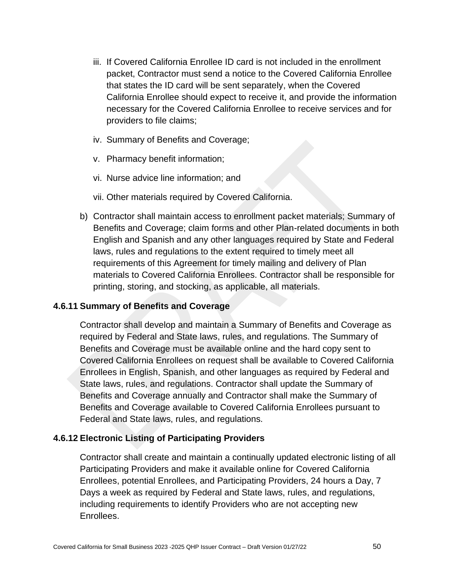- iii. If Covered California Enrollee ID card is not included in the enrollment packet, Contractor must send a notice to the Covered California Enrollee that states the ID card will be sent separately, when the Covered California Enrollee should expect to receive it, and provide the information necessary for the Covered California Enrollee to receive services and for providers to file claims;
- iv. Summary of Benefits and Coverage;
- v. Pharmacy benefit information;
- vi. Nurse advice line information; and
- vii. Other materials required by Covered California.
- b) Contractor shall maintain access to enrollment packet materials; Summary of Benefits and Coverage; claim forms and other Plan-related documents in both English and Spanish and any other languages required by State and Federal laws, rules and regulations to the extent required to timely meet all requirements of this Agreement for timely mailing and delivery of Plan materials to Covered California Enrollees. Contractor shall be responsible for printing, storing, and stocking, as applicable, all materials.

#### **4.6.11 Summary of Benefits and Coverage**

Contractor shall develop and maintain a Summary of Benefits and Coverage as required by Federal and State laws, rules, and regulations. The Summary of Benefits and Coverage must be available online and the hard copy sent to Covered California Enrollees on request shall be available to Covered California Enrollees in English, Spanish, and other languages as required by Federal and State laws, rules, and regulations. Contractor shall update the Summary of Benefits and Coverage annually and Contractor shall make the Summary of Benefits and Coverage available to Covered California Enrollees pursuant to Federal and State laws, rules, and regulations.

#### **4.6.12 Electronic Listing of Participating Providers**

Contractor shall create and maintain a continually updated electronic listing of all Participating Providers and make it available online for Covered California Enrollees, potential Enrollees, and Participating Providers, 24 hours a Day, 7 Days a week as required by Federal and State laws, rules, and regulations, including requirements to identify Providers who are not accepting new Enrollees.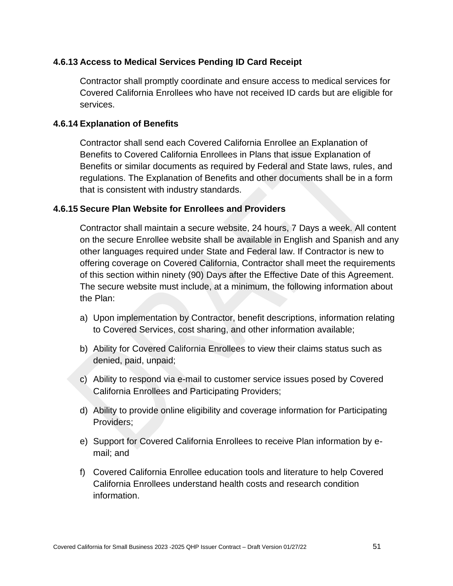### **4.6.13 Access to Medical Services Pending ID Card Receipt**

Contractor shall promptly coordinate and ensure access to medical services for Covered California Enrollees who have not received ID cards but are eligible for services.

#### **4.6.14 Explanation of Benefits**

Contractor shall send each Covered California Enrollee an Explanation of Benefits to Covered California Enrollees in Plans that issue Explanation of Benefits or similar documents as required by Federal and State laws, rules, and regulations. The Explanation of Benefits and other documents shall be in a form that is consistent with industry standards.

### **4.6.15 Secure Plan Website for Enrollees and Providers**

Contractor shall maintain a secure website, 24 hours, 7 Days a week. All content on the secure Enrollee website shall be available in English and Spanish and any other languages required under State and Federal law. If Contractor is new to offering coverage on Covered California, Contractor shall meet the requirements of this section within ninety (90) Days after the Effective Date of this Agreement. The secure website must include, at a minimum, the following information about the Plan:

- a) Upon implementation by Contractor, benefit descriptions, information relating to Covered Services, cost sharing, and other information available;
- b) Ability for Covered California Enrollees to view their claims status such as denied, paid, unpaid;
- c) Ability to respond via e-mail to customer service issues posed by Covered California Enrollees and Participating Providers;
- d) Ability to provide online eligibility and coverage information for Participating Providers;
- e) Support for Covered California Enrollees to receive Plan information by email; and
- f) Covered California Enrollee education tools and literature to help Covered California Enrollees understand health costs and research condition information.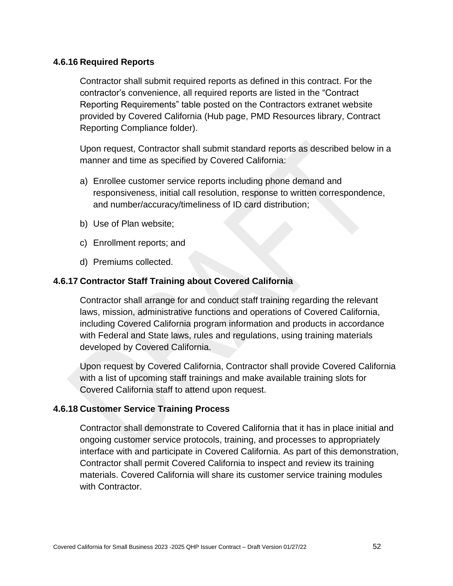### **4.6.16 Required Reports**

Contractor shall submit required reports as defined in this contract. For the contractor's convenience, all required reports are listed in the "Contract Reporting Requirements" table posted on the Contractors extranet website provided by Covered California (Hub page, PMD Resources library, Contract Reporting Compliance folder).

Upon request, Contractor shall submit standard reports as described below in a manner and time as specified by Covered California:

- a) Enrollee customer service reports including phone demand and responsiveness, initial call resolution, response to written correspondence, and number/accuracy/timeliness of ID card distribution;
- b) Use of Plan website;
- c) Enrollment reports; and
- d) Premiums collected.

#### **4.6.17 Contractor Staff Training about Covered California**

Contractor shall arrange for and conduct staff training regarding the relevant laws, mission, administrative functions and operations of Covered California, including Covered California program information and products in accordance with Federal and State laws, rules and regulations, using training materials developed by Covered California.

Upon request by Covered California, Contractor shall provide Covered California with a list of upcoming staff trainings and make available training slots for Covered California staff to attend upon request.

#### **4.6.18 Customer Service Training Process**

Contractor shall demonstrate to Covered California that it has in place initial and ongoing customer service protocols, training, and processes to appropriately interface with and participate in Covered California. As part of this demonstration, Contractor shall permit Covered California to inspect and review its training materials. Covered California will share its customer service training modules with Contractor.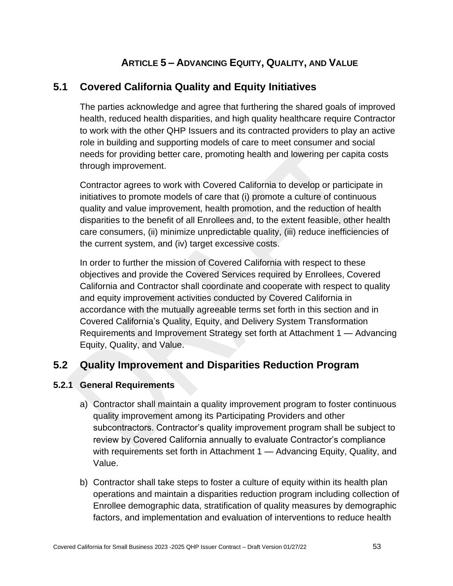# **ARTICLE 5 – ADVANCING EQUITY, QUALITY, AND VALUE**

# **5.1 Covered California Quality and Equity Initiatives**

The parties acknowledge and agree that furthering the shared goals of improved health, reduced health disparities, and high quality healthcare require Contractor to work with the other QHP Issuers and its contracted providers to play an active role in building and supporting models of care to meet consumer and social needs for providing better care, promoting health and lowering per capita costs through improvement.

Contractor agrees to work with Covered California to develop or participate in initiatives to promote models of care that (i) promote a culture of continuous quality and value improvement, health promotion, and the reduction of health disparities to the benefit of all Enrollees and, to the extent feasible, other health care consumers, (ii) minimize unpredictable quality, (iii) reduce inefficiencies of the current system, and (iv) target excessive costs.

In order to further the mission of Covered California with respect to these objectives and provide the Covered Services required by Enrollees, Covered California and Contractor shall coordinate and cooperate with respect to quality and equity improvement activities conducted by Covered California in accordance with the mutually agreeable terms set forth in this section and in Covered California's Quality, Equity, and Delivery System Transformation Requirements and Improvement Strategy set forth at Attachment 1 — Advancing Equity, Quality, and Value.

# **5.2 Quality Improvement and Disparities Reduction Program**

## **5.2.1 General Requirements**

- a) Contractor shall maintain a quality improvement program to foster continuous quality improvement among its Participating Providers and other subcontractors. Contractor's quality improvement program shall be subject to review by Covered California annually to evaluate Contractor's compliance with requirements set forth in Attachment 1 — Advancing Equity, Quality, and Value.
- b) Contractor shall take steps to foster a culture of equity within its health plan operations and maintain a disparities reduction program including collection of Enrollee demographic data, stratification of quality measures by demographic factors, and implementation and evaluation of interventions to reduce health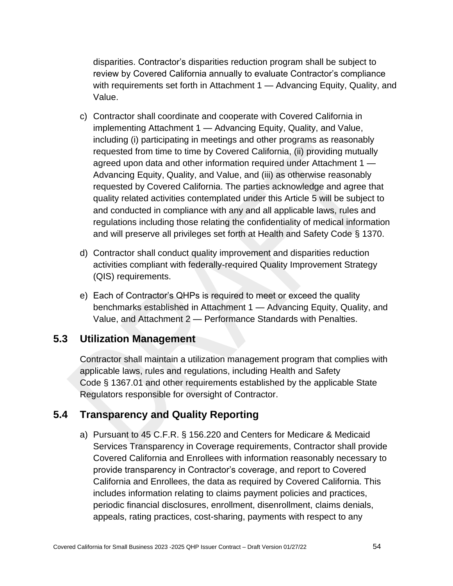disparities. Contractor's disparities reduction program shall be subject to review by Covered California annually to evaluate Contractor's compliance with requirements set forth in Attachment 1 — Advancing Equity, Quality, and Value.

- c) Contractor shall coordinate and cooperate with Covered California in implementing Attachment 1 — Advancing Equity, Quality, and Value, including (i) participating in meetings and other programs as reasonably requested from time to time by Covered California, (ii) providing mutually agreed upon data and other information required under Attachment 1 — Advancing Equity, Quality, and Value, and (iii) as otherwise reasonably requested by Covered California. The parties acknowledge and agree that quality related activities contemplated under this Article 5 will be subject to and conducted in compliance with any and all applicable laws, rules and regulations including those relating the confidentiality of medical information and will preserve all privileges set forth at Health and Safety Code § 1370.
- d) Contractor shall conduct quality improvement and disparities reduction activities compliant with federally-required Quality Improvement Strategy (QIS) requirements.
- e) Each of Contractor's QHPs is required to meet or exceed the quality benchmarks established in Attachment 1 — Advancing Equity, Quality, and Value, and Attachment 2 — Performance Standards with Penalties.

## **5.3 Utilization Management**

Contractor shall maintain a utilization management program that complies with applicable laws, rules and regulations, including Health and Safety Code § 1367.01 and other requirements established by the applicable State Regulators responsible for oversight of Contractor.

# **5.4 Transparency and Quality Reporting**

a) Pursuant to 45 C.F.R. § 156.220 and Centers for Medicare & Medicaid Services Transparency in Coverage requirements, Contractor shall provide Covered California and Enrollees with information reasonably necessary to provide transparency in Contractor's coverage, and report to Covered California and Enrollees, the data as required by Covered California. This includes information relating to claims payment policies and practices, periodic financial disclosures, enrollment, disenrollment, claims denials, appeals, rating practices, cost-sharing, payments with respect to any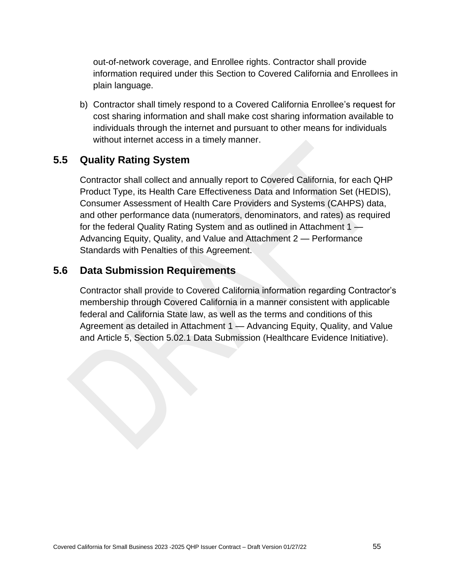out-of-network coverage, and Enrollee rights. Contractor shall provide information required under this Section to Covered California and Enrollees in plain language.

b) Contractor shall timely respond to a Covered California Enrollee's request for cost sharing information and shall make cost sharing information available to individuals through the internet and pursuant to other means for individuals without internet access in a timely manner.

# **5.5 Quality Rating System**

Contractor shall collect and annually report to Covered California, for each QHP Product Type, its Health Care Effectiveness Data and Information Set (HEDIS), Consumer Assessment of Health Care Providers and Systems (CAHPS) data, and other performance data (numerators, denominators, and rates) as required for the federal Quality Rating System and as outlined in Attachment  $1 -$ Advancing Equity, Quality, and Value and Attachment 2 — Performance Standards with Penalties of this Agreement.

## **5.6 Data Submission Requirements**

Contractor shall provide to Covered California information regarding Contractor's membership through Covered California in a manner consistent with applicable federal and California State law, as well as the terms and conditions of this Agreement as detailed in Attachment 1 — Advancing Equity, Quality, and Value and Article 5, Section 5.02.1 Data Submission (Healthcare Evidence Initiative).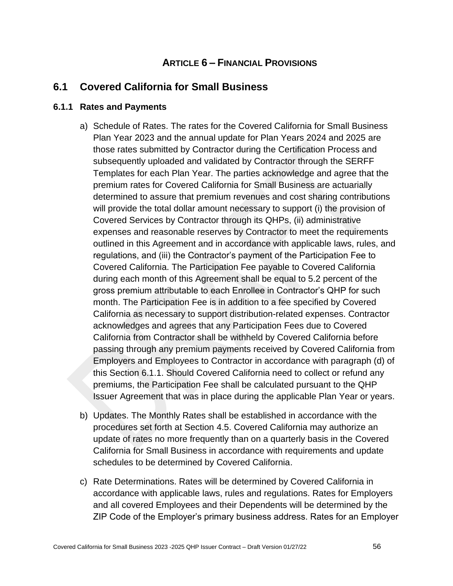## **ARTICLE 6 – FINANCIAL PROVISIONS**

## **6.1 Covered California for Small Business**

### **6.1.1 Rates and Payments**

- a) Schedule of Rates. The rates for the Covered California for Small Business Plan Year 2023 and the annual update for Plan Years 2024 and 2025 are those rates submitted by Contractor during the Certification Process and subsequently uploaded and validated by Contractor through the SERFF Templates for each Plan Year. The parties acknowledge and agree that the premium rates for Covered California for Small Business are actuarially determined to assure that premium revenues and cost sharing contributions will provide the total dollar amount necessary to support (i) the provision of Covered Services by Contractor through its QHPs, (ii) administrative expenses and reasonable reserves by Contractor to meet the requirements outlined in this Agreement and in accordance with applicable laws, rules, and regulations, and (iii) the Contractor's payment of the Participation Fee to Covered California. The Participation Fee payable to Covered California during each month of this Agreement shall be equal to 5.2 percent of the gross premium attributable to each Enrollee in Contractor's QHP for such month. The Participation Fee is in addition to a fee specified by Covered California as necessary to support distribution-related expenses. Contractor acknowledges and agrees that any Participation Fees due to Covered California from Contractor shall be withheld by Covered California before passing through any premium payments received by Covered California from Employers and Employees to Contractor in accordance with paragraph (d) of this Section 6.1.1. Should Covered California need to collect or refund any premiums, the Participation Fee shall be calculated pursuant to the QHP Issuer Agreement that was in place during the applicable Plan Year or years.
- b) Updates. The Monthly Rates shall be established in accordance with the procedures set forth at Section 4.5. Covered California may authorize an update of rates no more frequently than on a quarterly basis in the Covered California for Small Business in accordance with requirements and update schedules to be determined by Covered California.
- c) Rate Determinations. Rates will be determined by Covered California in accordance with applicable laws, rules and regulations. Rates for Employers and all covered Employees and their Dependents will be determined by the ZIP Code of the Employer's primary business address. Rates for an Employer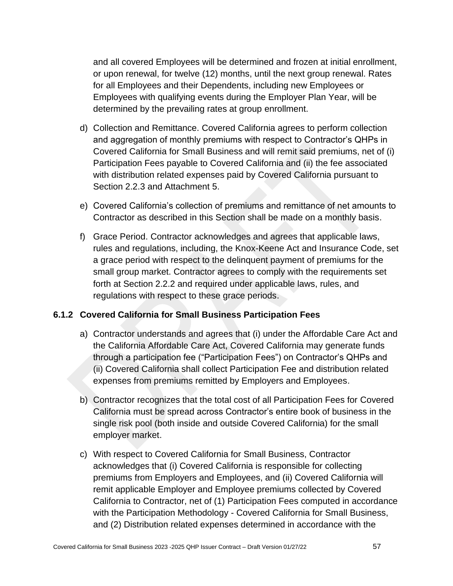and all covered Employees will be determined and frozen at initial enrollment, or upon renewal, for twelve (12) months, until the next group renewal. Rates for all Employees and their Dependents, including new Employees or Employees with qualifying events during the Employer Plan Year, will be determined by the prevailing rates at group enrollment.

- d) Collection and Remittance. Covered California agrees to perform collection and aggregation of monthly premiums with respect to Contractor's QHPs in Covered California for Small Business and will remit said premiums, net of (i) Participation Fees payable to Covered California and (ii) the fee associated with distribution related expenses paid by Covered California pursuant to Section 2.2.3 and Attachment 5.
- e) Covered California's collection of premiums and remittance of net amounts to Contractor as described in this Section shall be made on a monthly basis.
- f) Grace Period. Contractor acknowledges and agrees that applicable laws, rules and regulations, including, the Knox-Keene Act and Insurance Code, set a grace period with respect to the delinquent payment of premiums for the small group market. Contractor agrees to comply with the requirements set forth at Section 2.2.2 and required under applicable laws, rules, and regulations with respect to these grace periods.

### **6.1.2 Covered California for Small Business Participation Fees**

- a) Contractor understands and agrees that (i) under the Affordable Care Act and the California Affordable Care Act, Covered California may generate funds through a participation fee ("Participation Fees") on Contractor's QHPs and (ii) Covered California shall collect Participation Fee and distribution related expenses from premiums remitted by Employers and Employees.
- b) Contractor recognizes that the total cost of all Participation Fees for Covered California must be spread across Contractor's entire book of business in the single risk pool (both inside and outside Covered California) for the small employer market.
- c) With respect to Covered California for Small Business, Contractor acknowledges that (i) Covered California is responsible for collecting premiums from Employers and Employees, and (ii) Covered California will remit applicable Employer and Employee premiums collected by Covered California to Contractor, net of (1) Participation Fees computed in accordance with the Participation Methodology - Covered California for Small Business, and (2) Distribution related expenses determined in accordance with the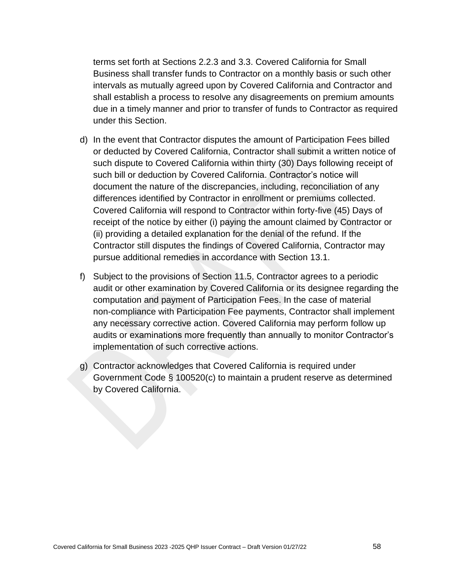terms set forth at Sections 2.2.3 and 3.3. Covered California for Small Business shall transfer funds to Contractor on a monthly basis or such other intervals as mutually agreed upon by Covered California and Contractor and shall establish a process to resolve any disagreements on premium amounts due in a timely manner and prior to transfer of funds to Contractor as required under this Section.

- d) In the event that Contractor disputes the amount of Participation Fees billed or deducted by Covered California, Contractor shall submit a written notice of such dispute to Covered California within thirty (30) Days following receipt of such bill or deduction by Covered California. Contractor's notice will document the nature of the discrepancies, including, reconciliation of any differences identified by Contractor in enrollment or premiums collected. Covered California will respond to Contractor within forty-five (45) Days of receipt of the notice by either (i) paying the amount claimed by Contractor or (ii) providing a detailed explanation for the denial of the refund. If the Contractor still disputes the findings of Covered California, Contractor may pursue additional remedies in accordance with Section 13.1.
- f) Subject to the provisions of Section 11.5, Contractor agrees to a periodic audit or other examination by Covered California or its designee regarding the computation and payment of Participation Fees. In the case of material non-compliance with Participation Fee payments, Contractor shall implement any necessary corrective action. Covered California may perform follow up audits or examinations more frequently than annually to monitor Contractor's implementation of such corrective actions.
- g) Contractor acknowledges that Covered California is required under Government Code § 100520(c) to maintain a prudent reserve as determined by Covered California.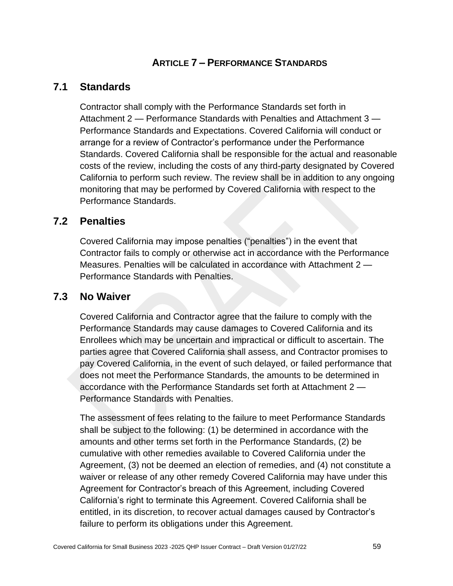## **ARTICLE 7 – PERFORMANCE STANDARDS**

## **7.1 Standards**

Contractor shall comply with the Performance Standards set forth in Attachment 2 — Performance Standards with Penalties and Attachment 3 — Performance Standards and Expectations. Covered California will conduct or arrange for a review of Contractor's performance under the Performance Standards. Covered California shall be responsible for the actual and reasonable costs of the review, including the costs of any third-party designated by Covered California to perform such review. The review shall be in addition to any ongoing monitoring that may be performed by Covered California with respect to the Performance Standards.

## **7.2 Penalties**

Covered California may impose penalties ("penalties") in the event that Contractor fails to comply or otherwise act in accordance with the Performance Measures. Penalties will be calculated in accordance with Attachment 2 — Performance Standards with Penalties.

## **7.3 No Waiver**

Covered California and Contractor agree that the failure to comply with the Performance Standards may cause damages to Covered California and its Enrollees which may be uncertain and impractical or difficult to ascertain. The parties agree that Covered California shall assess, and Contractor promises to pay Covered California, in the event of such delayed, or failed performance that does not meet the Performance Standards, the amounts to be determined in accordance with the Performance Standards set forth at Attachment 2 — Performance Standards with Penalties.

The assessment of fees relating to the failure to meet Performance Standards shall be subject to the following: (1) be determined in accordance with the amounts and other terms set forth in the Performance Standards, (2) be cumulative with other remedies available to Covered California under the Agreement, (3) not be deemed an election of remedies, and (4) not constitute a waiver or release of any other remedy Covered California may have under this Agreement for Contractor's breach of this Agreement, including Covered California's right to terminate this Agreement. Covered California shall be entitled, in its discretion, to recover actual damages caused by Contractor's failure to perform its obligations under this Agreement.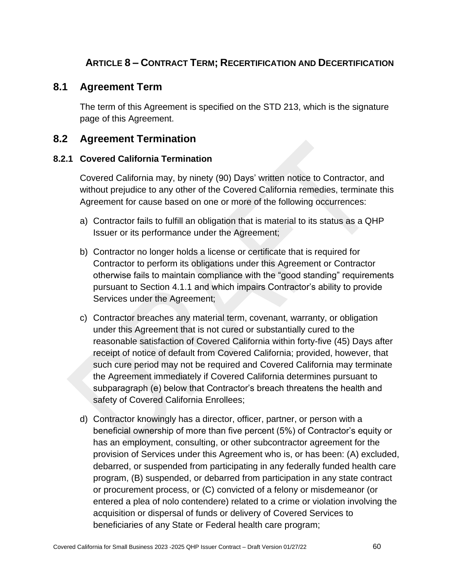# **ARTICLE 8 – CONTRACT TERM; RECERTIFICATION AND DECERTIFICATION**

## **8.1 Agreement Term**

The term of this Agreement is specified on the STD 213, which is the signature page of this Agreement.

## **8.2 Agreement Termination**

#### **8.2.1 Covered California Termination**

Covered California may, by ninety (90) Days' written notice to Contractor, and without prejudice to any other of the Covered California remedies, terminate this Agreement for cause based on one or more of the following occurrences:

- a) Contractor fails to fulfill an obligation that is material to its status as a QHP Issuer or its performance under the Agreement;
- b) Contractor no longer holds a license or certificate that is required for Contractor to perform its obligations under this Agreement or Contractor otherwise fails to maintain compliance with the "good standing" requirements pursuant to Section 4.1.1 and which impairs Contractor's ability to provide Services under the Agreement;
- c) Contractor breaches any material term, covenant, warranty, or obligation under this Agreement that is not cured or substantially cured to the reasonable satisfaction of Covered California within forty-five (45) Days after receipt of notice of default from Covered California; provided, however, that such cure period may not be required and Covered California may terminate the Agreement immediately if Covered California determines pursuant to subparagraph (e) below that Contractor's breach threatens the health and safety of Covered California Enrollees;
- d) Contractor knowingly has a director, officer, partner, or person with a beneficial ownership of more than five percent (5%) of Contractor's equity or has an employment, consulting, or other subcontractor agreement for the provision of Services under this Agreement who is, or has been: (A) excluded, debarred, or suspended from participating in any federally funded health care program, (B) suspended, or debarred from participation in any state contract or procurement process, or (C) convicted of a felony or misdemeanor (or entered a plea of nolo contendere) related to a crime or violation involving the acquisition or dispersal of funds or delivery of Covered Services to beneficiaries of any State or Federal health care program;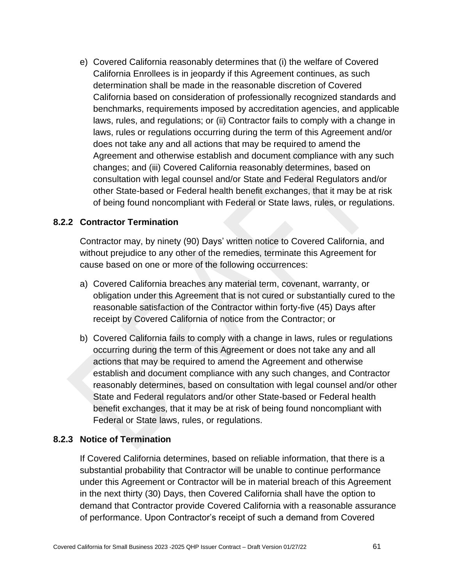e) Covered California reasonably determines that (i) the welfare of Covered California Enrollees is in jeopardy if this Agreement continues, as such determination shall be made in the reasonable discretion of Covered California based on consideration of professionally recognized standards and benchmarks, requirements imposed by accreditation agencies, and applicable laws, rules, and regulations; or (ii) Contractor fails to comply with a change in laws, rules or regulations occurring during the term of this Agreement and/or does not take any and all actions that may be required to amend the Agreement and otherwise establish and document compliance with any such changes; and (iii) Covered California reasonably determines, based on consultation with legal counsel and/or State and Federal Regulators and/or other State-based or Federal health benefit exchanges, that it may be at risk of being found noncompliant with Federal or State laws, rules, or regulations.

### **8.2.2 Contractor Termination**

Contractor may, by ninety (90) Days' written notice to Covered California, and without prejudice to any other of the remedies, terminate this Agreement for cause based on one or more of the following occurrences:

- a) Covered California breaches any material term, covenant, warranty, or obligation under this Agreement that is not cured or substantially cured to the reasonable satisfaction of the Contractor within forty-five (45) Days after receipt by Covered California of notice from the Contractor; or
- b) Covered California fails to comply with a change in laws, rules or regulations occurring during the term of this Agreement or does not take any and all actions that may be required to amend the Agreement and otherwise establish and document compliance with any such changes, and Contractor reasonably determines, based on consultation with legal counsel and/or other State and Federal regulators and/or other State-based or Federal health benefit exchanges, that it may be at risk of being found noncompliant with Federal or State laws, rules, or regulations.

#### **8.2.3 Notice of Termination**

If Covered California determines, based on reliable information, that there is a substantial probability that Contractor will be unable to continue performance under this Agreement or Contractor will be in material breach of this Agreement in the next thirty (30) Days, then Covered California shall have the option to demand that Contractor provide Covered California with a reasonable assurance of performance. Upon Contractor's receipt of such a demand from Covered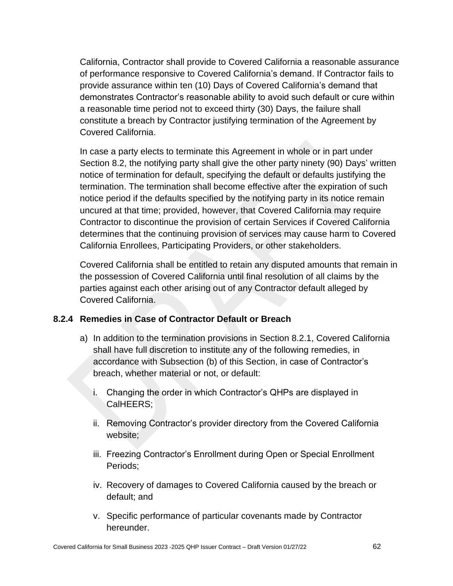California, Contractor shall provide to Covered California a reasonable assurance of performance responsive to Covered California's demand. If Contractor fails to provide assurance within ten (10) Days of Covered California's demand that demonstrates Contractor's reasonable ability to avoid such default or cure within a reasonable time period not to exceed thirty (30) Days, the failure shall constitute a breach by Contractor justifying termination of the Agreement by Covered California.

In case a party elects to terminate this Agreement in whole or in part under Section 8.2, the notifying party shall give the other party ninety (90) Days' written notice of termination for default, specifying the default or defaults justifying the termination. The termination shall become effective after the expiration of such notice period if the defaults specified by the notifying party in its notice remain uncured at that time; provided, however, that Covered California may require Contractor to discontinue the provision of certain Services if Covered California determines that the continuing provision of services may cause harm to Covered California Enrollees, Participating Providers, or other stakeholders.

Covered California shall be entitled to retain any disputed amounts that remain in the possession of Covered California until final resolution of all claims by the parties against each other arising out of any Contractor default alleged by Covered California.

### **8.2.4 Remedies in Case of Contractor Default or Breach**

- a) In addition to the termination provisions in Section 8.2.1, Covered California shall have full discretion to institute any of the following remedies, in accordance with Subsection (b) of this Section, in case of Contractor's breach, whether material or not, or default:
	- i. Changing the order in which Contractor's QHPs are displayed in CalHEERS;
	- ii. Removing Contractor's provider directory from the Covered California website;
	- iii. Freezing Contractor's Enrollment during Open or Special Enrollment Periods;
	- iv. Recovery of damages to Covered California caused by the breach or default; and
	- v. Specific performance of particular covenants made by Contractor hereunder.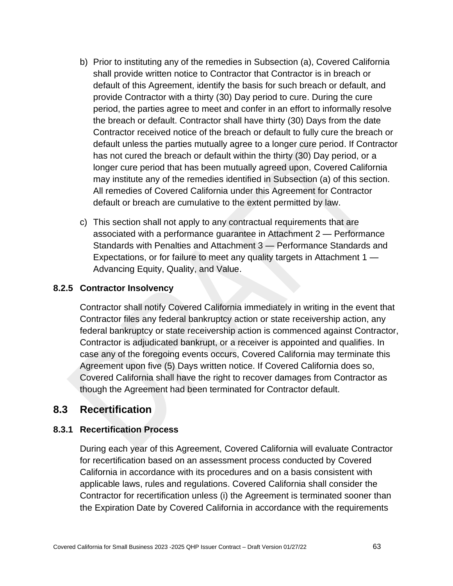- b) Prior to instituting any of the remedies in Subsection (a), Covered California shall provide written notice to Contractor that Contractor is in breach or default of this Agreement, identify the basis for such breach or default, and provide Contractor with a thirty (30) Day period to cure. During the cure period, the parties agree to meet and confer in an effort to informally resolve the breach or default. Contractor shall have thirty (30) Days from the date Contractor received notice of the breach or default to fully cure the breach or default unless the parties mutually agree to a longer cure period. If Contractor has not cured the breach or default within the thirty (30) Day period, or a longer cure period that has been mutually agreed upon, Covered California may institute any of the remedies identified in Subsection (a) of this section. All remedies of Covered California under this Agreement for Contractor default or breach are cumulative to the extent permitted by law.
- c) This section shall not apply to any contractual requirements that are associated with a performance guarantee in Attachment 2 — Performance Standards with Penalties and Attachment 3 — Performance Standards and Expectations, or for failure to meet any quality targets in Attachment 1 — Advancing Equity, Quality, and Value.

### **8.2.5 Contractor Insolvency**

Contractor shall notify Covered California immediately in writing in the event that Contractor files any federal bankruptcy action or state receivership action, any federal bankruptcy or state receivership action is commenced against Contractor, Contractor is adjudicated bankrupt, or a receiver is appointed and qualifies. In case any of the foregoing events occurs, Covered California may terminate this Agreement upon five (5) Days written notice. If Covered California does so, Covered California shall have the right to recover damages from Contractor as though the Agreement had been terminated for Contractor default.

## **8.3 Recertification**

### **8.3.1 Recertification Process**

During each year of this Agreement, Covered California will evaluate Contractor for recertification based on an assessment process conducted by Covered California in accordance with its procedures and on a basis consistent with applicable laws, rules and regulations. Covered California shall consider the Contractor for recertification unless (i) the Agreement is terminated sooner than the Expiration Date by Covered California in accordance with the requirements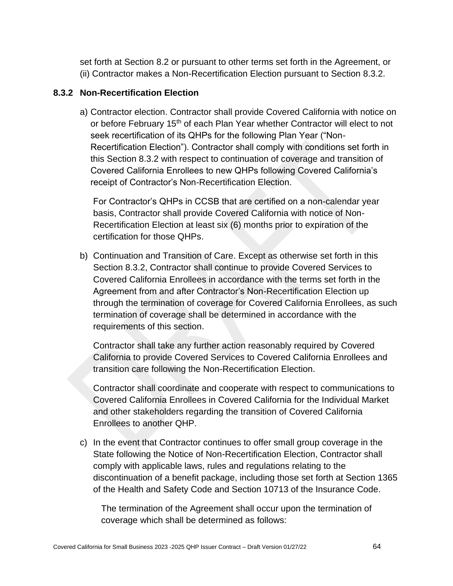set forth at Section 8.2 or pursuant to other terms set forth in the Agreement, or (ii) Contractor makes a Non-Recertification Election pursuant to Section 8.3.2.

#### **8.3.2 Non-Recertification Election**

a) Contractor election. Contractor shall provide Covered California with notice on or before February 15<sup>th</sup> of each Plan Year whether Contractor will elect to not seek recertification of its QHPs for the following Plan Year ("Non-Recertification Election"). Contractor shall comply with conditions set forth in this Section 8.3.2 with respect to continuation of coverage and transition of Covered California Enrollees to new QHPs following Covered California's receipt of Contractor's Non-Recertification Election.

For Contractor's QHPs in CCSB that are certified on a non-calendar year basis, Contractor shall provide Covered California with notice of Non-Recertification Election at least six (6) months prior to expiration of the certification for those QHPs.

b) Continuation and Transition of Care. Except as otherwise set forth in this Section 8.3.2, Contractor shall continue to provide Covered Services to Covered California Enrollees in accordance with the terms set forth in the Agreement from and after Contractor's Non-Recertification Election up through the termination of coverage for Covered California Enrollees, as such termination of coverage shall be determined in accordance with the requirements of this section.

Contractor shall take any further action reasonably required by Covered California to provide Covered Services to Covered California Enrollees and transition care following the Non-Recertification Election.

Contractor shall coordinate and cooperate with respect to communications to Covered California Enrollees in Covered California for the Individual Market and other stakeholders regarding the transition of Covered California Enrollees to another QHP.

c) In the event that Contractor continues to offer small group coverage in the State following the Notice of Non-Recertification Election, Contractor shall comply with applicable laws, rules and regulations relating to the discontinuation of a benefit package, including those set forth at Section 1365 of the Health and Safety Code and Section 10713 of the Insurance Code.

The termination of the Agreement shall occur upon the termination of coverage which shall be determined as follows: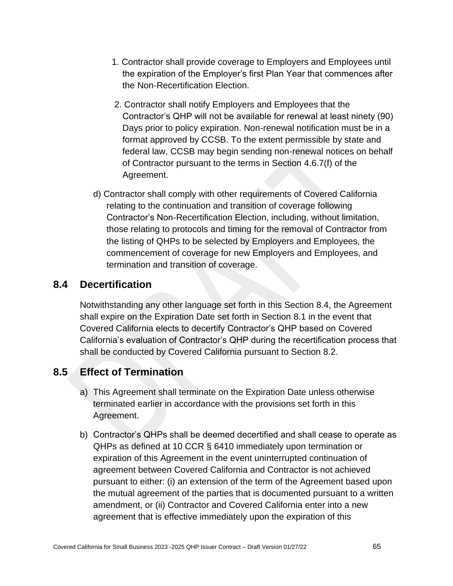- 1. Contractor shall provide coverage to Employers and Employees until the expiration of the Employer's first Plan Year that commences after the Non-Recertification Election.
- 2. Contractor shall notify Employers and Employees that the Contractor's QHP will not be available for renewal at least ninety (90) Days prior to policy expiration. Non-renewal notification must be in a format approved by CCSB. To the extent permissible by state and federal law, CCSB may begin sending non-renewal notices on behalf of Contractor pursuant to the terms in Section 4.6.7(f) of the Agreement.
- d) Contractor shall comply with other requirements of Covered California relating to the continuation and transition of coverage following Contractor's Non-Recertification Election, including, without limitation, those relating to protocols and timing for the removal of Contractor from the listing of QHPs to be selected by Employers and Employees, the commencement of coverage for new Employers and Employees, and termination and transition of coverage.

## **8.4 Decertification**

Notwithstanding any other language set forth in this Section 8.4, the Agreement shall expire on the Expiration Date set forth in Section 8.1 in the event that Covered California elects to decertify Contractor's QHP based on Covered California's evaluation of Contractor's QHP during the recertification process that shall be conducted by Covered California pursuant to Section 8.2.

# **8.5 Effect of Termination**

- a) This Agreement shall terminate on the Expiration Date unless otherwise terminated earlier in accordance with the provisions set forth in this Agreement.
- b) Contractor's QHPs shall be deemed decertified and shall cease to operate as QHPs as defined at 10 CCR § 6410 immediately upon termination or expiration of this Agreement in the event uninterrupted continuation of agreement between Covered California and Contractor is not achieved pursuant to either: (i) an extension of the term of the Agreement based upon the mutual agreement of the parties that is documented pursuant to a written amendment, or (ii) Contractor and Covered California enter into a new agreement that is effective immediately upon the expiration of this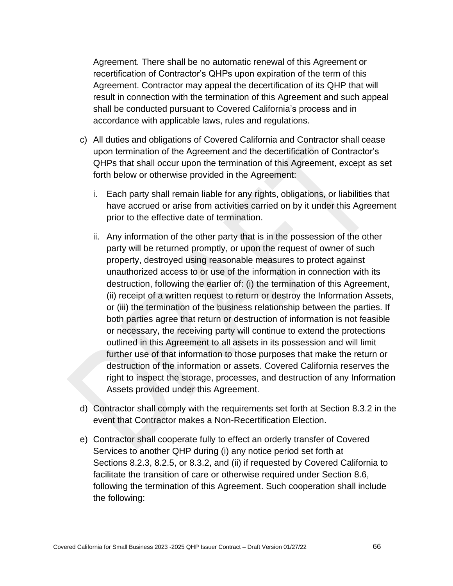Agreement. There shall be no automatic renewal of this Agreement or recertification of Contractor's QHPs upon expiration of the term of this Agreement. Contractor may appeal the decertification of its QHP that will result in connection with the termination of this Agreement and such appeal shall be conducted pursuant to Covered California's process and in accordance with applicable laws, rules and regulations.

- c) All duties and obligations of Covered California and Contractor shall cease upon termination of the Agreement and the decertification of Contractor's QHPs that shall occur upon the termination of this Agreement, except as set forth below or otherwise provided in the Agreement:
	- i. Each party shall remain liable for any rights, obligations, or liabilities that have accrued or arise from activities carried on by it under this Agreement prior to the effective date of termination.
	- ii. Any information of the other party that is in the possession of the other party will be returned promptly, or upon the request of owner of such property, destroyed using reasonable measures to protect against unauthorized access to or use of the information in connection with its destruction, following the earlier of: (i) the termination of this Agreement, (ii) receipt of a written request to return or destroy the Information Assets, or (iii) the termination of the business relationship between the parties. If both parties agree that return or destruction of information is not feasible or necessary, the receiving party will continue to extend the protections outlined in this Agreement to all assets in its possession and will limit further use of that information to those purposes that make the return or destruction of the information or assets. Covered California reserves the right to inspect the storage, processes, and destruction of any Information Assets provided under this Agreement.
- d) Contractor shall comply with the requirements set forth at Section 8.3.2 in the event that Contractor makes a Non-Recertification Election.
- e) Contractor shall cooperate fully to effect an orderly transfer of Covered Services to another QHP during (i) any notice period set forth at Sections 8.2.3, 8.2.5, or 8.3.2, and (ii) if requested by Covered California to facilitate the transition of care or otherwise required under Section 8.6, following the termination of this Agreement. Such cooperation shall include the following: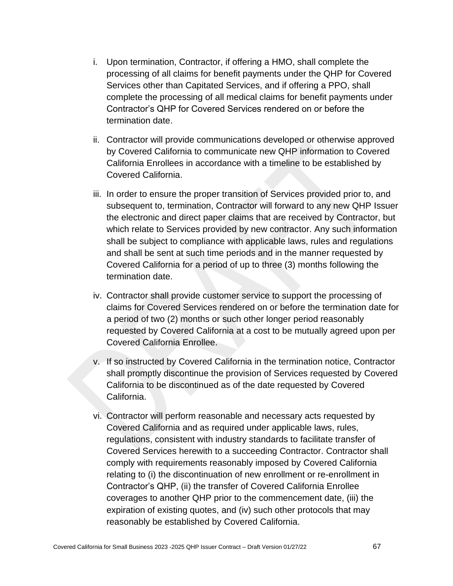- i. Upon termination, Contractor, if offering a HMO, shall complete the processing of all claims for benefit payments under the QHP for Covered Services other than Capitated Services, and if offering a PPO, shall complete the processing of all medical claims for benefit payments under Contractor's QHP for Covered Services rendered on or before the termination date.
- ii. Contractor will provide communications developed or otherwise approved by Covered California to communicate new QHP information to Covered California Enrollees in accordance with a timeline to be established by Covered California.
- iii. In order to ensure the proper transition of Services provided prior to, and subsequent to, termination, Contractor will forward to any new QHP Issuer the electronic and direct paper claims that are received by Contractor, but which relate to Services provided by new contractor. Any such information shall be subject to compliance with applicable laws, rules and regulations and shall be sent at such time periods and in the manner requested by Covered California for a period of up to three (3) months following the termination date.
- iv. Contractor shall provide customer service to support the processing of claims for Covered Services rendered on or before the termination date for a period of two (2) months or such other longer period reasonably requested by Covered California at a cost to be mutually agreed upon per Covered California Enrollee.
- v. If so instructed by Covered California in the termination notice, Contractor shall promptly discontinue the provision of Services requested by Covered California to be discontinued as of the date requested by Covered California.
- vi. Contractor will perform reasonable and necessary acts requested by Covered California and as required under applicable laws, rules, regulations, consistent with industry standards to facilitate transfer of Covered Services herewith to a succeeding Contractor. Contractor shall comply with requirements reasonably imposed by Covered California relating to (i) the discontinuation of new enrollment or re-enrollment in Contractor's QHP, (ii) the transfer of Covered California Enrollee coverages to another QHP prior to the commencement date, (iii) the expiration of existing quotes, and (iv) such other protocols that may reasonably be established by Covered California.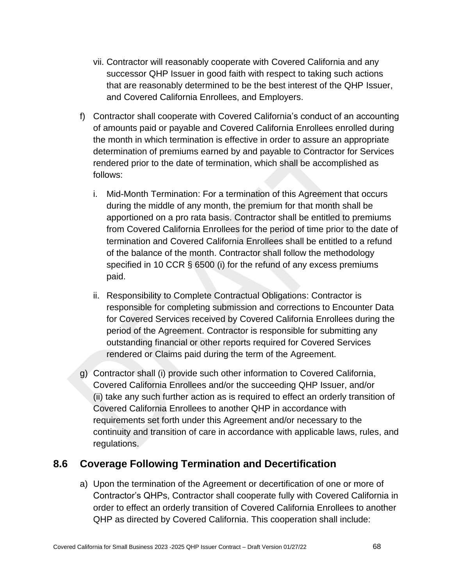- vii. Contractor will reasonably cooperate with Covered California and any successor QHP Issuer in good faith with respect to taking such actions that are reasonably determined to be the best interest of the QHP Issuer, and Covered California Enrollees, and Employers.
- f) Contractor shall cooperate with Covered California's conduct of an accounting of amounts paid or payable and Covered California Enrollees enrolled during the month in which termination is effective in order to assure an appropriate determination of premiums earned by and payable to Contractor for Services rendered prior to the date of termination, which shall be accomplished as follows:
	- i. Mid-Month Termination: For a termination of this Agreement that occurs during the middle of any month, the premium for that month shall be apportioned on a pro rata basis. Contractor shall be entitled to premiums from Covered California Enrollees for the period of time prior to the date of termination and Covered California Enrollees shall be entitled to a refund of the balance of the month. Contractor shall follow the methodology specified in 10 CCR § 6500 (i) for the refund of any excess premiums paid.
	- ii. Responsibility to Complete Contractual Obligations: Contractor is responsible for completing submission and corrections to Encounter Data for Covered Services received by Covered California Enrollees during the period of the Agreement. Contractor is responsible for submitting any outstanding financial or other reports required for Covered Services rendered or Claims paid during the term of the Agreement.
- g) Contractor shall (i) provide such other information to Covered California, Covered California Enrollees and/or the succeeding QHP Issuer, and/or (ii) take any such further action as is required to effect an orderly transition of Covered California Enrollees to another QHP in accordance with requirements set forth under this Agreement and/or necessary to the continuity and transition of care in accordance with applicable laws, rules, and regulations.

## **8.6 Coverage Following Termination and Decertification**

a) Upon the termination of the Agreement or decertification of one or more of Contractor's QHPs, Contractor shall cooperate fully with Covered California in order to effect an orderly transition of Covered California Enrollees to another QHP as directed by Covered California. This cooperation shall include: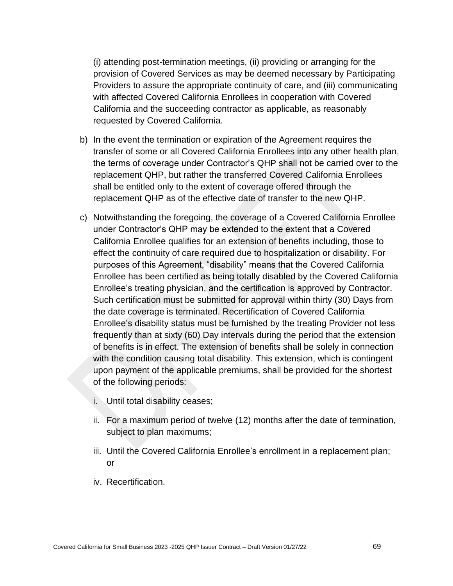(i) attending post-termination meetings, (ii) providing or arranging for the provision of Covered Services as may be deemed necessary by Participating Providers to assure the appropriate continuity of care, and (iii) communicating with affected Covered California Enrollees in cooperation with Covered California and the succeeding contractor as applicable, as reasonably requested by Covered California.

- b) In the event the termination or expiration of the Agreement requires the transfer of some or all Covered California Enrollees into any other health plan, the terms of coverage under Contractor's QHP shall not be carried over to the replacement QHP, but rather the transferred Covered California Enrollees shall be entitled only to the extent of coverage offered through the replacement QHP as of the effective date of transfer to the new QHP.
- c) Notwithstanding the foregoing, the coverage of a Covered California Enrollee under Contractor's QHP may be extended to the extent that a Covered California Enrollee qualifies for an extension of benefits including, those to effect the continuity of care required due to hospitalization or disability. For purposes of this Agreement, "disability" means that the Covered California Enrollee has been certified as being totally disabled by the Covered California Enrollee's treating physician, and the certification is approved by Contractor. Such certification must be submitted for approval within thirty (30) Days from the date coverage is terminated. Recertification of Covered California Enrollee's disability status must be furnished by the treating Provider not less frequently than at sixty (60) Day intervals during the period that the extension of benefits is in effect. The extension of benefits shall be solely in connection with the condition causing total disability. This extension, which is contingent upon payment of the applicable premiums, shall be provided for the shortest of the following periods:
	- i. Until total disability ceases;
	- ii. For a maximum period of twelve (12) months after the date of termination, subject to plan maximums;
	- iii. Until the Covered California Enrollee's enrollment in a replacement plan; or
	- iv. Recertification.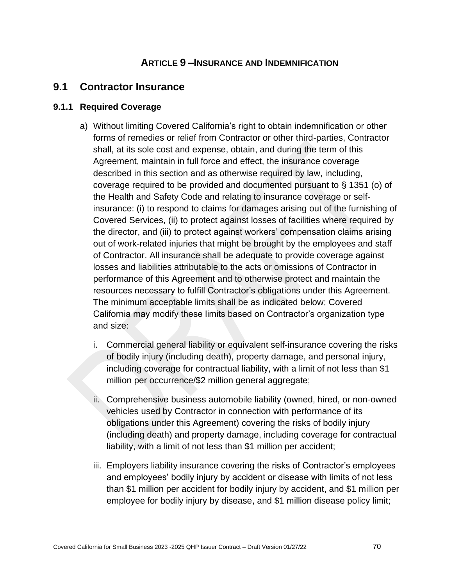### **ARTICLE 9 –INSURANCE AND INDEMNIFICATION**

#### **9.1 Contractor Insurance**

#### **9.1.1 Required Coverage**

- a) Without limiting Covered California's right to obtain indemnification or other forms of remedies or relief from Contractor or other third-parties, Contractor shall, at its sole cost and expense, obtain, and during the term of this Agreement, maintain in full force and effect, the insurance coverage described in this section and as otherwise required by law, including, coverage required to be provided and documented pursuant to § 1351 (o) of the Health and Safety Code and relating to insurance coverage or selfinsurance: (i) to respond to claims for damages arising out of the furnishing of Covered Services, (ii) to protect against losses of facilities where required by the director, and (iii) to protect against workers' compensation claims arising out of work-related injuries that might be brought by the employees and staff of Contractor. All insurance shall be adequate to provide coverage against losses and liabilities attributable to the acts or omissions of Contractor in performance of this Agreement and to otherwise protect and maintain the resources necessary to fulfill Contractor's obligations under this Agreement. The minimum acceptable limits shall be as indicated below; Covered California may modify these limits based on Contractor's organization type and size:
	- i. Commercial general liability or equivalent self-insurance covering the risks of bodily injury (including death), property damage, and personal injury, including coverage for contractual liability, with a limit of not less than \$1 million per occurrence/\$2 million general aggregate;
	- ii. Comprehensive business automobile liability (owned, hired, or non-owned vehicles used by Contractor in connection with performance of its obligations under this Agreement) covering the risks of bodily injury (including death) and property damage, including coverage for contractual liability, with a limit of not less than \$1 million per accident;
	- iii. Employers liability insurance covering the risks of Contractor's employees and employees' bodily injury by accident or disease with limits of not less than \$1 million per accident for bodily injury by accident, and \$1 million per employee for bodily injury by disease, and \$1 million disease policy limit;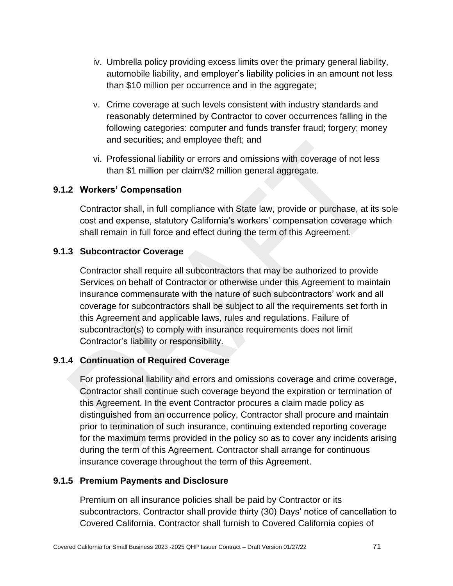- iv. Umbrella policy providing excess limits over the primary general liability, automobile liability, and employer's liability policies in an amount not less than \$10 million per occurrence and in the aggregate;
- v. Crime coverage at such levels consistent with industry standards and reasonably determined by Contractor to cover occurrences falling in the following categories: computer and funds transfer fraud; forgery; money and securities; and employee theft; and
- vi. Professional liability or errors and omissions with coverage of not less than \$1 million per claim/\$2 million general aggregate.

#### **9.1.2 Workers' Compensation**

Contractor shall, in full compliance with State law, provide or purchase, at its sole cost and expense, statutory California's workers' compensation coverage which shall remain in full force and effect during the term of this Agreement.

#### **9.1.3 Subcontractor Coverage**

Contractor shall require all subcontractors that may be authorized to provide Services on behalf of Contractor or otherwise under this Agreement to maintain insurance commensurate with the nature of such subcontractors' work and all coverage for subcontractors shall be subject to all the requirements set forth in this Agreement and applicable laws, rules and regulations. Failure of subcontractor(s) to comply with insurance requirements does not limit Contractor's liability or responsibility.

#### **9.1.4 Continuation of Required Coverage**

For professional liability and errors and omissions coverage and crime coverage, Contractor shall continue such coverage beyond the expiration or termination of this Agreement. In the event Contractor procures a claim made policy as distinguished from an occurrence policy, Contractor shall procure and maintain prior to termination of such insurance, continuing extended reporting coverage for the maximum terms provided in the policy so as to cover any incidents arising during the term of this Agreement. Contractor shall arrange for continuous insurance coverage throughout the term of this Agreement.

#### **9.1.5 Premium Payments and Disclosure**

Premium on all insurance policies shall be paid by Contractor or its subcontractors. Contractor shall provide thirty (30) Days' notice of cancellation to Covered California. Contractor shall furnish to Covered California copies of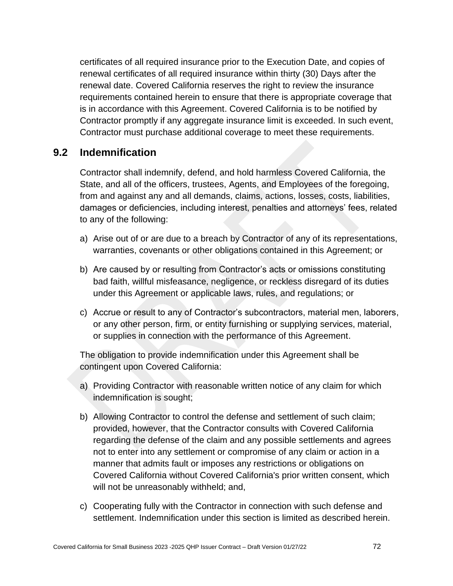certificates of all required insurance prior to the Execution Date, and copies of renewal certificates of all required insurance within thirty (30) Days after the renewal date. Covered California reserves the right to review the insurance requirements contained herein to ensure that there is appropriate coverage that is in accordance with this Agreement. Covered California is to be notified by Contractor promptly if any aggregate insurance limit is exceeded. In such event, Contractor must purchase additional coverage to meet these requirements.

#### **9.2 Indemnification**

Contractor shall indemnify, defend, and hold harmless Covered California, the State, and all of the officers, trustees, Agents, and Employees of the foregoing, from and against any and all demands, claims, actions, losses, costs, liabilities, damages or deficiencies, including interest, penalties and attorneys' fees, related to any of the following:

- a) Arise out of or are due to a breach by Contractor of any of its representations, warranties, covenants or other obligations contained in this Agreement; or
- b) Are caused by or resulting from Contractor's acts or omissions constituting bad faith, willful misfeasance, negligence, or reckless disregard of its duties under this Agreement or applicable laws, rules, and regulations; or
- c) Accrue or result to any of Contractor's subcontractors, material men, laborers, or any other person, firm, or entity furnishing or supplying services, material, or supplies in connection with the performance of this Agreement.

The obligation to provide indemnification under this Agreement shall be contingent upon Covered California:

- a) Providing Contractor with reasonable written notice of any claim for which indemnification is sought;
- b) Allowing Contractor to control the defense and settlement of such claim; provided, however, that the Contractor consults with Covered California regarding the defense of the claim and any possible settlements and agrees not to enter into any settlement or compromise of any claim or action in a manner that admits fault or imposes any restrictions or obligations on Covered California without Covered California's prior written consent, which will not be unreasonably withheld; and,
- c) Cooperating fully with the Contractor in connection with such defense and settlement. Indemnification under this section is limited as described herein.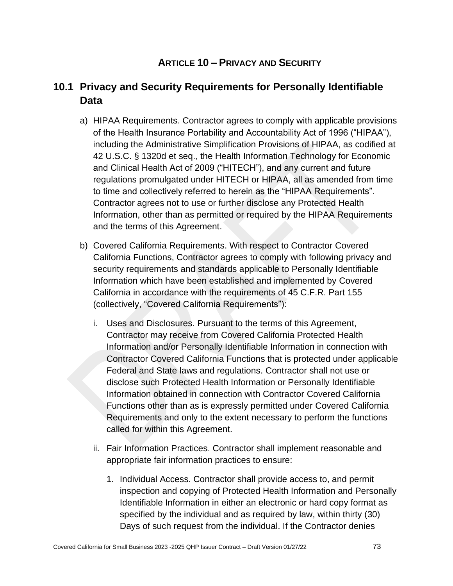## **ARTICLE 10 – PRIVACY AND SECURITY**

# **10.1 Privacy and Security Requirements for Personally Identifiable Data**

- a) HIPAA Requirements. Contractor agrees to comply with applicable provisions of the Health Insurance Portability and Accountability Act of 1996 ("HIPAA"), including the Administrative Simplification Provisions of HIPAA, as codified at 42 U.S.C. § 1320d et seq., the Health Information Technology for Economic and Clinical Health Act of 2009 ("HITECH"), and any current and future regulations promulgated under HITECH or HIPAA, all as amended from time to time and collectively referred to herein as the "HIPAA Requirements". Contractor agrees not to use or further disclose any Protected Health Information, other than as permitted or required by the HIPAA Requirements and the terms of this Agreement.
- b) Covered California Requirements. With respect to Contractor Covered California Functions, Contractor agrees to comply with following privacy and security requirements and standards applicable to Personally Identifiable Information which have been established and implemented by Covered California in accordance with the requirements of 45 C.F.R. Part 155 (collectively, "Covered California Requirements"):
	- i. Uses and Disclosures. Pursuant to the terms of this Agreement, Contractor may receive from Covered California Protected Health Information and/or Personally Identifiable Information in connection with Contractor Covered California Functions that is protected under applicable Federal and State laws and regulations. Contractor shall not use or disclose such Protected Health Information or Personally Identifiable Information obtained in connection with Contractor Covered California Functions other than as is expressly permitted under Covered California Requirements and only to the extent necessary to perform the functions called for within this Agreement.
	- ii. Fair Information Practices. Contractor shall implement reasonable and appropriate fair information practices to ensure:
		- 1. Individual Access. Contractor shall provide access to, and permit inspection and copying of Protected Health Information and Personally Identifiable Information in either an electronic or hard copy format as specified by the individual and as required by law, within thirty (30) Days of such request from the individual. If the Contractor denies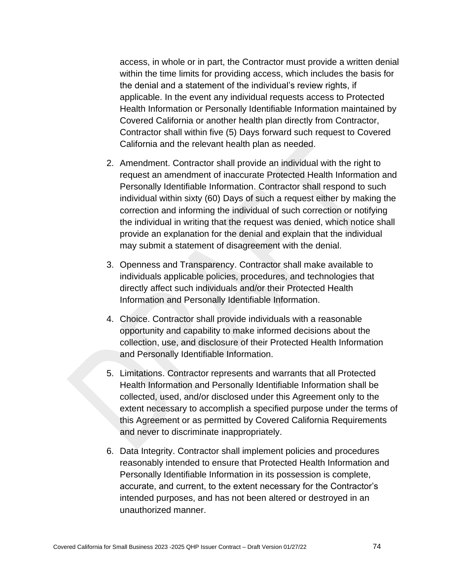access, in whole or in part, the Contractor must provide a written denial within the time limits for providing access, which includes the basis for the denial and a statement of the individual's review rights, if applicable. In the event any individual requests access to Protected Health Information or Personally Identifiable Information maintained by Covered California or another health plan directly from Contractor, Contractor shall within five (5) Days forward such request to Covered California and the relevant health plan as needed.

- 2. Amendment. Contractor shall provide an individual with the right to request an amendment of inaccurate Protected Health Information and Personally Identifiable Information. Contractor shall respond to such individual within sixty (60) Days of such a request either by making the correction and informing the individual of such correction or notifying the individual in writing that the request was denied, which notice shall provide an explanation for the denial and explain that the individual may submit a statement of disagreement with the denial.
- 3. Openness and Transparency. Contractor shall make available to individuals applicable policies, procedures, and technologies that directly affect such individuals and/or their Protected Health Information and Personally Identifiable Information.
- 4. Choice. Contractor shall provide individuals with a reasonable opportunity and capability to make informed decisions about the collection, use, and disclosure of their Protected Health Information and Personally Identifiable Information.
- 5. Limitations. Contractor represents and warrants that all Protected Health Information and Personally Identifiable Information shall be collected, used, and/or disclosed under this Agreement only to the extent necessary to accomplish a specified purpose under the terms of this Agreement or as permitted by Covered California Requirements and never to discriminate inappropriately.
- 6. Data Integrity. Contractor shall implement policies and procedures reasonably intended to ensure that Protected Health Information and Personally Identifiable Information in its possession is complete, accurate, and current, to the extent necessary for the Contractor's intended purposes, and has not been altered or destroyed in an unauthorized manner.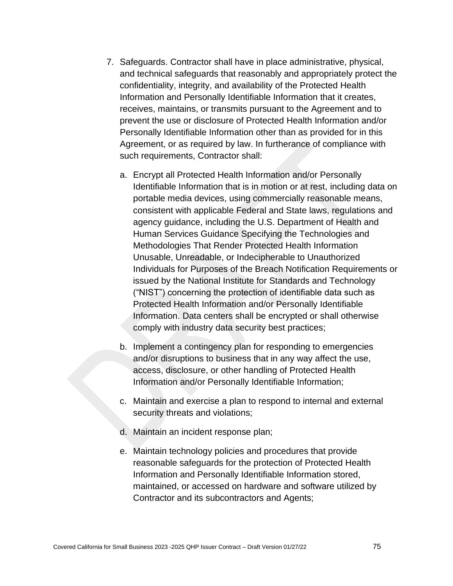- 7. Safeguards. Contractor shall have in place administrative, physical, and technical safeguards that reasonably and appropriately protect the confidentiality, integrity, and availability of the Protected Health Information and Personally Identifiable Information that it creates, receives, maintains, or transmits pursuant to the Agreement and to prevent the use or disclosure of Protected Health Information and/or Personally Identifiable Information other than as provided for in this Agreement, or as required by law. In furtherance of compliance with such requirements, Contractor shall:
	- a. Encrypt all Protected Health Information and/or Personally Identifiable Information that is in motion or at rest, including data on portable media devices, using commercially reasonable means, consistent with applicable Federal and State laws, regulations and agency guidance, including the U.S. Department of Health and Human Services Guidance Specifying the Technologies and Methodologies That Render Protected Health Information Unusable, Unreadable, or Indecipherable to Unauthorized Individuals for Purposes of the Breach Notification Requirements or issued by the National Institute for Standards and Technology ("NIST") concerning the protection of identifiable data such as Protected Health Information and/or Personally Identifiable Information. Data centers shall be encrypted or shall otherwise comply with industry data security best practices;
	- b. Implement a contingency plan for responding to emergencies and/or disruptions to business that in any way affect the use, access, disclosure, or other handling of Protected Health Information and/or Personally Identifiable Information;
	- c. Maintain and exercise a plan to respond to internal and external security threats and violations;
	- d. Maintain an incident response plan;
	- e. Maintain technology policies and procedures that provide reasonable safeguards for the protection of Protected Health Information and Personally Identifiable Information stored, maintained, or accessed on hardware and software utilized by Contractor and its subcontractors and Agents;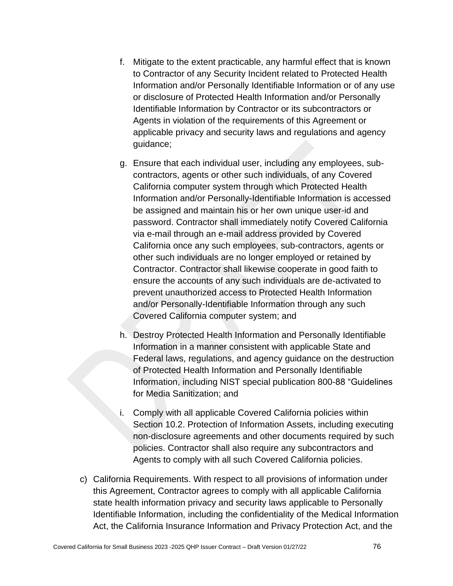- f. Mitigate to the extent practicable, any harmful effect that is known to Contractor of any Security Incident related to Protected Health Information and/or Personally Identifiable Information or of any use or disclosure of Protected Health Information and/or Personally Identifiable Information by Contractor or its subcontractors or Agents in violation of the requirements of this Agreement or applicable privacy and security laws and regulations and agency guidance;
- g. Ensure that each individual user, including any employees, subcontractors, agents or other such individuals, of any Covered California computer system through which Protected Health Information and/or Personally-Identifiable Information is accessed be assigned and maintain his or her own unique user-id and password. Contractor shall immediately notify Covered California via e-mail through an e-mail address provided by Covered California once any such employees, sub-contractors, agents or other such individuals are no longer employed or retained by Contractor. Contractor shall likewise cooperate in good faith to ensure the accounts of any such individuals are de-activated to prevent unauthorized access to Protected Health Information and/or Personally-Identifiable Information through any such Covered California computer system; and
- h. Destroy Protected Health Information and Personally Identifiable Information in a manner consistent with applicable State and Federal laws, regulations, and agency guidance on the destruction of Protected Health Information and Personally Identifiable Information, including NIST special publication 800-88 "Guidelines for Media Sanitization; and
- i. Comply with all applicable Covered California policies within Section 10.2. Protection of Information Assets, including executing non-disclosure agreements and other documents required by such policies. Contractor shall also require any subcontractors and Agents to comply with all such Covered California policies.
- c) California Requirements. With respect to all provisions of information under this Agreement, Contractor agrees to comply with all applicable California state health information privacy and security laws applicable to Personally Identifiable Information, including the confidentiality of the Medical Information Act, the California Insurance Information and Privacy Protection Act, and the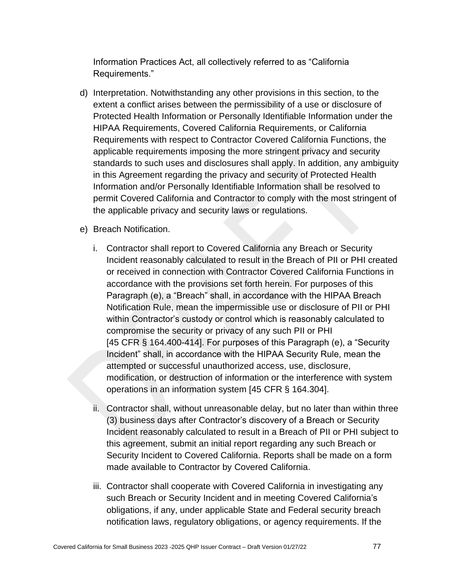Information Practices Act, all collectively referred to as "California Requirements."

- d) Interpretation. Notwithstanding any other provisions in this section, to the extent a conflict arises between the permissibility of a use or disclosure of Protected Health Information or Personally Identifiable Information under the HIPAA Requirements, Covered California Requirements, or California Requirements with respect to Contractor Covered California Functions, the applicable requirements imposing the more stringent privacy and security standards to such uses and disclosures shall apply. In addition, any ambiguity in this Agreement regarding the privacy and security of Protected Health Information and/or Personally Identifiable Information shall be resolved to permit Covered California and Contractor to comply with the most stringent of the applicable privacy and security laws or regulations.
- e) Breach Notification.
	- i. Contractor shall report to Covered California any Breach or Security Incident reasonably calculated to result in the Breach of PII or PHI created or received in connection with Contractor Covered California Functions in accordance with the provisions set forth herein. For purposes of this Paragraph (e), a "Breach" shall, in accordance with the HIPAA Breach Notification Rule, mean the impermissible use or disclosure of PII or PHI within Contractor's custody or control which is reasonably calculated to compromise the security or privacy of any such PII or PHI [45 CFR § 164.400-414]. For purposes of this Paragraph (e), a "Security Incident" shall, in accordance with the HIPAA Security Rule, mean the attempted or successful unauthorized access, use, disclosure, modification, or destruction of information or the interference with system operations in an information system [45 CFR § 164.304].
	- ii. Contractor shall, without unreasonable delay, but no later than within three (3) business days after Contractor's discovery of a Breach or Security Incident reasonably calculated to result in a Breach of PII or PHI subject to this agreement, submit an initial report regarding any such Breach or Security Incident to Covered California. Reports shall be made on a form made available to Contractor by Covered California.
	- iii. Contractor shall cooperate with Covered California in investigating any such Breach or Security Incident and in meeting Covered California's obligations, if any, under applicable State and Federal security breach notification laws, regulatory obligations, or agency requirements. If the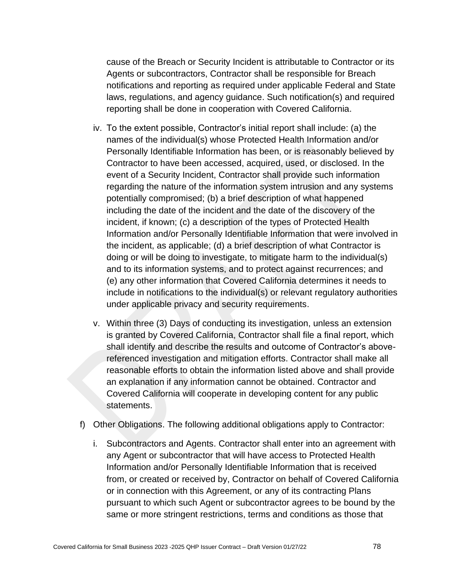cause of the Breach or Security Incident is attributable to Contractor or its Agents or subcontractors, Contractor shall be responsible for Breach notifications and reporting as required under applicable Federal and State laws, regulations, and agency guidance. Such notification(s) and required reporting shall be done in cooperation with Covered California.

- iv. To the extent possible, Contractor's initial report shall include: (a) the names of the individual(s) whose Protected Health Information and/or Personally Identifiable Information has been, or is reasonably believed by Contractor to have been accessed, acquired, used, or disclosed. In the event of a Security Incident, Contractor shall provide such information regarding the nature of the information system intrusion and any systems potentially compromised; (b) a brief description of what happened including the date of the incident and the date of the discovery of the incident, if known; (c) a description of the types of Protected Health Information and/or Personally Identifiable Information that were involved in the incident, as applicable; (d) a brief description of what Contractor is doing or will be doing to investigate, to mitigate harm to the individual(s) and to its information systems, and to protect against recurrences; and (e) any other information that Covered California determines it needs to include in notifications to the individual(s) or relevant regulatory authorities under applicable privacy and security requirements.
- v. Within three (3) Days of conducting its investigation, unless an extension is granted by Covered California, Contractor shall file a final report, which shall identify and describe the results and outcome of Contractor's abovereferenced investigation and mitigation efforts. Contractor shall make all reasonable efforts to obtain the information listed above and shall provide an explanation if any information cannot be obtained. Contractor and Covered California will cooperate in developing content for any public statements.
- f) Other Obligations. The following additional obligations apply to Contractor:
	- i. Subcontractors and Agents. Contractor shall enter into an agreement with any Agent or subcontractor that will have access to Protected Health Information and/or Personally Identifiable Information that is received from, or created or received by, Contractor on behalf of Covered California or in connection with this Agreement, or any of its contracting Plans pursuant to which such Agent or subcontractor agrees to be bound by the same or more stringent restrictions, terms and conditions as those that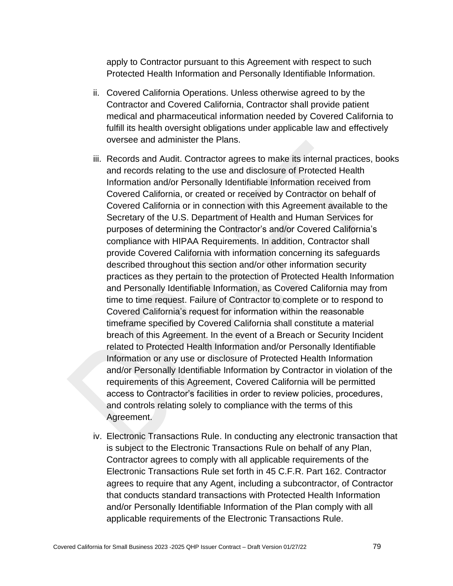apply to Contractor pursuant to this Agreement with respect to such Protected Health Information and Personally Identifiable Information.

- ii. Covered California Operations. Unless otherwise agreed to by the Contractor and Covered California, Contractor shall provide patient medical and pharmaceutical information needed by Covered California to fulfill its health oversight obligations under applicable law and effectively oversee and administer the Plans.
- iii. Records and Audit. Contractor agrees to make its internal practices, books and records relating to the use and disclosure of Protected Health Information and/or Personally Identifiable Information received from Covered California, or created or received by Contractor on behalf of Covered California or in connection with this Agreement available to the Secretary of the U.S. Department of Health and Human Services for purposes of determining the Contractor's and/or Covered California's compliance with HIPAA Requirements. In addition, Contractor shall provide Covered California with information concerning its safeguards described throughout this section and/or other information security practices as they pertain to the protection of Protected Health Information and Personally Identifiable Information, as Covered California may from time to time request. Failure of Contractor to complete or to respond to Covered California's request for information within the reasonable timeframe specified by Covered California shall constitute a material breach of this Agreement. In the event of a Breach or Security Incident related to Protected Health Information and/or Personally Identifiable Information or any use or disclosure of Protected Health Information and/or Personally Identifiable Information by Contractor in violation of the requirements of this Agreement, Covered California will be permitted access to Contractor's facilities in order to review policies, procedures, and controls relating solely to compliance with the terms of this Agreement.
- iv. Electronic Transactions Rule. In conducting any electronic transaction that is subject to the Electronic Transactions Rule on behalf of any Plan, Contractor agrees to comply with all applicable requirements of the Electronic Transactions Rule set forth in 45 C.F.R. Part 162. Contractor agrees to require that any Agent, including a subcontractor, of Contractor that conducts standard transactions with Protected Health Information and/or Personally Identifiable Information of the Plan comply with all applicable requirements of the Electronic Transactions Rule.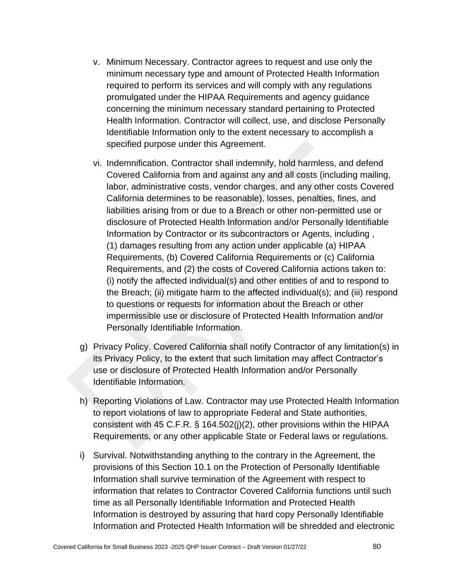- v. Minimum Necessary. Contractor agrees to request and use only the minimum necessary type and amount of Protected Health Information required to perform its services and will comply with any regulations promulgated under the HIPAA Requirements and agency guidance concerning the minimum necessary standard pertaining to Protected Health Information. Contractor will collect, use, and disclose Personally Identifiable Information only to the extent necessary to accomplish a specified purpose under this Agreement.
- vi. Indemnification. Contractor shall indemnify, hold harmless, and defend Covered California from and against any and all costs (including mailing, labor, administrative costs, vendor charges, and any other costs Covered California determines to be reasonable), losses, penalties, fines, and liabilities arising from or due to a Breach or other non-permitted use or disclosure of Protected Health Information and/or Personally Identifiable Information by Contractor or its subcontractors or Agents, including , (1) damages resulting from any action under applicable (a) HIPAA Requirements, (b) Covered California Requirements or (c) California Requirements, and (2) the costs of Covered California actions taken to: (i) notify the affected individual(s) and other entities of and to respond to the Breach; (ii) mitigate harm to the affected individual(s); and (iii) respond to questions or requests for information about the Breach or other impermissible use or disclosure of Protected Health Information and/or Personally Identifiable Information.
- g) Privacy Policy. Covered California shall notify Contractor of any limitation(s) in its Privacy Policy, to the extent that such limitation may affect Contractor's use or disclosure of Protected Health Information and/or Personally Identifiable Information.
- h) Reporting Violations of Law. Contractor may use Protected Health Information to report violations of law to appropriate Federal and State authorities, consistent with 45 C.F.R. § 164.502(j)(2), other provisions within the HIPAA Requirements, or any other applicable State or Federal laws or regulations.
- i) Survival. Notwithstanding anything to the contrary in the Agreement, the provisions of this Section 10.1 on the Protection of Personally Identifiable Information shall survive termination of the Agreement with respect to information that relates to Contractor Covered California functions until such time as all Personally Identifiable Information and Protected Health Information is destroyed by assuring that hard copy Personally Identifiable Information and Protected Health Information will be shredded and electronic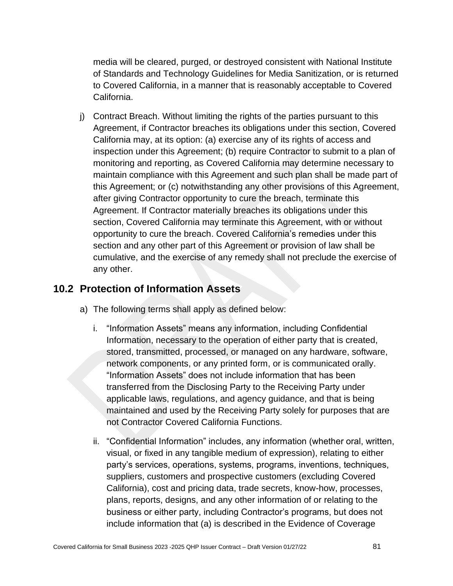media will be cleared, purged, or destroyed consistent with National Institute of Standards and Technology Guidelines for Media Sanitization, or is returned to Covered California, in a manner that is reasonably acceptable to Covered California.

j) Contract Breach. Without limiting the rights of the parties pursuant to this Agreement, if Contractor breaches its obligations under this section, Covered California may, at its option: (a) exercise any of its rights of access and inspection under this Agreement; (b) require Contractor to submit to a plan of monitoring and reporting, as Covered California may determine necessary to maintain compliance with this Agreement and such plan shall be made part of this Agreement; or (c) notwithstanding any other provisions of this Agreement, after giving Contractor opportunity to cure the breach, terminate this Agreement. If Contractor materially breaches its obligations under this section, Covered California may terminate this Agreement, with or without opportunity to cure the breach. Covered California's remedies under this section and any other part of this Agreement or provision of law shall be cumulative, and the exercise of any remedy shall not preclude the exercise of any other.

#### **10.2 Protection of Information Assets**

- a) The following terms shall apply as defined below:
	- i. "Information Assets" means any information, including Confidential Information, necessary to the operation of either party that is created, stored, transmitted, processed, or managed on any hardware, software, network components, or any printed form, or is communicated orally. "Information Assets" does not include information that has been transferred from the Disclosing Party to the Receiving Party under applicable laws, regulations, and agency guidance, and that is being maintained and used by the Receiving Party solely for purposes that are not Contractor Covered California Functions.
	- ii. "Confidential Information" includes, any information (whether oral, written, visual, or fixed in any tangible medium of expression), relating to either party's services, operations, systems, programs, inventions, techniques, suppliers, customers and prospective customers (excluding Covered California), cost and pricing data, trade secrets, know-how, processes, plans, reports, designs, and any other information of or relating to the business or either party, including Contractor's programs, but does not include information that (a) is described in the Evidence of Coverage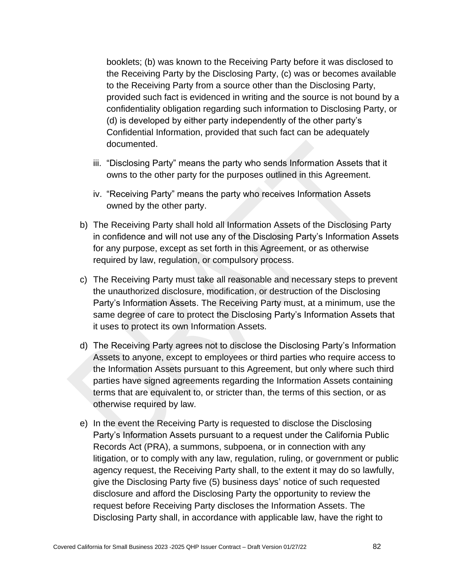booklets; (b) was known to the Receiving Party before it was disclosed to the Receiving Party by the Disclosing Party, (c) was or becomes available to the Receiving Party from a source other than the Disclosing Party, provided such fact is evidenced in writing and the source is not bound by a confidentiality obligation regarding such information to Disclosing Party, or (d) is developed by either party independently of the other party's Confidential Information, provided that such fact can be adequately documented.

- iii. "Disclosing Party" means the party who sends Information Assets that it owns to the other party for the purposes outlined in this Agreement.
- iv. "Receiving Party" means the party who receives Information Assets owned by the other party.
- b) The Receiving Party shall hold all Information Assets of the Disclosing Party in confidence and will not use any of the Disclosing Party's Information Assets for any purpose, except as set forth in this Agreement, or as otherwise required by law, regulation, or compulsory process.
- c) The Receiving Party must take all reasonable and necessary steps to prevent the unauthorized disclosure, modification, or destruction of the Disclosing Party's Information Assets. The Receiving Party must, at a minimum, use the same degree of care to protect the Disclosing Party's Information Assets that it uses to protect its own Information Assets.
- d) The Receiving Party agrees not to disclose the Disclosing Party's Information Assets to anyone, except to employees or third parties who require access to the Information Assets pursuant to this Agreement, but only where such third parties have signed agreements regarding the Information Assets containing terms that are equivalent to, or stricter than, the terms of this section, or as otherwise required by law.
- e) In the event the Receiving Party is requested to disclose the Disclosing Party's Information Assets pursuant to a request under the California Public Records Act (PRA), a summons, subpoena, or in connection with any litigation, or to comply with any law, regulation, ruling, or government or public agency request, the Receiving Party shall, to the extent it may do so lawfully, give the Disclosing Party five (5) business days' notice of such requested disclosure and afford the Disclosing Party the opportunity to review the request before Receiving Party discloses the Information Assets. The Disclosing Party shall, in accordance with applicable law, have the right to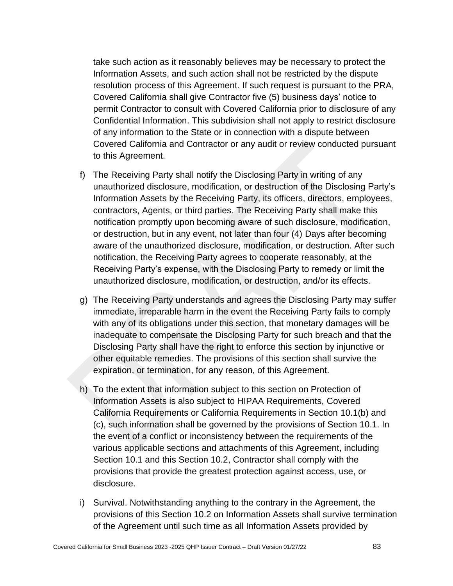take such action as it reasonably believes may be necessary to protect the Information Assets, and such action shall not be restricted by the dispute resolution process of this Agreement. If such request is pursuant to the PRA, Covered California shall give Contractor five (5) business days' notice to permit Contractor to consult with Covered California prior to disclosure of any Confidential Information. This subdivision shall not apply to restrict disclosure of any information to the State or in connection with a dispute between Covered California and Contractor or any audit or review conducted pursuant to this Agreement.

- f) The Receiving Party shall notify the Disclosing Party in writing of any unauthorized disclosure, modification, or destruction of the Disclosing Party's Information Assets by the Receiving Party, its officers, directors, employees, contractors, Agents, or third parties. The Receiving Party shall make this notification promptly upon becoming aware of such disclosure, modification, or destruction, but in any event, not later than four (4) Days after becoming aware of the unauthorized disclosure, modification, or destruction. After such notification, the Receiving Party agrees to cooperate reasonably, at the Receiving Party's expense, with the Disclosing Party to remedy or limit the unauthorized disclosure, modification, or destruction, and/or its effects.
- g) The Receiving Party understands and agrees the Disclosing Party may suffer immediate, irreparable harm in the event the Receiving Party fails to comply with any of its obligations under this section, that monetary damages will be inadequate to compensate the Disclosing Party for such breach and that the Disclosing Party shall have the right to enforce this section by injunctive or other equitable remedies. The provisions of this section shall survive the expiration, or termination, for any reason, of this Agreement.
- h) To the extent that information subject to this section on Protection of Information Assets is also subject to HIPAA Requirements, Covered California Requirements or California Requirements in Section 10.1(b) and (c), such information shall be governed by the provisions of Section 10.1. In the event of a conflict or inconsistency between the requirements of the various applicable sections and attachments of this Agreement, including Section 10.1 and this Section 10.2, Contractor shall comply with the provisions that provide the greatest protection against access, use, or disclosure.
- i) Survival. Notwithstanding anything to the contrary in the Agreement, the provisions of this Section 10.2 on Information Assets shall survive termination of the Agreement until such time as all Information Assets provided by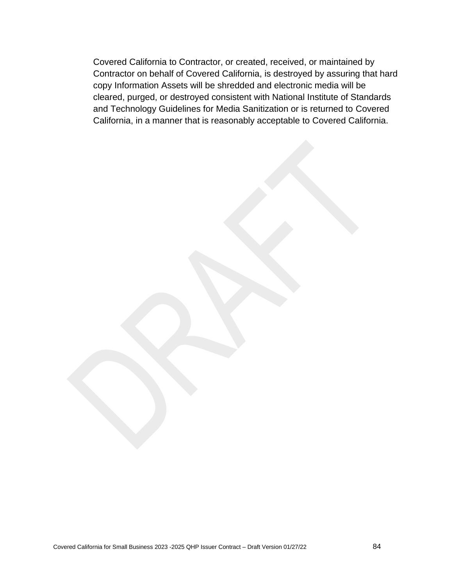Covered California to Contractor, or created, received, or maintained by Contractor on behalf of Covered California, is destroyed by assuring that hard copy Information Assets will be shredded and electronic media will be cleared, purged, or destroyed consistent with National Institute of Standards and Technology Guidelines for Media Sanitization or is returned to Covered California, in a manner that is reasonably acceptable to Covered California.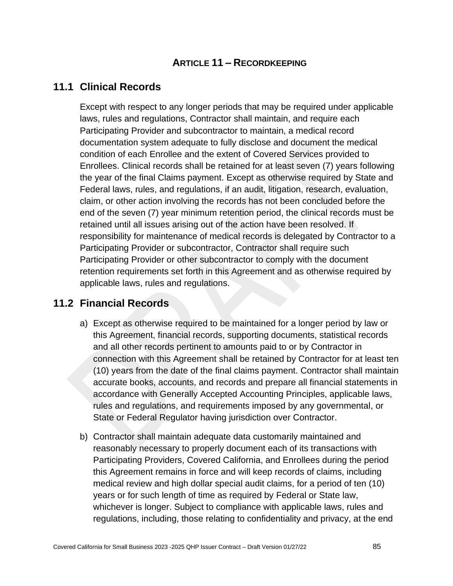### **ARTICLE 11 – RECORDKEEPING**

### **11.1 Clinical Records**

Except with respect to any longer periods that may be required under applicable laws, rules and regulations, Contractor shall maintain, and require each Participating Provider and subcontractor to maintain, a medical record documentation system adequate to fully disclose and document the medical condition of each Enrollee and the extent of Covered Services provided to Enrollees. Clinical records shall be retained for at least seven (7) years following the year of the final Claims payment. Except as otherwise required by State and Federal laws, rules, and regulations, if an audit, litigation, research, evaluation, claim, or other action involving the records has not been concluded before the end of the seven (7) year minimum retention period, the clinical records must be retained until all issues arising out of the action have been resolved. If responsibility for maintenance of medical records is delegated by Contractor to a Participating Provider or subcontractor, Contractor shall require such Participating Provider or other subcontractor to comply with the document retention requirements set forth in this Agreement and as otherwise required by applicable laws, rules and regulations.

### **11.2 Financial Records**

- a) Except as otherwise required to be maintained for a longer period by law or this Agreement, financial records, supporting documents, statistical records and all other records pertinent to amounts paid to or by Contractor in connection with this Agreement shall be retained by Contractor for at least ten (10) years from the date of the final claims payment. Contractor shall maintain accurate books, accounts, and records and prepare all financial statements in accordance with Generally Accepted Accounting Principles, applicable laws, rules and regulations, and requirements imposed by any governmental, or State or Federal Regulator having jurisdiction over Contractor.
- b) Contractor shall maintain adequate data customarily maintained and reasonably necessary to properly document each of its transactions with Participating Providers, Covered California, and Enrollees during the period this Agreement remains in force and will keep records of claims, including medical review and high dollar special audit claims, for a period of ten (10) years or for such length of time as required by Federal or State law, whichever is longer. Subject to compliance with applicable laws, rules and regulations, including, those relating to confidentiality and privacy, at the end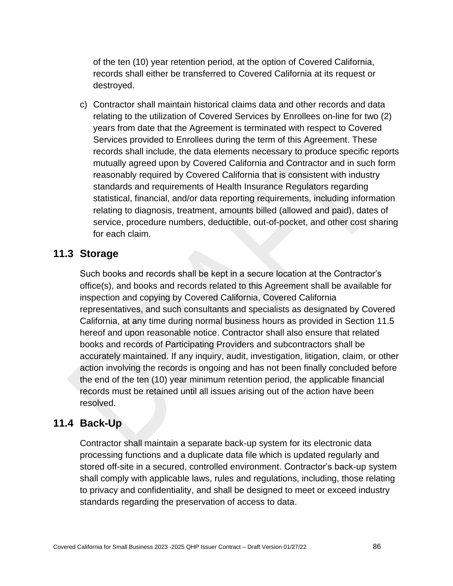of the ten (10) year retention period, at the option of Covered California, records shall either be transferred to Covered California at its request or destroyed.

c) Contractor shall maintain historical claims data and other records and data relating to the utilization of Covered Services by Enrollees on-line for two (2) years from date that the Agreement is terminated with respect to Covered Services provided to Enrollees during the term of this Agreement. These records shall include, the data elements necessary to produce specific reports mutually agreed upon by Covered California and Contractor and in such form reasonably required by Covered California that is consistent with industry standards and requirements of Health Insurance Regulators regarding statistical, financial, and/or data reporting requirements, including information relating to diagnosis, treatment, amounts billed (allowed and paid), dates of service, procedure numbers, deductible, out-of-pocket, and other cost sharing for each claim.

#### **11.3 Storage**

Such books and records shall be kept in a secure location at the Contractor's office(s), and books and records related to this Agreement shall be available for inspection and copying by Covered California, Covered California representatives, and such consultants and specialists as designated by Covered California, at any time during normal business hours as provided in Section 11.5 hereof and upon reasonable notice. Contractor shall also ensure that related books and records of Participating Providers and subcontractors shall be accurately maintained. If any inquiry, audit, investigation, litigation, claim, or other action involving the records is ongoing and has not been finally concluded before the end of the ten (10) year minimum retention period, the applicable financial records must be retained until all issues arising out of the action have been resolved.

### **11.4 Back-Up**

Contractor shall maintain a separate back-up system for its electronic data processing functions and a duplicate data file which is updated regularly and stored off-site in a secured, controlled environment. Contractor's back-up system shall comply with applicable laws, rules and regulations, including, those relating to privacy and confidentiality, and shall be designed to meet or exceed industry standards regarding the preservation of access to data.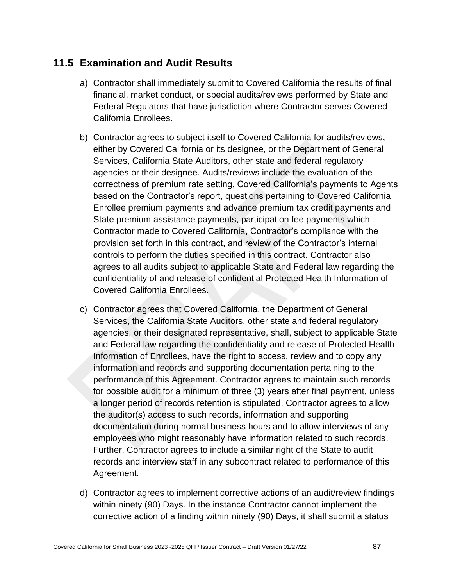## **11.5 Examination and Audit Results**

- a) Contractor shall immediately submit to Covered California the results of final financial, market conduct, or special audits/reviews performed by State and Federal Regulators that have jurisdiction where Contractor serves Covered California Enrollees.
- b) Contractor agrees to subject itself to Covered California for audits/reviews, either by Covered California or its designee, or the Department of General Services, California State Auditors, other state and federal regulatory agencies or their designee. Audits/reviews include the evaluation of the correctness of premium rate setting, Covered California's payments to Agents based on the Contractor's report, questions pertaining to Covered California Enrollee premium payments and advance premium tax credit payments and State premium assistance payments, participation fee payments which Contractor made to Covered California, Contractor's compliance with the provision set forth in this contract, and review of the Contractor's internal controls to perform the duties specified in this contract. Contractor also agrees to all audits subject to applicable State and Federal law regarding the confidentiality of and release of confidential Protected Health Information of Covered California Enrollees.
- c) Contractor agrees that Covered California, the Department of General Services, the California State Auditors, other state and federal regulatory agencies, or their designated representative, shall, subject to applicable State and Federal law regarding the confidentiality and release of Protected Health Information of Enrollees, have the right to access, review and to copy any information and records and supporting documentation pertaining to the performance of this Agreement. Contractor agrees to maintain such records for possible audit for a minimum of three (3) years after final payment, unless a longer period of records retention is stipulated. Contractor agrees to allow the auditor(s) access to such records, information and supporting documentation during normal business hours and to allow interviews of any employees who might reasonably have information related to such records. Further, Contractor agrees to include a similar right of the State to audit records and interview staff in any subcontract related to performance of this Agreement.
- d) Contractor agrees to implement corrective actions of an audit/review findings within ninety (90) Days. In the instance Contractor cannot implement the corrective action of a finding within ninety (90) Days, it shall submit a status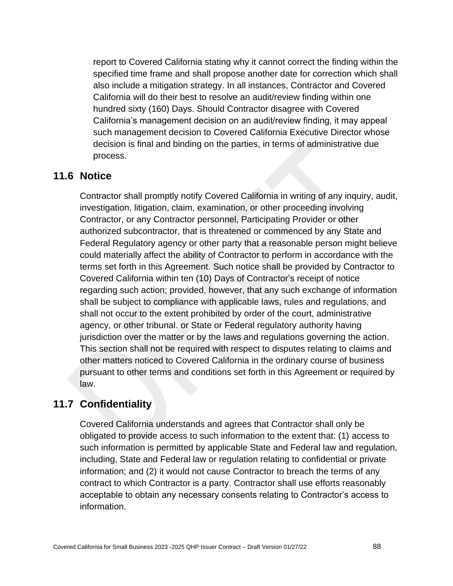report to Covered California stating why it cannot correct the finding within the specified time frame and shall propose another date for correction which shall also include a mitigation strategy. In all instances, Contractor and Covered California will do their best to resolve an audit/review finding within one hundred sixty (160) Days. Should Contractor disagree with Covered California's management decision on an audit/review finding, it may appeal such management decision to Covered California Executive Director whose decision is final and binding on the parties, in terms of administrative due process.

### **11.6 Notice**

Contractor shall promptly notify Covered California in writing of any inquiry, audit, investigation, litigation, claim, examination, or other proceeding involving Contractor, or any Contractor personnel, Participating Provider or other authorized subcontractor, that is threatened or commenced by any State and Federal Regulatory agency or other party that a reasonable person might believe could materially affect the ability of Contractor to perform in accordance with the terms set forth in this Agreement. Such notice shall be provided by Contractor to Covered California within ten (10) Days of Contractor's receipt of notice regarding such action; provided, however, that any such exchange of information shall be subject to compliance with applicable laws, rules and regulations, and shall not occur to the extent prohibited by order of the court, administrative agency, or other tribunal. or State or Federal regulatory authority having jurisdiction over the matter or by the laws and regulations governing the action. This section shall not be required with respect to disputes relating to claims and other matters noticed to Covered California in the ordinary course of business pursuant to other terms and conditions set forth in this Agreement or required by law.

### **11.7 Confidentiality**

Covered California understands and agrees that Contractor shall only be obligated to provide access to such information to the extent that: (1) access to such information is permitted by applicable State and Federal law and regulation, including, State and Federal law or regulation relating to confidential or private information; and (2) it would not cause Contractor to breach the terms of any contract to which Contractor is a party. Contractor shall use efforts reasonably acceptable to obtain any necessary consents relating to Contractor's access to information.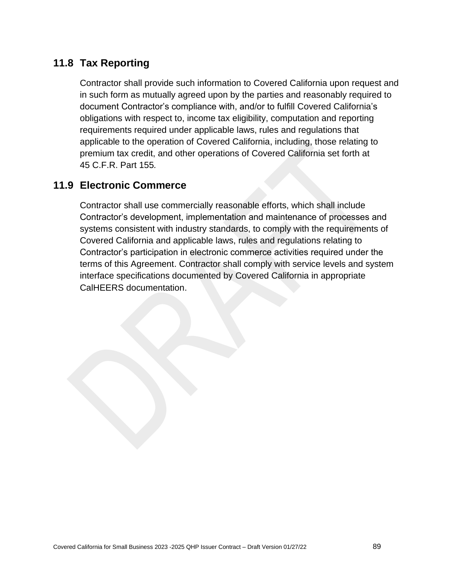## **11.8 Tax Reporting**

Contractor shall provide such information to Covered California upon request and in such form as mutually agreed upon by the parties and reasonably required to document Contractor's compliance with, and/or to fulfill Covered California's obligations with respect to, income tax eligibility, computation and reporting requirements required under applicable laws, rules and regulations that applicable to the operation of Covered California, including, those relating to premium tax credit, and other operations of Covered California set forth at 45 C.F.R. Part 155*.*

## **11.9 Electronic Commerce**

Contractor shall use commercially reasonable efforts, which shall include Contractor's development, implementation and maintenance of processes and systems consistent with industry standards, to comply with the requirements of Covered California and applicable laws, rules and regulations relating to Contractor's participation in electronic commerce activities required under the terms of this Agreement. Contractor shall comply with service levels and system interface specifications documented by Covered California in appropriate CalHEERS documentation.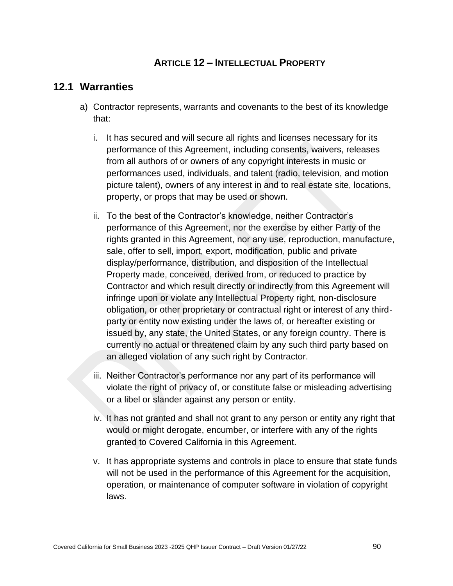### **ARTICLE 12 – INTELLECTUAL PROPERTY**

#### **12.1 Warranties**

- a) Contractor represents, warrants and covenants to the best of its knowledge that:
	- i. It has secured and will secure all rights and licenses necessary for its performance of this Agreement, including consents, waivers, releases from all authors of or owners of any copyright interests in music or performances used, individuals, and talent (radio, television, and motion picture talent), owners of any interest in and to real estate site, locations, property, or props that may be used or shown.
	- ii. To the best of the Contractor's knowledge, neither Contractor's performance of this Agreement, nor the exercise by either Party of the rights granted in this Agreement, nor any use, reproduction, manufacture, sale, offer to sell, import, export, modification, public and private display/performance, distribution, and disposition of the Intellectual Property made, conceived, derived from, or reduced to practice by Contractor and which result directly or indirectly from this Agreement will infringe upon or violate any Intellectual Property right, non-disclosure obligation, or other proprietary or contractual right or interest of any thirdparty or entity now existing under the laws of, or hereafter existing or issued by, any state, the United States, or any foreign country. There is currently no actual or threatened claim by any such third party based on an alleged violation of any such right by Contractor.
	- iii. Neither Contractor's performance nor any part of its performance will violate the right of privacy of, or constitute false or misleading advertising or a libel or slander against any person or entity.
	- iv. It has not granted and shall not grant to any person or entity any right that would or might derogate, encumber, or interfere with any of the rights granted to Covered California in this Agreement.
	- v. It has appropriate systems and controls in place to ensure that state funds will not be used in the performance of this Agreement for the acquisition, operation, or maintenance of computer software in violation of copyright laws.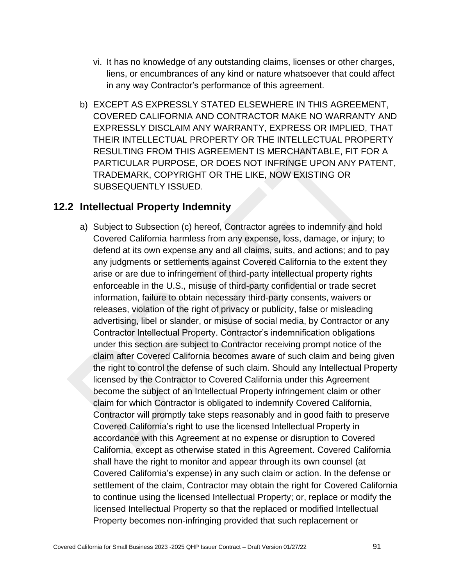- vi. It has no knowledge of any outstanding claims, licenses or other charges, liens, or encumbrances of any kind or nature whatsoever that could affect in any way Contractor's performance of this agreement.
- b) EXCEPT AS EXPRESSLY STATED ELSEWHERE IN THIS AGREEMENT, COVERED CALIFORNIA AND CONTRACTOR MAKE NO WARRANTY AND EXPRESSLY DISCLAIM ANY WARRANTY, EXPRESS OR IMPLIED, THAT THEIR INTELLECTUAL PROPERTY OR THE INTELLECTUAL PROPERTY RESULTING FROM THIS AGREEMENT IS MERCHANTABLE, FIT FOR A PARTICULAR PURPOSE, OR DOES NOT INFRINGE UPON ANY PATENT, TRADEMARK, COPYRIGHT OR THE LIKE, NOW EXISTING OR SUBSEQUENTLY ISSUED.

### **12.2 Intellectual Property Indemnity**

a) Subject to Subsection (c) hereof, Contractor agrees to indemnify and hold Covered California harmless from any expense, loss, damage, or injury; to defend at its own expense any and all claims, suits, and actions; and to pay any judgments or settlements against Covered California to the extent they arise or are due to infringement of third-party intellectual property rights enforceable in the U.S., misuse of third-party confidential or trade secret information, failure to obtain necessary third-party consents, waivers or releases, violation of the right of privacy or publicity, false or misleading advertising, libel or slander, or misuse of social media, by Contractor or any Contractor Intellectual Property. Contractor's indemnification obligations under this section are subject to Contractor receiving prompt notice of the claim after Covered California becomes aware of such claim and being given the right to control the defense of such claim. Should any Intellectual Property licensed by the Contractor to Covered California under this Agreement become the subject of an Intellectual Property infringement claim or other claim for which Contractor is obligated to indemnify Covered California, Contractor will promptly take steps reasonably and in good faith to preserve Covered California's right to use the licensed Intellectual Property in accordance with this Agreement at no expense or disruption to Covered California, except as otherwise stated in this Agreement. Covered California shall have the right to monitor and appear through its own counsel (at Covered California's expense) in any such claim or action. In the defense or settlement of the claim, Contractor may obtain the right for Covered California to continue using the licensed Intellectual Property; or, replace or modify the licensed Intellectual Property so that the replaced or modified Intellectual Property becomes non-infringing provided that such replacement or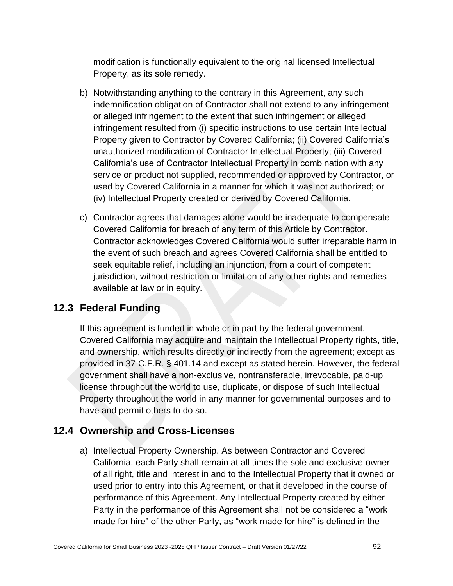modification is functionally equivalent to the original licensed Intellectual Property, as its sole remedy.

- b) Notwithstanding anything to the contrary in this Agreement, any such indemnification obligation of Contractor shall not extend to any infringement or alleged infringement to the extent that such infringement or alleged infringement resulted from (i) specific instructions to use certain Intellectual Property given to Contractor by Covered California; (ii) Covered California's unauthorized modification of Contractor Intellectual Property; (iii) Covered California's use of Contractor Intellectual Property in combination with any service or product not supplied, recommended or approved by Contractor, or used by Covered California in a manner for which it was not authorized; or (iv) Intellectual Property created or derived by Covered California.
- c) Contractor agrees that damages alone would be inadequate to compensate Covered California for breach of any term of this Article by Contractor. Contractor acknowledges Covered California would suffer irreparable harm in the event of such breach and agrees Covered California shall be entitled to seek equitable relief, including an injunction, from a court of competent jurisdiction, without restriction or limitation of any other rights and remedies available at law or in equity.

## **12.3 Federal Funding**

If this agreement is funded in whole or in part by the federal government, Covered California may acquire and maintain the Intellectual Property rights, title, and ownership, which results directly or indirectly from the agreement; except as provided in 37 C.F.R. § 401.14 and except as stated herein. However, the federal government shall have a non-exclusive, nontransferable, irrevocable, paid-up license throughout the world to use, duplicate, or dispose of such Intellectual Property throughout the world in any manner for governmental purposes and to have and permit others to do so.

## **12.4 Ownership and Cross-Licenses**

a) Intellectual Property Ownership. As between Contractor and Covered California, each Party shall remain at all times the sole and exclusive owner of all right, title and interest in and to the Intellectual Property that it owned or used prior to entry into this Agreement, or that it developed in the course of performance of this Agreement. Any Intellectual Property created by either Party in the performance of this Agreement shall not be considered a "work made for hire" of the other Party, as "work made for hire" is defined in the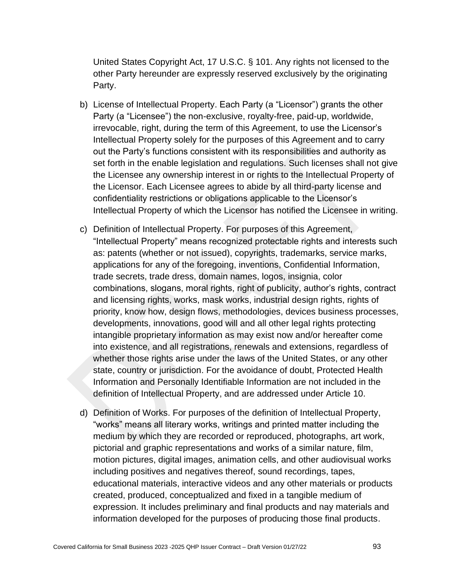United States Copyright Act, 17 U.S.C. § 101. Any rights not licensed to the other Party hereunder are expressly reserved exclusively by the originating Party.

- b) License of Intellectual Property. Each Party (a "Licensor") grants the other Party (a "Licensee") the non-exclusive, royalty-free, paid-up, worldwide, irrevocable, right, during the term of this Agreement, to use the Licensor's Intellectual Property solely for the purposes of this Agreement and to carry out the Party's functions consistent with its responsibilities and authority as set forth in the enable legislation and regulations. Such licenses shall not give the Licensee any ownership interest in or rights to the Intellectual Property of the Licensor. Each Licensee agrees to abide by all third-party license and confidentiality restrictions or obligations applicable to the Licensor's Intellectual Property of which the Licensor has notified the Licensee in writing.
- c) Definition of Intellectual Property. For purposes of this Agreement, "Intellectual Property" means recognized protectable rights and interests such as: patents (whether or not issued), copyrights, trademarks, service marks, applications for any of the foregoing, inventions, Confidential Information, trade secrets, trade dress, domain names, logos, insignia, color combinations, slogans, moral rights, right of publicity, author's rights, contract and licensing rights, works, mask works, industrial design rights, rights of priority, know how, design flows, methodologies, devices business processes, developments, innovations, good will and all other legal rights protecting intangible proprietary information as may exist now and/or hereafter come into existence, and all registrations, renewals and extensions, regardless of whether those rights arise under the laws of the United States, or any other state, country or jurisdiction. For the avoidance of doubt, Protected Health Information and Personally Identifiable Information are not included in the definition of Intellectual Property, and are addressed under Article 10.
- d) Definition of Works. For purposes of the definition of Intellectual Property, "works" means all literary works, writings and printed matter including the medium by which they are recorded or reproduced, photographs, art work, pictorial and graphic representations and works of a similar nature, film, motion pictures, digital images, animation cells, and other audiovisual works including positives and negatives thereof, sound recordings, tapes, educational materials, interactive videos and any other materials or products created, produced, conceptualized and fixed in a tangible medium of expression. It includes preliminary and final products and nay materials and information developed for the purposes of producing those final products.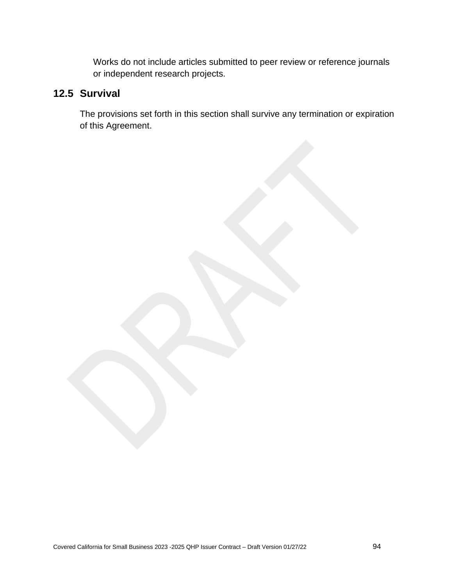Works do not include articles submitted to peer review or reference journals or independent research projects.

### **12.5 Survival**

The provisions set forth in this section shall survive any termination or expiration of this Agreement.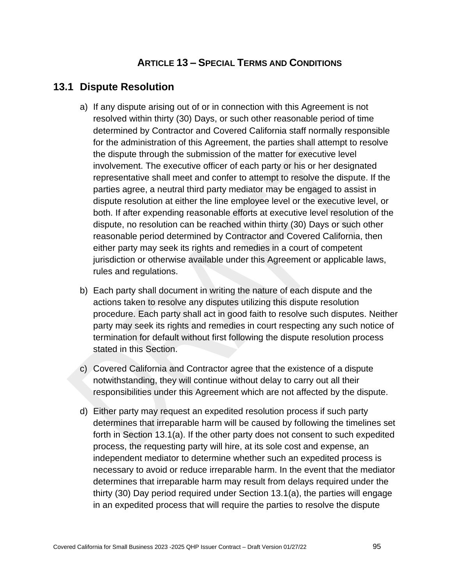### **ARTICLE 13 – SPECIAL TERMS AND CONDITIONS**

#### **13.1 Dispute Resolution**

- a) If any dispute arising out of or in connection with this Agreement is not resolved within thirty (30) Days, or such other reasonable period of time determined by Contractor and Covered California staff normally responsible for the administration of this Agreement, the parties shall attempt to resolve the dispute through the submission of the matter for executive level involvement. The executive officer of each party or his or her designated representative shall meet and confer to attempt to resolve the dispute. If the parties agree, a neutral third party mediator may be engaged to assist in dispute resolution at either the line employee level or the executive level, or both. If after expending reasonable efforts at executive level resolution of the dispute, no resolution can be reached within thirty (30) Days or such other reasonable period determined by Contractor and Covered California, then either party may seek its rights and remedies in a court of competent jurisdiction or otherwise available under this Agreement or applicable laws, rules and regulations.
- b) Each party shall document in writing the nature of each dispute and the actions taken to resolve any disputes utilizing this dispute resolution procedure. Each party shall act in good faith to resolve such disputes. Neither party may seek its rights and remedies in court respecting any such notice of termination for default without first following the dispute resolution process stated in this Section.
- c) Covered California and Contractor agree that the existence of a dispute notwithstanding, they will continue without delay to carry out all their responsibilities under this Agreement which are not affected by the dispute.
- d) Either party may request an expedited resolution process if such party determines that irreparable harm will be caused by following the timelines set forth in Section 13.1(a). If the other party does not consent to such expedited process, the requesting party will hire, at its sole cost and expense, an independent mediator to determine whether such an expedited process is necessary to avoid or reduce irreparable harm. In the event that the mediator determines that irreparable harm may result from delays required under the thirty (30) Day period required under Section 13.1(a), the parties will engage in an expedited process that will require the parties to resolve the dispute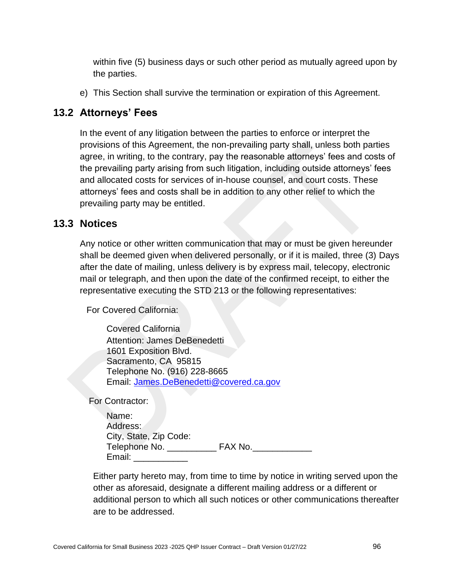within five (5) business days or such other period as mutually agreed upon by the parties.

e) This Section shall survive the termination or expiration of this Agreement.

### **13.2 Attorneys' Fees**

In the event of any litigation between the parties to enforce or interpret the provisions of this Agreement, the non-prevailing party shall, unless both parties agree, in writing, to the contrary, pay the reasonable attorneys' fees and costs of the prevailing party arising from such litigation, including outside attorneys' fees and allocated costs for services of in-house counsel, and court costs. These attorneys' fees and costs shall be in addition to any other relief to which the prevailing party may be entitled.

### **13.3 Notices**

Any notice or other written communication that may or must be given hereunder shall be deemed given when delivered personally, or if it is mailed, three (3) Days after the date of mailing, unless delivery is by express mail, telecopy, electronic mail or telegraph, and then upon the date of the confirmed receipt, to either the representative executing the STD 213 or the following representatives:

For Covered California:

Covered California Attention: James DeBenedetti 1601 Exposition Blvd. Sacramento, CA 95815 Telephone No. (916) 228-8665 Email: [James.DeBenedetti@covered.ca.gov](mailto:James.DeBenedetti@covered.ca.gov)

For Contractor:

| Name:                  |         |
|------------------------|---------|
| Address:               |         |
| City, State, Zip Code: |         |
| Telephone No.          | FAX No. |
| Email:                 |         |

Either party hereto may, from time to time by notice in writing served upon the other as aforesaid, designate a different mailing address or a different or additional person to which all such notices or other communications thereafter are to be addressed.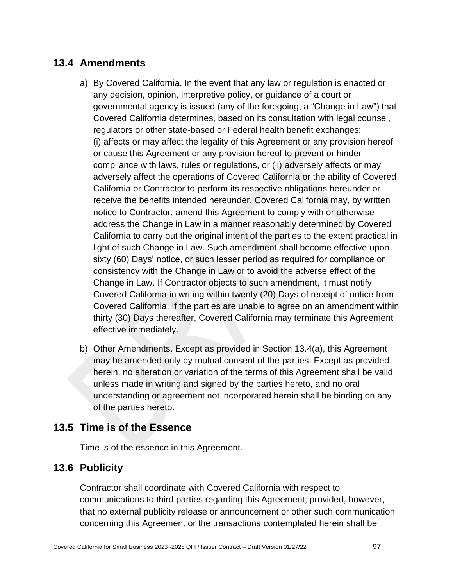### **13.4 Amendments**

- a) By Covered California. In the event that any law or regulation is enacted or any decision, opinion, interpretive policy, or guidance of a court or governmental agency is issued (any of the foregoing, a "Change in Law") that Covered California determines, based on its consultation with legal counsel, regulators or other state-based or Federal health benefit exchanges: (i) affects or may affect the legality of this Agreement or any provision hereof or cause this Agreement or any provision hereof to prevent or hinder compliance with laws, rules or regulations, or (ii) adversely affects or may adversely affect the operations of Covered California or the ability of Covered California or Contractor to perform its respective obligations hereunder or receive the benefits intended hereunder, Covered California may, by written notice to Contractor, amend this Agreement to comply with or otherwise address the Change in Law in a manner reasonably determined by Covered California to carry out the original intent of the parties to the extent practical in light of such Change in Law. Such amendment shall become effective upon sixty (60) Days' notice, or such lesser period as required for compliance or consistency with the Change in Law or to avoid the adverse effect of the Change in Law. If Contractor objects to such amendment, it must notify Covered California in writing within twenty (20) Days of receipt of notice from Covered California. If the parties are unable to agree on an amendment within thirty (30) Days thereafter, Covered California may terminate this Agreement effective immediately.
- b) Other Amendments. Except as provided in Section 13.4(a), this Agreement may be amended only by mutual consent of the parties. Except as provided herein, no alteration or variation of the terms of this Agreement shall be valid unless made in writing and signed by the parties hereto, and no oral understanding or agreement not incorporated herein shall be binding on any of the parties hereto.

### **13.5 Time is of the Essence**

Time is of the essence in this Agreement.

## **13.6 Publicity**

Contractor shall coordinate with Covered California with respect to communications to third parties regarding this Agreement; provided, however, that no external publicity release or announcement or other such communication concerning this Agreement or the transactions contemplated herein shall be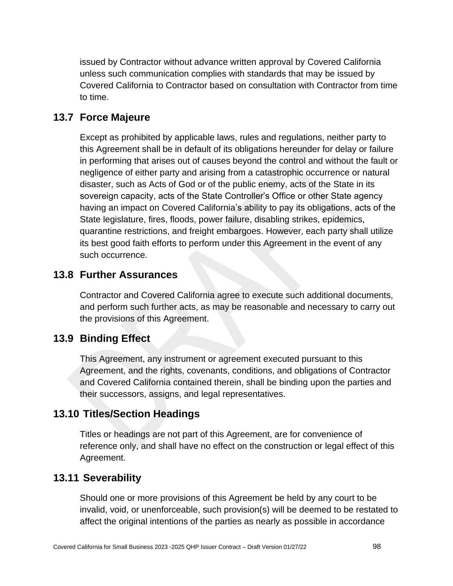issued by Contractor without advance written approval by Covered California unless such communication complies with standards that may be issued by Covered California to Contractor based on consultation with Contractor from time to time.

### **13.7 Force Majeure**

Except as prohibited by applicable laws, rules and regulations, neither party to this Agreement shall be in default of its obligations hereunder for delay or failure in performing that arises out of causes beyond the control and without the fault or negligence of either party and arising from a catastrophic occurrence or natural disaster, such as Acts of God or of the public enemy, acts of the State in its sovereign capacity, acts of the State Controller's Office or other State agency having an impact on Covered California's ability to pay its obligations, acts of the State legislature, fires, floods, power failure, disabling strikes, epidemics, quarantine restrictions, and freight embargoes. However, each party shall utilize its best good faith efforts to perform under this Agreement in the event of any such occurrence.

#### **13.8 Further Assurances**

Contractor and Covered California agree to execute such additional documents, and perform such further acts, as may be reasonable and necessary to carry out the provisions of this Agreement.

### **13.9 Binding Effect**

This Agreement, any instrument or agreement executed pursuant to this Agreement, and the rights, covenants, conditions, and obligations of Contractor and Covered California contained therein, shall be binding upon the parties and their successors, assigns, and legal representatives.

### **13.10 Titles/Section Headings**

Titles or headings are not part of this Agreement, are for convenience of reference only, and shall have no effect on the construction or legal effect of this Agreement.

### **13.11 Severability**

Should one or more provisions of this Agreement be held by any court to be invalid, void, or unenforceable, such provision(s) will be deemed to be restated to affect the original intentions of the parties as nearly as possible in accordance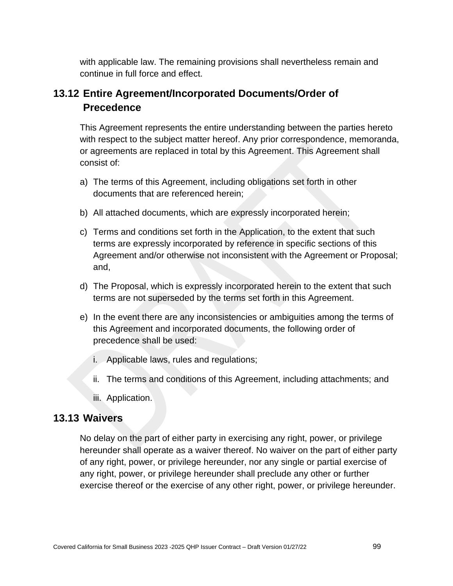with applicable law. The remaining provisions shall nevertheless remain and continue in full force and effect.

# **13.12 Entire Agreement/Incorporated Documents/Order of Precedence**

This Agreement represents the entire understanding between the parties hereto with respect to the subject matter hereof. Any prior correspondence, memoranda, or agreements are replaced in total by this Agreement. This Agreement shall consist of:

- a) The terms of this Agreement, including obligations set forth in other documents that are referenced herein;
- b) All attached documents, which are expressly incorporated herein;
- c) Terms and conditions set forth in the Application, to the extent that such terms are expressly incorporated by reference in specific sections of this Agreement and/or otherwise not inconsistent with the Agreement or Proposal; and,
- d) The Proposal, which is expressly incorporated herein to the extent that such terms are not superseded by the terms set forth in this Agreement.
- e) In the event there are any inconsistencies or ambiguities among the terms of this Agreement and incorporated documents, the following order of precedence shall be used:
	- i. Applicable laws, rules and regulations;
	- ii. The terms and conditions of this Agreement, including attachments; and
	- iii. Application.

### **13.13 Waivers**

No delay on the part of either party in exercising any right, power, or privilege hereunder shall operate as a waiver thereof. No waiver on the part of either party of any right, power, or privilege hereunder, nor any single or partial exercise of any right, power, or privilege hereunder shall preclude any other or further exercise thereof or the exercise of any other right, power, or privilege hereunder.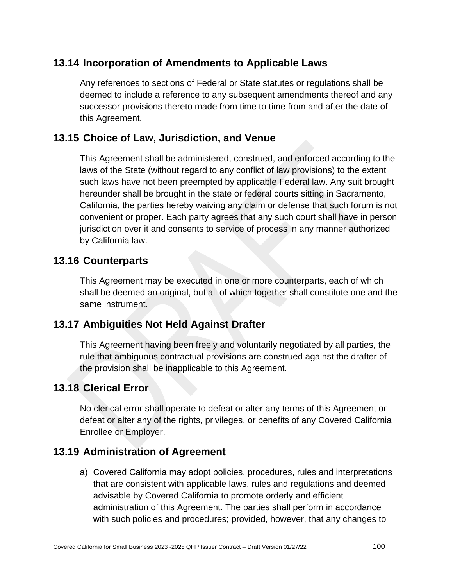# **13.14 Incorporation of Amendments to Applicable Laws**

Any references to sections of Federal or State statutes or regulations shall be deemed to include a reference to any subsequent amendments thereof and any successor provisions thereto made from time to time from and after the date of this Agreement.

## **13.15 Choice of Law, Jurisdiction, and Venue**

This Agreement shall be administered, construed, and enforced according to the laws of the State (without regard to any conflict of law provisions) to the extent such laws have not been preempted by applicable Federal law. Any suit brought hereunder shall be brought in the state or federal courts sitting in Sacramento, California, the parties hereby waiving any claim or defense that such forum is not convenient or proper. Each party agrees that any such court shall have in person jurisdiction over it and consents to service of process in any manner authorized by California law.

#### **13.16 Counterparts**

This Agreement may be executed in one or more counterparts, each of which shall be deemed an original, but all of which together shall constitute one and the same instrument.

## **13.17 Ambiguities Not Held Against Drafter**

This Agreement having been freely and voluntarily negotiated by all parties, the rule that ambiguous contractual provisions are construed against the drafter of the provision shall be inapplicable to this Agreement.

### **13.18 Clerical Error**

No clerical error shall operate to defeat or alter any terms of this Agreement or defeat or alter any of the rights, privileges, or benefits of any Covered California Enrollee or Employer.

### **13.19 Administration of Agreement**

a) Covered California may adopt policies, procedures, rules and interpretations that are consistent with applicable laws, rules and regulations and deemed advisable by Covered California to promote orderly and efficient administration of this Agreement. The parties shall perform in accordance with such policies and procedures; provided, however, that any changes to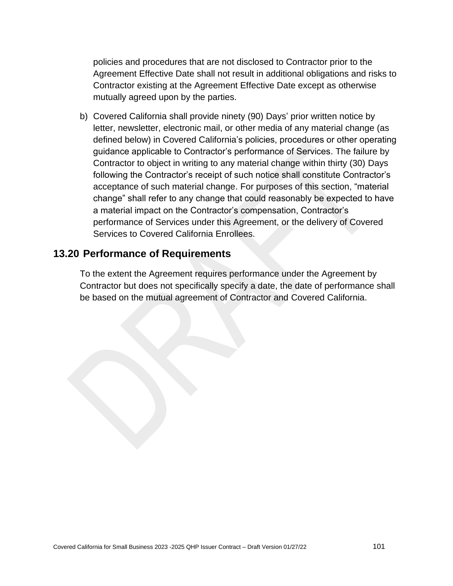policies and procedures that are not disclosed to Contractor prior to the Agreement Effective Date shall not result in additional obligations and risks to Contractor existing at the Agreement Effective Date except as otherwise mutually agreed upon by the parties.

b) Covered California shall provide ninety (90) Days' prior written notice by letter, newsletter, electronic mail, or other media of any material change (as defined below) in Covered California's policies, procedures or other operating guidance applicable to Contractor's performance of Services. The failure by Contractor to object in writing to any material change within thirty (30) Days following the Contractor's receipt of such notice shall constitute Contractor's acceptance of such material change. For purposes of this section, "material change" shall refer to any change that could reasonably be expected to have a material impact on the Contractor's compensation, Contractor's performance of Services under this Agreement, or the delivery of Covered Services to Covered California Enrollees.

#### **13.20 Performance of Requirements**

To the extent the Agreement requires performance under the Agreement by Contractor but does not specifically specify a date, the date of performance shall be based on the mutual agreement of Contractor and Covered California.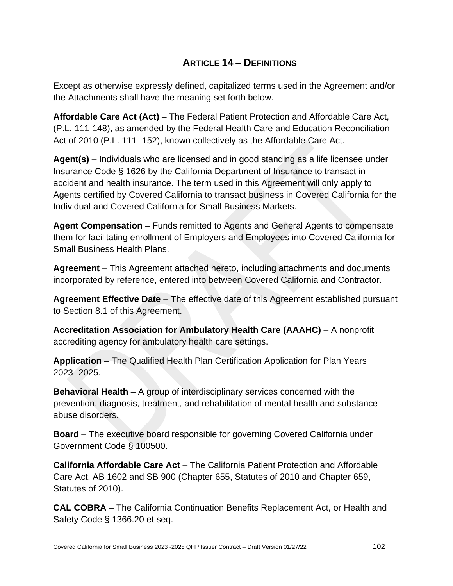# **ARTICLE 14 – DEFINITIONS**

Except as otherwise expressly defined, capitalized terms used in the Agreement and/or the Attachments shall have the meaning set forth below.

**Affordable Care Act (Act)** – The Federal Patient Protection and Affordable Care Act, (P.L. 111-148), as amended by the Federal Health Care and Education Reconciliation Act of 2010 (P.L. 111 -152), known collectively as the Affordable Care Act.

**Agent(s)** – Individuals who are licensed and in good standing as a life licensee under Insurance Code § 1626 by the California Department of Insurance to transact in accident and health insurance. The term used in this Agreement will only apply to Agents certified by Covered California to transact business in Covered California for the Individual and Covered California for Small Business Markets.

**Agent Compensation** – Funds remitted to Agents and General Agents to compensate them for facilitating enrollment of Employers and Employees into Covered California for Small Business Health Plans.

**Agreement** – This Agreement attached hereto, including attachments and documents incorporated by reference, entered into between Covered California and Contractor.

**Agreement Effective Date** – The effective date of this Agreement established pursuant to Section 8.1 of this Agreement.

**Accreditation Association for Ambulatory Health Care (AAAHC)** – A nonprofit accrediting agency for ambulatory health care settings.

**Application** – The Qualified Health Plan Certification Application for Plan Years 2023 -2025.

**Behavioral Health** – A group of interdisciplinary services concerned with the prevention, diagnosis, treatment, and rehabilitation of mental health and substance abuse disorders.

**Board** – The executive board responsible for governing Covered California under Government Code § 100500.

**California Affordable Care Act** – The California Patient Protection and Affordable Care Act, AB 1602 and SB 900 (Chapter 655, Statutes of 2010 and Chapter 659, Statutes of 2010).

**CAL COBRA** – The California Continuation Benefits Replacement Act, or Health and Safety Code § 1366.20 et seq.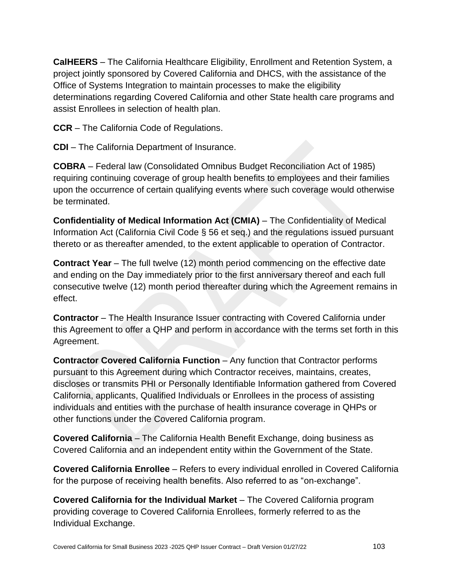**CalHEERS** – The California Healthcare Eligibility, Enrollment and Retention System, a project jointly sponsored by Covered California and DHCS, with the assistance of the Office of Systems Integration to maintain processes to make the eligibility determinations regarding Covered California and other State health care programs and assist Enrollees in selection of health plan.

**CCR** – The California Code of Regulations.

**CDI** – The California Department of Insurance.

**COBRA** – Federal law (Consolidated Omnibus Budget Reconciliation Act of 1985) requiring continuing coverage of group health benefits to employees and their families upon the occurrence of certain qualifying events where such coverage would otherwise be terminated.

**Confidentiality of Medical Information Act (CMIA)** – The Confidentiality of Medical Information Act (California Civil Code § 56 et seq.) and the regulations issued pursuant thereto or as thereafter amended, to the extent applicable to operation of Contractor.

**Contract Year** – The full twelve (12) month period commencing on the effective date and ending on the Day immediately prior to the first anniversary thereof and each full consecutive twelve (12) month period thereafter during which the Agreement remains in effect.

**Contractor** – The Health Insurance Issuer contracting with Covered California under this Agreement to offer a QHP and perform in accordance with the terms set forth in this Agreement.

**Contractor Covered California Function** – Any function that Contractor performs pursuant to this Agreement during which Contractor receives, maintains, creates, discloses or transmits PHI or Personally Identifiable Information gathered from Covered California, applicants, Qualified Individuals or Enrollees in the process of assisting individuals and entities with the purchase of health insurance coverage in QHPs or other functions under the Covered California program.

**Covered California** – The California Health Benefit Exchange, doing business as Covered California and an independent entity within the Government of the State.

**Covered California Enrollee** – Refers to every individual enrolled in Covered California for the purpose of receiving health benefits. Also referred to as "on-exchange".

**Covered California for the Individual Market** – The Covered California program providing coverage to Covered California Enrollees, formerly referred to as the Individual Exchange.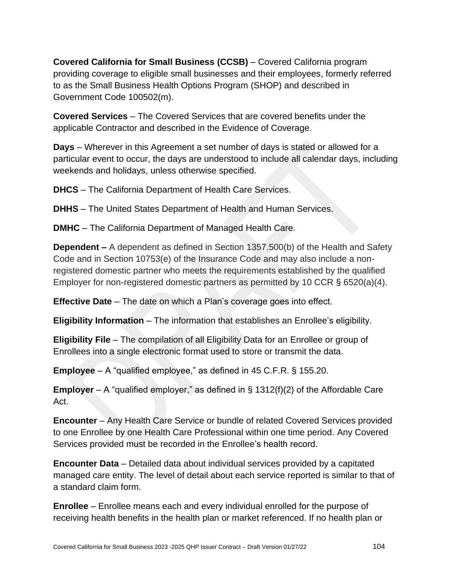**Covered California for Small Business (CCSB)** – Covered California program providing coverage to eligible small businesses and their employees, formerly referred to as the Small Business Health Options Program (SHOP) and described in Government Code 100502(m).

**Covered Services** – The Covered Services that are covered benefits under the applicable Contractor and described in the Evidence of Coverage.

**Days** – Wherever in this Agreement a set number of days is stated or allowed for a particular event to occur, the days are understood to include all calendar days, including weekends and holidays, unless otherwise specified.

**DHCS** – The California Department of Health Care Services.

**DHHS** – The United States Department of Health and Human Services.

**DMHC** – The California Department of Managed Health Care.

**Dependent –** A dependent as defined in Section 1357.500(b) of the Health and Safety Code and in Section 10753(e) of the Insurance Code and may also include a nonregistered domestic partner who meets the requirements established by the qualified Employer for non-registered domestic partners as permitted by 10 CCR § 6520(a)(4).

**Effective Date** – The date on which a Plan's coverage goes into effect.

**Eligibility Information** – The information that establishes an Enrollee's eligibility.

**Eligibility File** – The compilation of all Eligibility Data for an Enrollee or group of Enrollees into a single electronic format used to store or transmit the data.

**Employee** – A "qualified employee," as defined in 45 C.F.R. § 155.20.

**Employer** – A "qualified employer," as defined in § 1312(f)(2) of the Affordable Care Act.

**Encounter** – Any Health Care Service or bundle of related Covered Services provided to one Enrollee by one Health Care Professional within one time period. Any Covered Services provided must be recorded in the Enrollee's health record.

**Encounter Data** – Detailed data about individual services provided by a capitated managed care entity. The level of detail about each service reported is similar to that of a standard claim form.

**Enrollee** – Enrollee means each and every individual enrolled for the purpose of receiving health benefits in the health plan or market referenced. If no health plan or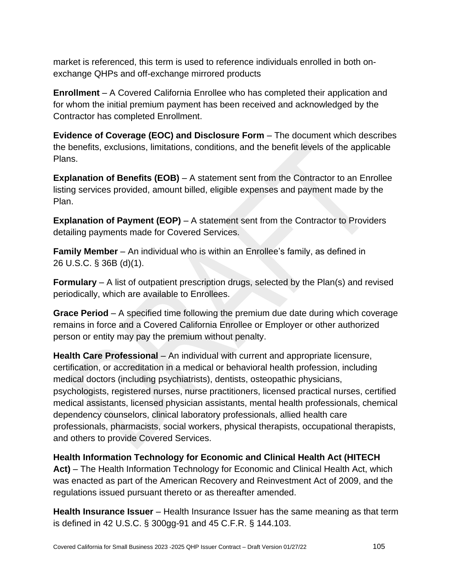market is referenced, this term is used to reference individuals enrolled in both onexchange QHPs and off-exchange mirrored products

**Enrollment** – A Covered California Enrollee who has completed their application and for whom the initial premium payment has been received and acknowledged by the Contractor has completed Enrollment.

**Evidence of Coverage (EOC) and Disclosure Form** – The document which describes the benefits, exclusions, limitations, conditions, and the benefit levels of the applicable Plans.

**Explanation of Benefits (EOB)** – A statement sent from the Contractor to an Enrollee listing services provided, amount billed, eligible expenses and payment made by the Plan.

**Explanation of Payment (EOP)** – A statement sent from the Contractor to Providers detailing payments made for Covered Services.

**Family Member** – An individual who is within an Enrollee's family, as defined in 26 U.S.C. § 36B (d)(1).

**Formulary** – A list of outpatient prescription drugs, selected by the Plan(s) and revised periodically, which are available to Enrollees.

**Grace Period** – A specified time following the premium due date during which coverage remains in force and a Covered California Enrollee or Employer or other authorized person or entity may pay the premium without penalty.

**Health Care Professional** – An individual with current and appropriate licensure, certification, or accreditation in a medical or behavioral health profession, including medical doctors (including psychiatrists), dentists, osteopathic physicians, psychologists, registered nurses, nurse practitioners, licensed practical nurses, certified medical assistants, licensed physician assistants, mental health professionals, chemical dependency counselors, clinical laboratory professionals, allied health care professionals, pharmacists, social workers, physical therapists, occupational therapists, and others to provide Covered Services.

**Health Information Technology for Economic and Clinical Health Act (HITECH Act)** – The Health Information Technology for Economic and Clinical Health Act, which was enacted as part of the American Recovery and Reinvestment Act of 2009, and the regulations issued pursuant thereto or as thereafter amended.

**Health Insurance Issuer** – Health Insurance Issuer has the same meaning as that term is defined in 42 U.S.C. § 300gg-91 and 45 C.F.R. § 144.103.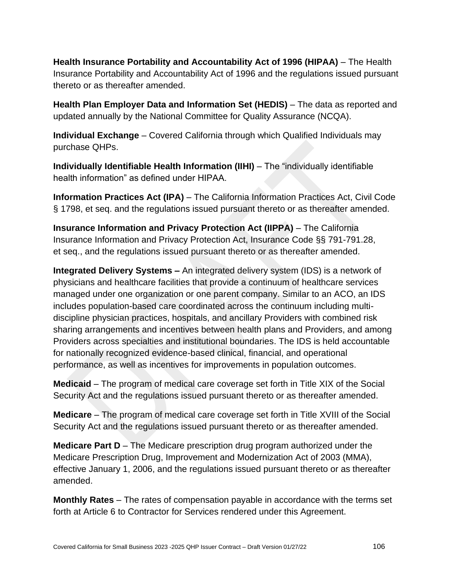**Health Insurance Portability and Accountability Act of 1996 (HIPAA)** – The Health Insurance Portability and Accountability Act of 1996 and the regulations issued pursuant thereto or as thereafter amended.

**Health Plan Employer Data and Information Set (HEDIS)** – The data as reported and updated annually by the National Committee for Quality Assurance (NCQA).

**Individual Exchange** – Covered California through which Qualified Individuals may purchase QHPs.

**Individually Identifiable Health Information (IIHI)** – The "individually identifiable health information" as defined under HIPAA.

**Information Practices Act (IPA)** – The California Information Practices Act, Civil Code § 1798, et seq. and the regulations issued pursuant thereto or as thereafter amended.

**Insurance Information and Privacy Protection Act (IIPPA)** – The California Insurance Information and Privacy Protection Act, Insurance Code §§ 791-791.28, et seq., and the regulations issued pursuant thereto or as thereafter amended.

**Integrated Delivery Systems –** An integrated delivery system (IDS) is a network of physicians and healthcare facilities that provide a continuum of healthcare services managed under one organization or one parent company. Similar to an ACO, an IDS includes population-based care coordinated across the continuum including multidiscipline physician practices, hospitals, and ancillary Providers with combined risk sharing arrangements and incentives between health plans and Providers, and among Providers across specialties and institutional boundaries. The IDS is held accountable for nationally recognized evidence-based clinical, financial, and operational performance, as well as incentives for improvements in population outcomes.

**Medicaid** – The program of medical care coverage set forth in Title XIX of the Social Security Act and the regulations issued pursuant thereto or as thereafter amended.

**Medicare** – The program of medical care coverage set forth in Title XVIII of the Social Security Act and the regulations issued pursuant thereto or as thereafter amended.

**Medicare Part D** – The Medicare prescription drug program authorized under the Medicare Prescription Drug, Improvement and Modernization Act of 2003 (MMA), effective January 1, 2006, and the regulations issued pursuant thereto or as thereafter amended.

**Monthly Rates** – The rates of compensation payable in accordance with the terms set forth at Article 6 to Contractor for Services rendered under this Agreement.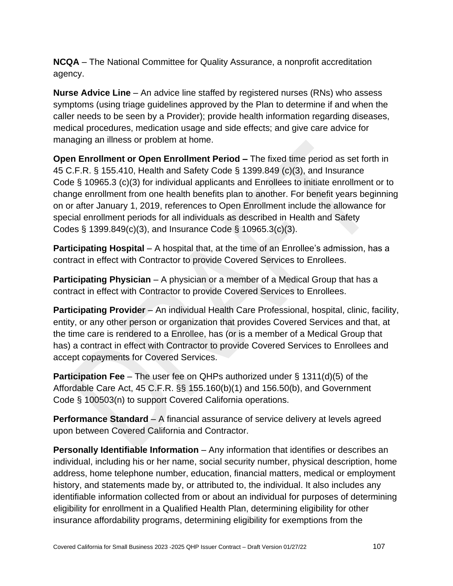**NCQA** – The National Committee for Quality Assurance, a nonprofit accreditation agency.

**Nurse Advice Line** – An advice line staffed by registered nurses (RNs) who assess symptoms (using triage guidelines approved by the Plan to determine if and when the caller needs to be seen by a Provider); provide health information regarding diseases, medical procedures, medication usage and side effects; and give care advice for managing an illness or problem at home.

**Open Enrollment or Open Enrollment Period –** The fixed time period as set forth in 45 C.F.R. § 155.410, Health and Safety Code § 1399.849 (c)(3), and Insurance Code § 10965.3 (c)(3) for individual applicants and Enrollees to initiate enrollment or to change enrollment from one health benefits plan to another. For benefit years beginning on or after January 1, 2019, references to Open Enrollment include the allowance for special enrollment periods for all individuals as described in Health and Safety Codes § 1399.849(c)(3), and Insurance Code § 10965.3(c)(3).

**Participating Hospital** – A hospital that, at the time of an Enrollee's admission, has a contract in effect with Contractor to provide Covered Services to Enrollees.

**Participating Physician** – A physician or a member of a Medical Group that has a contract in effect with Contractor to provide Covered Services to Enrollees.

**Participating Provider** – An individual Health Care Professional, hospital, clinic, facility, entity, or any other person or organization that provides Covered Services and that, at the time care is rendered to a Enrollee, has (or is a member of a Medical Group that has) a contract in effect with Contractor to provide Covered Services to Enrollees and accept copayments for Covered Services.

**Participation Fee** – The user fee on QHPs authorized under § 1311(d)(5) of the Affordable Care Act, 45 C.F.R. §§ 155.160(b)(1) and 156.50(b), and Government Code § 100503(n) to support Covered California operations.

**Performance Standard** – A financial assurance of service delivery at levels agreed upon between Covered California and Contractor.

**Personally Identifiable Information** – Any information that identifies or describes an individual, including his or her name, social security number, physical description, home address, home telephone number, education, financial matters, medical or employment history, and statements made by, or attributed to, the individual. It also includes any identifiable information collected from or about an individual for purposes of determining eligibility for enrollment in a Qualified Health Plan, determining eligibility for other insurance affordability programs, determining eligibility for exemptions from the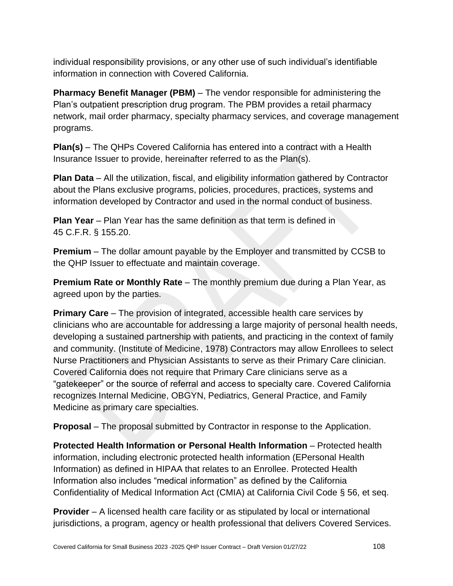individual responsibility provisions, or any other use of such individual's identifiable information in connection with Covered California.

**Pharmacy Benefit Manager (PBM)** – The vendor responsible for administering the Plan's outpatient prescription drug program. The PBM provides a retail pharmacy network, mail order pharmacy, specialty pharmacy services, and coverage management programs.

**Plan(s)** – The QHPs Covered California has entered into a contract with a Health Insurance Issuer to provide, hereinafter referred to as the Plan(s).

**Plan Data** – All the utilization, fiscal, and eligibility information gathered by Contractor about the Plans exclusive programs, policies, procedures, practices, systems and information developed by Contractor and used in the normal conduct of business.

**Plan Year** – Plan Year has the same definition as that term is defined in 45 C.F.R. § 155.20.

**Premium** – The dollar amount payable by the Employer and transmitted by CCSB to the QHP Issuer to effectuate and maintain coverage.

**Premium Rate or Monthly Rate** – The monthly premium due during a Plan Year, as agreed upon by the parties.

**Primary Care** – The provision of integrated, accessible health care services by clinicians who are accountable for addressing a large majority of personal health needs, developing a sustained partnership with patients, and practicing in the context of family and community. (Institute of Medicine, 1978) Contractors may allow Enrollees to select Nurse Practitioners and Physician Assistants to serve as their Primary Care clinician. Covered California does not require that Primary Care clinicians serve as a "gatekeeper" or the source of referral and access to specialty care. Covered California recognizes Internal Medicine, OBGYN, Pediatrics, General Practice, and Family Medicine as primary care specialties.

**Proposal** – The proposal submitted by Contractor in response to the Application.

**Protected Health Information or Personal Health Information** – Protected health information, including electronic protected health information (EPersonal Health Information) as defined in HIPAA that relates to an Enrollee. Protected Health Information also includes "medical information" as defined by the California Confidentiality of Medical Information Act (CMIA) at California Civil Code § 56, et seq.

**Provider** – A licensed health care facility or as stipulated by local or international jurisdictions, a program, agency or health professional that delivers Covered Services.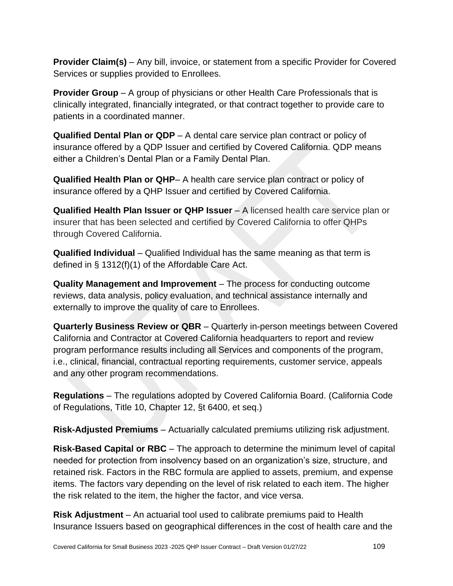**Provider Claim(s)** – Any bill, invoice, or statement from a specific Provider for Covered Services or supplies provided to Enrollees.

**Provider Group** – A group of physicians or other Health Care Professionals that is clinically integrated, financially integrated, or that contract together to provide care to patients in a coordinated manner.

**Qualified Dental Plan or QDP** – A dental care service plan contract or policy of insurance offered by a QDP Issuer and certified by Covered California. QDP means either a Children's Dental Plan or a Family Dental Plan.

**Qualified Health Plan or QHP**– A health care service plan contract or policy of insurance offered by a QHP Issuer and certified by Covered California.

**Qualified Health Plan Issuer or QHP Issuer** – A licensed health care service plan or insurer that has been selected and certified by Covered California to offer QHPs through Covered California.

**Qualified Individual** – Qualified Individual has the same meaning as that term is defined in § 1312(f)(1) of the Affordable Care Act.

**Quality Management and Improvement** – The process for conducting outcome reviews, data analysis, policy evaluation, and technical assistance internally and externally to improve the quality of care to Enrollees.

**Quarterly Business Review or QBR** – Quarterly in-person meetings between Covered California and Contractor at Covered California headquarters to report and review program performance results including all Services and components of the program, i.e., clinical, financial, contractual reporting requirements, customer service, appeals and any other program recommendations.

**Regulations** – The regulations adopted by Covered California Board. (California Code of Regulations, Title 10, Chapter 12, §t 6400, et seq.)

**Risk-Adjusted Premiums** – Actuarially calculated premiums utilizing risk adjustment.

**Risk-Based Capital or RBC** – The approach to determine the minimum level of capital needed for protection from insolvency based on an organization's size, structure, and retained risk. Factors in the RBC formula are applied to assets, premium, and expense items. The factors vary depending on the level of risk related to each item. The higher the risk related to the item, the higher the factor, and vice versa.

**Risk Adjustment** – An actuarial tool used to calibrate premiums paid to Health Insurance Issuers based on geographical differences in the cost of health care and the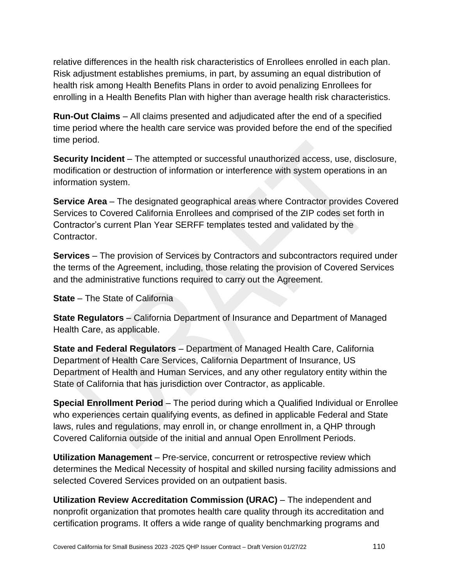relative differences in the health risk characteristics of Enrollees enrolled in each plan. Risk adjustment establishes premiums, in part, by assuming an equal distribution of health risk among Health Benefits Plans in order to avoid penalizing Enrollees for enrolling in a Health Benefits Plan with higher than average health risk characteristics.

**Run-Out Claims** – All claims presented and adjudicated after the end of a specified time period where the health care service was provided before the end of the specified time period.

**Security Incident** – The attempted or successful unauthorized access, use, disclosure, modification or destruction of information or interference with system operations in an information system.

**Service Area** – The designated geographical areas where Contractor provides Covered Services to Covered California Enrollees and comprised of the ZIP codes set forth in Contractor's current Plan Year SERFF templates tested and validated by the Contractor.

**Services** – The provision of Services by Contractors and subcontractors required under the terms of the Agreement, including, those relating the provision of Covered Services and the administrative functions required to carry out the Agreement.

**State** – The State of California

**State Regulators** – California Department of Insurance and Department of Managed Health Care, as applicable.

**State and Federal Regulators** – Department of Managed Health Care, California Department of Health Care Services, California Department of Insurance, US Department of Health and Human Services, and any other regulatory entity within the State of California that has jurisdiction over Contractor, as applicable.

**Special Enrollment Period** – The period during which a Qualified Individual or Enrollee who experiences certain qualifying events, as defined in applicable Federal and State laws, rules and regulations, may enroll in, or change enrollment in, a QHP through Covered California outside of the initial and annual Open Enrollment Periods.

**Utilization Management** – Pre-service, concurrent or retrospective review which determines the Medical Necessity of hospital and skilled nursing facility admissions and selected Covered Services provided on an outpatient basis.

**Utilization Review Accreditation Commission (URAC)** – The independent and nonprofit organization that promotes health care quality through its accreditation and certification programs. It offers a wide range of quality benchmarking programs and